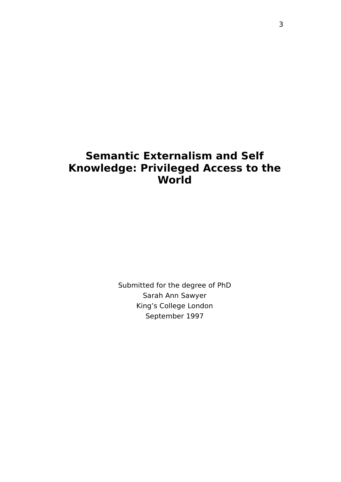# **Semantic Externalism and Self Knowledge: Privileged Access to the World**

Submitted for the degree of PhD Sarah Ann Sawyer King's College London September 1997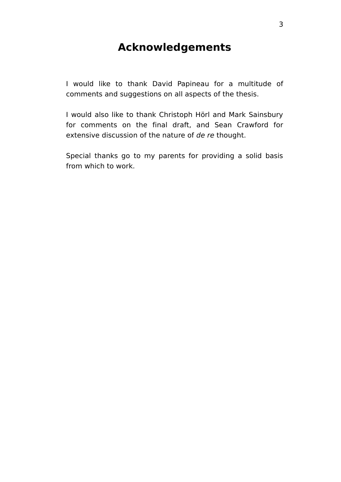# **Acknowledgements**

I would like to thank David Papineau for a multitude of comments and suggestions on all aspects of the thesis.

I would also like to thank Christoph Hörl and Mark Sainsbury for comments on the final draft, and Sean Crawford for extensive discussion of the nature of de re thought.

Special thanks go to my parents for providing a solid basis from which to work.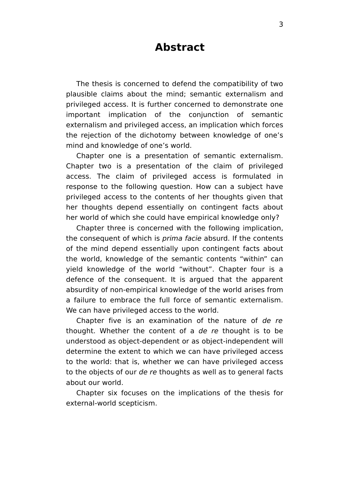# **Abstract**

The thesis is concerned to defend the compatibility of two plausible claims about the mind; semantic externalism and privileged access. It is further concerned to demonstrate one important implication of the conjunction of semantic externalism and privileged access, an implication which forces the rejection of the dichotomy between knowledge of one's mind and knowledge of one's world.

Chapter one is a presentation of semantic externalism. Chapter two is a presentation of the claim of privileged access. The claim of privileged access is formulated in response to the following question. How can a subject have privileged access to the contents of her thoughts given that her thoughts depend essentially on contingent facts about her world of which she could have empirical knowledge only?

Chapter three is concerned with the following implication, the consequent of which is prima facie absurd. If the contents of the mind depend essentially upon contingent facts about the world, knowledge of the semantic contents "within" can yield knowledge of the world "without". Chapter four is a defence of the consequent. It is argued that the apparent absurdity of non-empirical knowledge of the world arises from a failure to embrace the full force of semantic externalism. We can have privileged access to the world.

Chapter five is an examination of the nature of de re thought. Whether the content of a de re thought is to be understood as object-dependent or as object-independent will determine the extent to which we can have privileged access to the world: that is, whether we can have privileged access to the objects of our de re thoughts as well as to general facts about our world.

Chapter six focuses on the implications of the thesis for external-world scepticism.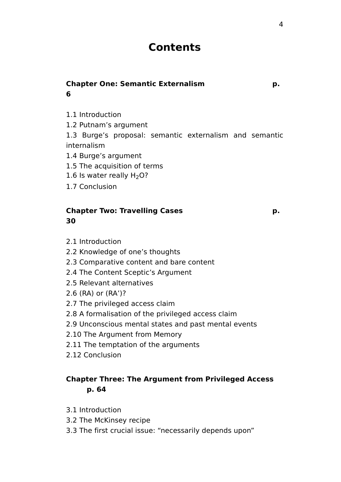# **Contents**

# **Chapter One: Semantic Externalism p. 6**

- 1.1 Introduction
- 1.2 Putnam's argument

1.3 Burge's proposal: semantic externalism and semantic internalism

- 1.4 Burge's argument
- 1.5 The acquisition of terms
- 1.6 Is water really  $H<sub>2</sub>O$ ?
- 1.7 Conclusion

## **Chapter Two: Travelling Cases p. 30**

- 2.1 Introduction
- 2.2 Knowledge of one's thoughts
- 2.3 Comparative content and bare content
- 2.4 The Content Sceptic's Argument
- 2.5 Relevant alternatives
- 2.6 (RA) or (RA')?
- 2.7 The privileged access claim
- 2.8 A formalisation of the privileged access claim
- 2.9 Unconscious mental states and past mental events
- 2.10 The Argument from Memory
- 2.11 The temptation of the arguments
- 2.12 Conclusion

## **Chapter Three: The Argument from Privileged Access p. 64**

- 3.1 Introduction
- 3.2 The McKinsey recipe
- 3.3 The first crucial issue: "necessarily depends upon"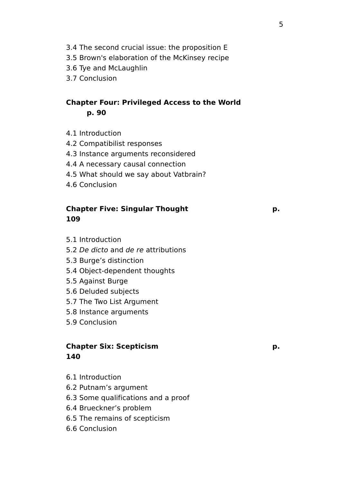- 3.4 The second crucial issue: the proposition E
- 3.5 Brown's elaboration of the McKinsey recipe
- 3.6 Tye and McLaughlin
- 3.7 Conclusion

# **Chapter Four: Privileged Access to the World p. 90**

- 4.1 Introduction
- 4.2 Compatibilist responses
- 4.3 Instance arguments reconsidered
- 4.4 A necessary causal connection
- 4.5 What should we say about Vatbrain?
- 4.6 Conclusion

## **Chapter Five: Singular Thought p. 109**

- 5.1 Introduction
- 5.2 De dicto and de re attributions
- 5.3 Burge's distinction
- 5.4 Object-dependent thoughts
- 5.5 Against Burge
- 5.6 Deluded subjects
- 5.7 The Two List Argument
- 5.8 Instance arguments
- 5.9 Conclusion

## **Chapter Six: Scepticism p. 140**

- 6.1 Introduction
- 6.2 Putnam's argument
- 6.3 Some qualifications and a proof
- 6.4 Brueckner's problem
- 6.5 The remains of scepticism
- 6.6 Conclusion

#### 5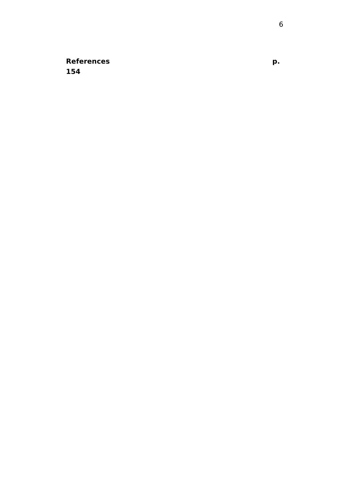**Reference 154**

**s p.**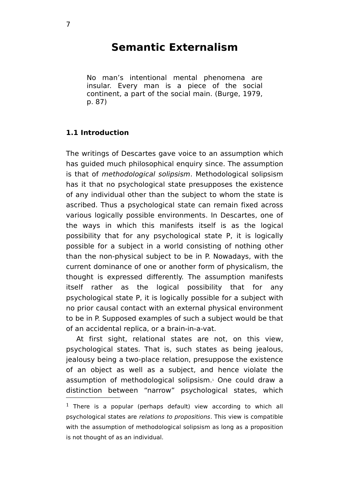# **Semantic Externalism**

No man's intentional mental phenomena are insular. Every man is a piece of the social continent, a part of the social main. (Burge, 1979, p. 87)

#### **1.1 Introduction**

The writings of Descartes gave voice to an assumption which has guided much philosophical enquiry since. The assumption is that of methodological solipsism. Methodological solipsism has it that no psychological state presupposes the existence of any individual other than the subject to whom the state is ascribed. Thus a psychological state can remain fixed across various logically possible environments. In Descartes, one of the ways in which this manifests itself is as the logical possibility that for any psychological state P, it is logically possible for a subject in a world consisting of nothing other than the non-physical subject to be in P. Nowadays, with the current dominance of one or another form of physicalism, the thought is expressed differently. The assumption manifests itself rather as the logical possibility that for any psychological state P, it is logically possible for a subject with no prior causal contact with an external physical environment to be in P. Supposed examples of such a subject would be that of an accidental replica, or a brain-in-a-vat.

At first sight, relational states are not, on this view, psychological states. That is, such states as being jealous, jealousy being a two-place relation, presuppose the existence of an object as well as a subject, and hence violate the assumption of methodological solipsism. [1](#page-6-0) One could draw a distinction between "narrow" psychological states, which

<span id="page-6-0"></span> $1$  There is a popular (perhaps default) view according to which all psychological states are relations to propositions. This view is compatible with the assumption of methodological solipsism as long as a proposition is not thought of as an individual.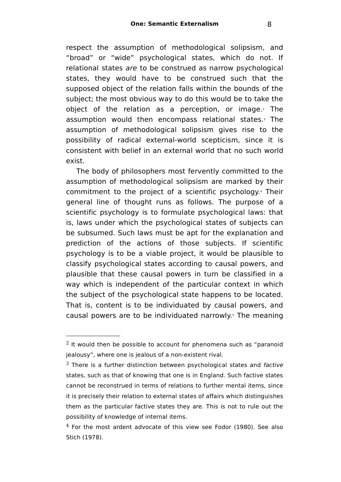respect the assumption of methodological solipsism, and "broad" or "wide" psychological states, which do not. If relational states are to be construed as narrow psychological states, they would have to be construed such that the supposed object of the relation falls within the bounds of the subject; the most obvious way to do this would be to take the object of the relation as a perception, or image.<sup>[2](#page-7-0)</sup> The assumption would then encompass relational states. [3](#page-7-1) The assumption of methodological solipsism gives rise to the possibility of radical external-world scepticism, since it is consistent with belief in an external world that no such world exist.

The body of philosophers most fervently committed to the assumption of methodological solipsism are marked by their commitment to the project of a scientific psychology. [4](#page-7-2) Their general line of thought runs as follows. The purpose of a scientific psychology is to formulate psychological laws: that is, laws under which the psychological states of subjects can be subsumed. Such laws must be apt for the explanation and prediction of the actions of those subjects. If scientific psychology is to be a viable project, it would be plausible to classify psychological states according to causal powers, and plausible that these causal powers in turn be classified in a way which is independent of the particular context in which the subject of the psychological state happens to be located. That is, content is to be individuated by causal powers, and causal powers are to be individuated narrowly. [5](#page-8-0) The meaning

<span id="page-7-0"></span> $2$  It would then be possible to account for phenomena such as "paranoid jealousy", where one is jealous of a non-existent rival.

<span id="page-7-1"></span> $3$  There is a further distinction between psychological states and factive states, such as that of knowing that one is in England. Such factive states cannot be reconstrued in terms of relations to further mental items, since it is precisely their relation to external states of affairs which distinguishes them as the particular factive states they are. This is not to rule out the possibility of knowledge of internal items.

<span id="page-7-2"></span> $4$  For the most ardent advocate of this view see Fodor (1980). See also Stich (1978).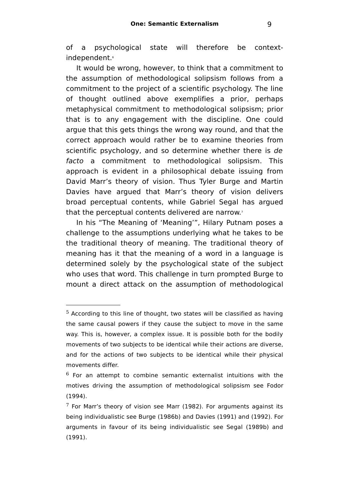of a psychological state will therefore be context-independent.<sup>[6](#page-8-1)</sup>

It would be wrong, however, to think that a commitment to the assumption of methodological solipsism follows from a commitment to the project of a scientific psychology. The line of thought outlined above exemplifies a prior, perhaps metaphysical commitment to methodological solipsism; prior that is to any engagement with the discipline. One could argue that this gets things the wrong way round, and that the correct approach would rather be to examine theories from scientific psychology, and so determine whether there is de facto a commitment to methodological solipsism. This approach is evident in a philosophical debate issuing from David Marr's theory of vision. Thus Tyler Burge and Martin Davies have argued that Marr's theory of vision delivers broad perceptual contents, while Gabriel Segal has argued that the perceptual contents delivered are narrow.

In his "The Meaning of 'Meaning'", Hilary Putnam poses a challenge to the assumptions underlying what he takes to be the traditional theory of meaning. The traditional theory of meaning has it that the meaning of a word in a language is determined solely by the psychological state of the subject who uses that word. This challenge in turn prompted Burge to mount a direct attack on the assumption of methodological

<span id="page-8-0"></span> $5$  According to this line of thought, two states will be classified as having the same causal powers if they cause the subject to move in the same way. This is, however, a complex issue. It is possible both for the bodily movements of two subjects to be identical while their actions are diverse, and for the actions of two subjects to be identical while their physical movements differ.

<span id="page-8-1"></span> $6$  For an attempt to combine semantic externalist intuitions with the motives driving the assumption of methodological solipsism see Fodor (1994).

<span id="page-8-2"></span> $7$  For Marr's theory of vision see Marr (1982). For arguments against its being individualistic see Burge (1986b) and Davies (1991) and (1992). For arguments in favour of its being individualistic see Segal (1989b) and (1991).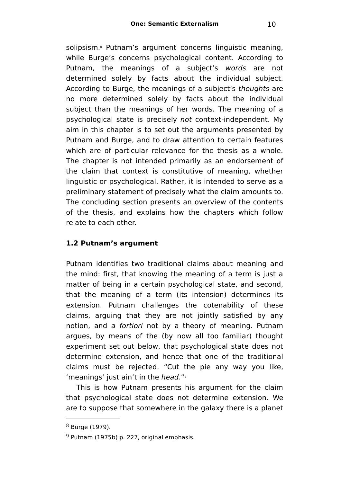solipsism.<sup>[8](#page-9-0)</sup> Putnam's argument concerns linguistic meaning, while Burge's concerns psychological content. According to Putnam, the meanings of a subject's words are not determined solely by facts about the individual subject. According to Burge, the meanings of a subject's thoughts are no more determined solely by facts about the individual subject than the meanings of her words. The meaning of a psychological state is precisely not context-independent. My aim in this chapter is to set out the arguments presented by Putnam and Burge, and to draw attention to certain features which are of particular relevance for the thesis as a whole. The chapter is not intended primarily as an endorsement of the claim that context is constitutive of meaning, whether linguistic or psychological. Rather, it is intended to serve as a preliminary statement of precisely what the claim amounts to. The concluding section presents an overview of the contents of the thesis, and explains how the chapters which follow relate to each other.

## **1.2 Putnam's argument**

Putnam identifies two traditional claims about meaning and the mind: first, that knowing the meaning of a term is just a matter of being in a certain psychological state, and second, that the meaning of a term (its intension) determines its extension. Putnam challenges the cotenability of these claims, arguing that they are not jointly satisfied by any notion, and a fortiori not by a theory of meaning. Putnam argues, by means of the (by now all too familiar) thought experiment set out below, that psychological state does not determine extension, and hence that one of the traditional claims must be rejected. "Cut the pie any way you like, 'meanings' just ain't in the head."[9](#page-9-1)

This is how Putnam presents his argument for the claim that psychological state does not determine extension. We are to suppose that somewhere in the galaxy there is a planet

<span id="page-9-0"></span><sup>8</sup> Burge (1979).

<span id="page-9-1"></span> $9$  Putnam (1975b) p. 227, original emphasis.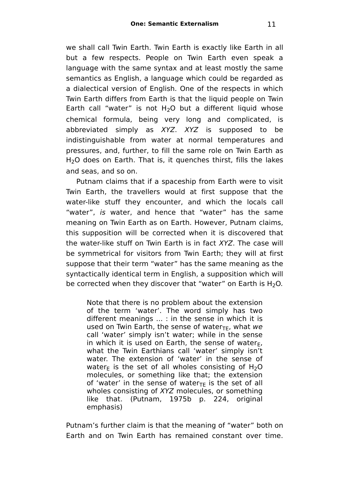we shall call Twin Earth. Twin Earth is exactly like Earth in all but a few respects. People on Twin Earth even speak a language with the same syntax and at least mostly the same semantics as English, a language which could be regarded as a dialectical version of English. One of the respects in which Twin Earth differs from Earth is that the liquid people on Twin Earth call "water" is not  $H_2O$  but a different liquid whose chemical formula, being very long and complicated, is abbreviated simply as XYZ. XYZ is supposed to be indistinguishable from water at normal temperatures and pressures, and, further, to fill the same role on Twin Earth as H<sub>2</sub>O does on Earth. That is, it quenches thirst, fills the lakes and seas, and so on.

Putnam claims that if a spaceship from Earth were to visit Twin Earth, the travellers would at first suppose that the water-like stuff they encounter, and which the locals call "water", is water, and hence that "water" has the same meaning on Twin Earth as on Earth. However, Putnam claims, this supposition will be corrected when it is discovered that the water-like stuff on Twin Earth is in fact XYZ. The case will be symmetrical for visitors from Twin Earth; they will at first suppose that their term "water" has the same meaning as the syntactically identical term in English, a supposition which will be corrected when they discover that "water" on Earth is  $H_2O$ .

Note that there is no problem about the extension of the term 'water'. The word simply has two different meanings ... : in the sense in which it is used on Twin Earth, the sense of water<sub>TE</sub>, what we call 'water' simply isn't water; while in the sense in which it is used on Earth, the sense of water $F$ , what the Twin Earthians call 'water' simply isn't water. The extension of 'water' in the sense of water<sub>E</sub> is the set of all wholes consisting of H<sub>2</sub>O molecules, or something like that; the extension of 'water' in the sense of water<sub>TF</sub> is the set of all wholes consisting of XYZ molecules, or something like that. (Putnam, 1975b p. 224, original emphasis)

Putnam's further claim is that the meaning of "water" both on Earth and on Twin Earth has remained constant over time.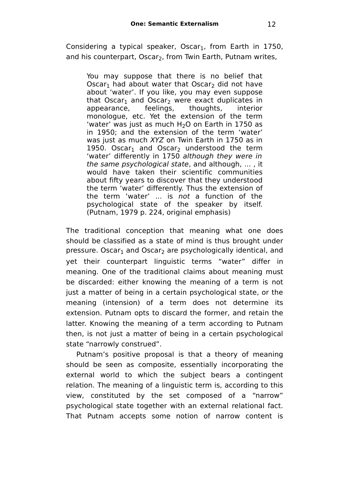Considering a typical speaker, Oscar<sub>1</sub>, from Earth in 1750, and his counterpart, Oscar<sub>2</sub>, from Twin Earth, Putnam writes,

You may suppose that there is no belief that Oscar<sub>1</sub> had about water that Oscar<sub>2</sub> did not have about 'water'. If you like, you may even suppose that Oscar<sub>1</sub> and Oscar<sub>2</sub> were exact duplicates in appearance, feelings, thoughts, interior monologue, etc. Yet the extension of the term 'water' was just as much  $H<sub>2</sub>O$  on Earth in 1750 as in 1950; and the extension of the term 'water' was just as much XYZ on Twin Earth in 1750 as in 1950. Oscar<sub>1</sub> and Oscar<sub>2</sub> understood the term 'water' differently in 1750 although they were in the same psychological state, and although, ... , it would have taken their scientific communities about fifty years to discover that they understood the term 'water' differently. Thus the extension of the term 'water' ... is not a function of the psychological state of the speaker by itself. (Putnam, 1979 p. 224, original emphasis)

The traditional conception that meaning what one does should be classified as a state of mind is thus brought under pressure. Oscar<sub>1</sub> and Oscar<sub>2</sub> are psychologically identical, and yet their counterpart linguistic terms "water" differ in meaning. One of the traditional claims about meaning must be discarded: either knowing the meaning of a term is not just a matter of being in a certain psychological state, or the meaning (intension) of a term does not determine its extension. Putnam opts to discard the former, and retain the latter. Knowing the meaning of a term according to Putnam then, is not just a matter of being in a certain psychological state "narrowly construed".

Putnam's positive proposal is that a theory of meaning should be seen as composite, essentially incorporating the external world to which the subject bears a contingent relation. The meaning of a linguistic term is, according to this view, constituted by the set composed of a "narrow" psychological state together with an external relational fact. That Putnam accepts some notion of narrow content is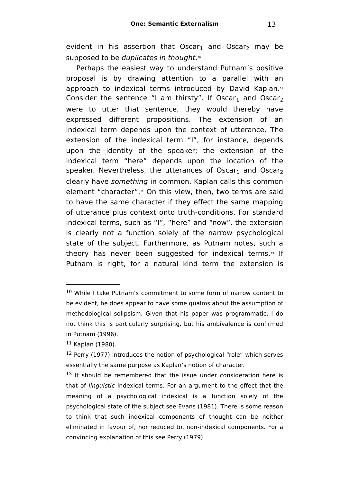evident in his assertion that Oscar<sub>1</sub> and Oscar<sub>2</sub> may be supposed to be *duplicates in thought*.[10](#page-12-0)

Perhaps the easiest way to understand Putnam's positive proposal is by drawing attention to a parallel with an approach to indexical terms introduced by David Kaplan.[11](#page-12-1) Consider the sentence "I am thirsty". If Oscar<sub>1</sub> and Oscar<sub>2</sub> were to utter that sentence, they would thereby have expressed different propositions. The extension of an indexical term depends upon the context of utterance. The extension of the indexical term "I", for instance, depends upon the identity of the speaker; the extension of the indexical term "here" depends upon the location of the speaker. Nevertheless, the utterances of Oscar<sub>1</sub> and Oscar<sub>2</sub> clearly have something in common. Kaplan calls this common element "character". [12](#page-12-2) On this view, then, two terms are said to have the same character if they effect the same mapping of utterance plus context onto truth-conditions. For standard indexical terms, such as "I", "here" and "now", the extension is clearly not a function solely of the narrow psychological state of the subject. Furthermore, as Putnam notes, such a theory has never been suggested for indexical terms.<sup>[13](#page-12-3)</sup> If Putnam is right, for a natural kind term the extension is

<span id="page-12-0"></span><sup>10</sup> While I take Putnam's commitment to some form of narrow content to be evident, he does appear to have some qualms about the assumption of methodological solipsism. Given that his paper was programmatic, I do not think this is particularly surprising, but his ambivalence is confirmed in Putnam (1996).

<span id="page-12-1"></span><sup>11</sup> Kaplan (1980).

<span id="page-12-2"></span> $12$  Perry (1977) introduces the notion of psychological "role" which serves essentially the same purpose as Kaplan's notion of character.

<span id="page-12-3"></span> $13$  It should be remembered that the issue under consideration here is that of linguistic indexical terms. For an argument to the effect that the meaning of a psychological indexical is a function solely of the psychological state of the subject see Evans (1981). There is some reason to think that such indexical components of thought can be neither eliminated in favour of, nor reduced to, non-indexical components. For a convincing explanation of this see Perry (1979).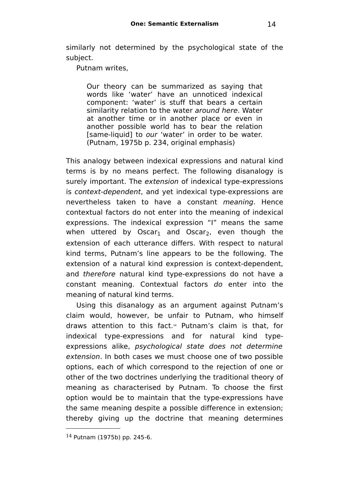similarly not determined by the psychological state of the subject.

Putnam writes,

Our theory can be summarized as saying that words like 'water' have an unnoticed indexical component: 'water' is stuff that bears a certain similarity relation to the water around here. Water at another time or in another place or even in another possible world has to bear the relation [same-liquid] to our 'water' in order to be water. (Putnam, 1975b p. 234, original emphasis)

This analogy between indexical expressions and natural kind terms is by no means perfect. The following disanalogy is surely important. The extension of indexical type-expressions is context-dependent, and yet indexical type-expressions are nevertheless taken to have a constant meaning. Hence contextual factors do not enter into the meaning of indexical expressions. The indexical expression "I" means the same when uttered by Oscar<sub>1</sub> and Oscar<sub>2</sub>, even though the extension of each utterance differs. With respect to natural kind terms, Putnam's line appears to be the following. The extension of a natural kind expression is context-dependent, and therefore natural kind type-expressions do not have a constant meaning. Contextual factors do enter into the meaning of natural kind terms.

Using this disanalogy as an argument against Putnam's claim would, however, be unfair to Putnam, who himself draws attention to this fact.[14](#page-13-0) Putnam's claim is that, for indexical type-expressions and for natural kind typeexpressions alike, psychological state does not determine extension. In both cases we must choose one of two possible options, each of which correspond to the rejection of one or other of the two doctrines underlying the traditional theory of meaning as characterised by Putnam. To choose the first option would be to maintain that the type-expressions have the same meaning despite a possible difference in extension; thereby giving up the doctrine that meaning determines

<span id="page-13-0"></span><sup>14</sup> Putnam (1975b) pp. 245-6.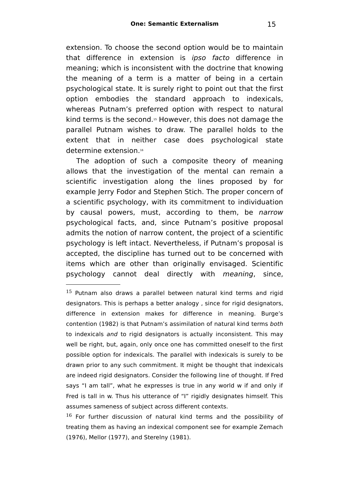extension. To choose the second option would be to maintain that difference in extension is ipso facto difference in meaning; which is inconsistent with the doctrine that knowing the meaning of a term is a matter of being in a certain psychological state. It is surely right to point out that the first option embodies the standard approach to indexicals, whereas Putnam's preferred option with respect to natural kind terms is the second.[15](#page-14-0) However, this does not damage the parallel Putnam wishes to draw. The parallel holds to the extent that in neither case does psychological state determine extension. [16](#page-14-1)

The adoption of such a composite theory of meaning allows that the investigation of the mental can remain a scientific investigation along the lines proposed by for example Jerry Fodor and Stephen Stich. The proper concern of a scientific psychology, with its commitment to individuation by causal powers, must, according to them, be narrow psychological facts, and, since Putnam's positive proposal admits the notion of narrow content, the project of a scientific psychology is left intact. Nevertheless, if Putnam's proposal is accepted, the discipline has turned out to be concerned with items which are other than originally envisaged. Scientific psychology cannot deal directly with meaning, since,

<span id="page-14-0"></span> $15$  Putnam also draws a parallel between natural kind terms and rigid designators. This is perhaps a better analogy , since for rigid designators, difference in extension makes for difference in meaning. Burge's contention (1982) is that Putnam's assimilation of natural kind terms both to indexicals and to rigid designators is actually inconsistent. This may well be right, but, again, only once one has committed oneself to the first possible option for indexicals. The parallel with indexicals is surely to be drawn prior to any such commitment. It might be thought that indexicals are indeed rigid designators. Consider the following line of thought. If Fred says "I am tall", what he expresses is true in any world w if and only if Fred is tall in w. Thus his utterance of "I" rigidly designates himself. This assumes sameness of subject across different contexts.

<span id="page-14-1"></span> $16$  For further discussion of natural kind terms and the possibility of treating them as having an indexical component see for example Zemach (1976), Mellor (1977), and Sterelny (1981).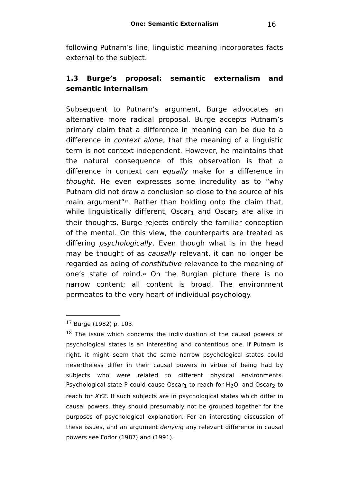following Putnam's line, linguistic meaning incorporates facts external to the subject.

## **1.3 Burge's proposal: semantic externalism and semantic internalism**

Subsequent to Putnam's argument, Burge advocates an alternative more radical proposal. Burge accepts Putnam's primary claim that a difference in meaning can be due to a difference in context alone, that the meaning of a linguistic term is not context-independent. However, he maintains that the natural consequence of this observation is that a difference in context can equally make for a difference in thought. He even expresses some incredulity as to "why Putnam did not draw a conclusion so close to the source of his main argument"<sup>1</sup>, Rather than holding onto the claim that, while linguistically different, Oscar<sub>1</sub> and Oscar<sub>2</sub> are alike in their thoughts, Burge rejects entirely the familiar conception of the mental. On this view, the counterparts are treated as differing *psychologically*. Even though what is in the head may be thought of as causally relevant, it can no longer be regarded as being of constitutive relevance to the meaning of one's state of mind.[18](#page-15-1) On the Burgian picture there is no narrow content; all content is broad. The environment permeates to the very heart of individual psychology.

<span id="page-15-0"></span><sup>17</sup> Burge (1982) p. 103.

<span id="page-15-1"></span> $18$  The issue which concerns the individuation of the causal powers of psychological states is an interesting and contentious one. If Putnam is right, it might seem that the same narrow psychological states could nevertheless differ in their causal powers in virtue of being had by subjects who were related to different physical environments. Psychological state P could cause Oscar<sub>1</sub> to reach for H<sub>2</sub>O, and Oscar<sub>2</sub> to reach for XYZ. If such subjects are in psychological states which differ in causal powers, they should presumably not be grouped together for the purposes of psychological explanation. For an interesting discussion of these issues, and an argument denying any relevant difference in causal powers see Fodor (1987) and (1991).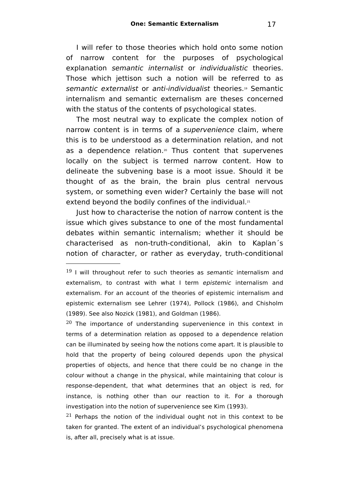I will refer to those theories which hold onto some notion of narrow content for the purposes of psychological explanation semantic internalist or individualistic theories. Those which jettison such a notion will be referred to as semantic externalist or anti-individualist theories.[19](#page-16-0) Semantic internalism and semantic externalism are theses concerned with the status of the contents of psychological states.

The most neutral way to explicate the complex notion of narrow content is in terms of a supervenience claim, where this is to be understood as a determination relation, and not as a dependence relation. [20](#page-16-1) Thus content that supervenes locally on the subject is termed narrow content. How to delineate the subvening base is a moot issue. Should it be thought of as the brain, the brain plus central nervous system, or something even wider? Certainly the base will not extend beyond the bodily confines of the individual.<sup>[21](#page-16-2)</sup>

Just how to characterise the notion of narrow content is the issue which gives substance to one of the most fundamental debates within semantic internalism; whether it should be characterised as non-truth-conditional, akin to Kaplan´s notion of character, or rather as everyday, truth-conditional

<span id="page-16-1"></span> $20$  The importance of understanding supervenience in this context in terms of a determination relation as opposed to a dependence relation can be illuminated by seeing how the notions come apart. It is plausible to hold that the property of being coloured depends upon the physical properties of objects, and hence that there could be no change in the colour without a change in the physical, while maintaining that colour is response-dependent, that what determines that an object is red, for instance, is nothing other than our reaction to it. For a thorough investigation into the notion of supervenience see Kim (1993).

<span id="page-16-2"></span> $21$  Perhaps the notion of the individual ought not in this context to be taken for granted. The extent of an individual's psychological phenomena is, after all, precisely what is at issue.

<span id="page-16-0"></span> $19$  I will throughout refer to such theories as semantic internalism and externalism, to contrast with what I term epistemic internalism and externalism. For an account of the theories of epistemic internalism and epistemic externalism see Lehrer (1974), Pollock (1986), and Chisholm (1989). See also Nozick (1981), and Goldman (1986).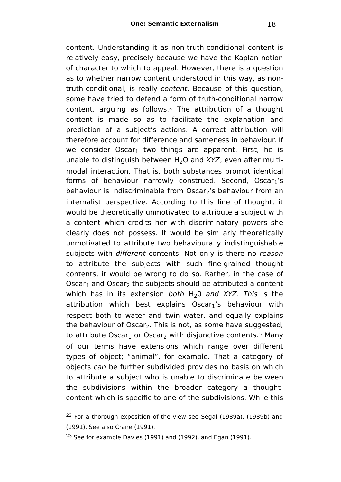content. Understanding it as non-truth-conditional content is relatively easy, precisely because we have the Kaplan notion of character to which to appeal. However, there is a question as to whether narrow content understood in this way, as nontruth-conditional, is really content. Because of this question, some have tried to defend a form of truth-conditional narrow content, arguing as follows.<sup>[22](#page-17-0)</sup> The attribution of a thought content is made so as to facilitate the explanation and prediction of a subject's actions. A correct attribution will therefore account for difference and sameness in behaviour. If we consider Oscar<sub>1</sub> two things are apparent. First, he is unable to distinguish between  $H_2O$  and  $XYZ$ , even after multimodal interaction. That is, both substances prompt identical forms of behaviour narrowly construed. Second,  $Oscar_1's$ behaviour is indiscriminable from Oscar<sub>2</sub>'s behaviour from an internalist perspective. According to this line of thought, it would be theoretically unmotivated to attribute a subject with a content which credits her with discriminatory powers she clearly does not possess. It would be similarly theoretically unmotivated to attribute two behaviourally indistinguishable subjects with different contents. Not only is there no reason to attribute the subjects with such fine-grained thought contents, it would be wrong to do so. Rather, in the case of Oscar<sub>1</sub> and Oscar<sub>2</sub> the subjects should be attributed a content which has in its extension both  $H_2O$  and XYZ. This is the attribution which best explains Oscar<sub>1</sub>'s behaviour with respect both to water and twin water, and equally explains the behaviour of Oscar<sub>2</sub>. This is not, as some have suggested, to attribute Oscar $_1$  or Oscar $_2$  with disjunctive contents. $^{\rm a}$  Many of our terms have extensions which range over different types of object; "animal", for example. That a category of objects can be further subdivided provides no basis on which to attribute a subject who is unable to discriminate between the subdivisions within the broader category a thoughtcontent which is specific to one of the subdivisions. While this

<span id="page-17-0"></span> $22$  For a thorough exposition of the view see Segal (1989a), (1989b) and (1991). See also Crane (1991).

<span id="page-17-1"></span> $23$  See for example Davies (1991) and (1992), and Egan (1991).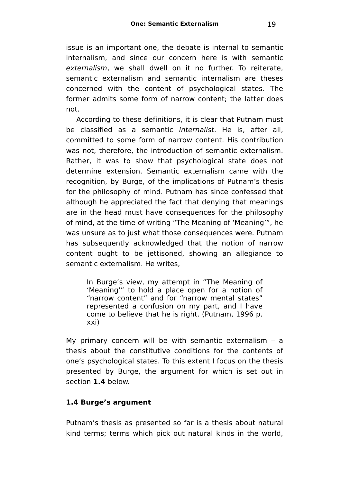issue is an important one, the debate is internal to semantic internalism, and since our concern here is with semantic externalism, we shall dwell on it no further. To reiterate, semantic externalism and semantic internalism are theses concerned with the content of psychological states. The former admits some form of narrow content; the latter does not.

According to these definitions, it is clear that Putnam must be classified as a semantic internalist. He is, after all, committed to some form of narrow content. His contribution was not, therefore, the introduction of semantic externalism. Rather, it was to show that psychological state does not determine extension. Semantic externalism came with the recognition, by Burge, of the implications of Putnam's thesis for the philosophy of mind. Putnam has since confessed that although he appreciated the fact that denying that meanings are in the head must have consequences for the philosophy of mind, at the time of writing "The Meaning of 'Meaning'", he was unsure as to just what those consequences were. Putnam has subsequently acknowledged that the notion of narrow content ought to be jettisoned, showing an allegiance to semantic externalism. He writes,

In Burge's view, my attempt in "The Meaning of 'Meaning'" to hold a place open for a notion of "narrow content" and for "narrow mental states" represented a confusion on my part, and I have come to believe that he is right. (Putnam, 1996 p. xxi)

My primary concern will be with semantic externalism – a thesis about the constitutive conditions for the contents of one's psychological states. To this extent I focus on the thesis presented by Burge, the argument for which is set out in section **1.4** below.

## **1.4 Burge's argument**

Putnam's thesis as presented so far is a thesis about natural kind terms; terms which pick out natural kinds in the world,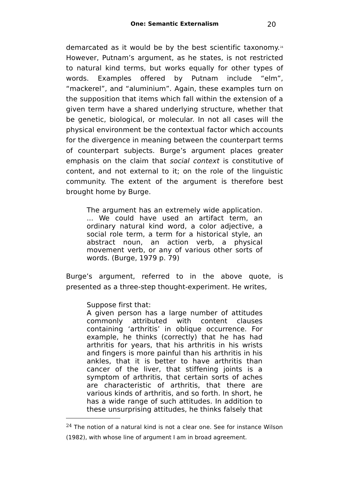demarcated as it would be by the best scientific taxonomy. [24](#page-19-0) However, Putnam's argument, as he states, is not restricted to natural kind terms, but works equally for other types of words. Examples offered by Putnam include "elm", "mackerel", and "aluminium". Again, these examples turn on the supposition that items which fall within the extension of a given term have a shared underlying structure, whether that be genetic, biological, or molecular. In not all cases will the physical environment be the contextual factor which accounts for the divergence in meaning between the counterpart terms of counterpart subjects. Burge's argument places greater emphasis on the claim that social context is constitutive of content, and not external to it; on the role of the linguistic community. The extent of the argument is therefore best brought home by Burge.

The argument has an extremely wide application. ... We could have used an artifact term, an ordinary natural kind word, a color adjective, a social role term, a term for a historical style, an abstract noun, an action verb, a physical movement verb, or any of various other sorts of words. (Burge, 1979 p. 79)

Burge's argument, referred to in the above quote, is presented as a three-step thought-experiment. He writes,

Suppose first that:

A given person has a large number of attitudes commonly attributed with content clauses containing 'arthritis' in oblique occurrence. For example, he thinks (correctly) that he has had arthritis for years, that his arthritis in his wrists and fingers is more painful than his arthritis in his ankles, that it is better to have arthritis than cancer of the liver, that stiffening joints is a symptom of arthritis, that certain sorts of aches are characteristic of arthritis, that there are various kinds of arthritis, and so forth. In short, he has a wide range of such attitudes. In addition to these unsurprising attitudes, he thinks falsely that

<span id="page-19-0"></span> $24$  The notion of a natural kind is not a clear one. See for instance Wilson (1982), with whose line of argument I am in broad agreement.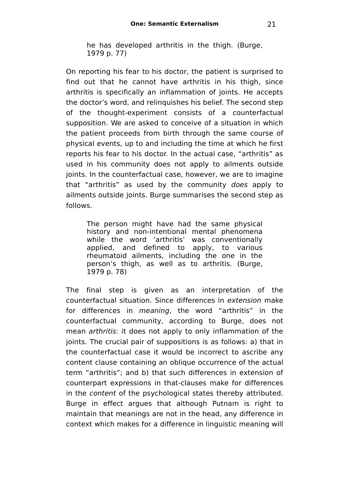he has developed arthritis in the thigh. (Burge, 1979 p. 77)

On reporting his fear to his doctor, the patient is surprised to find out that he cannot have arthritis in his thigh, since arthritis is specifically an inflammation of joints. He accepts the doctor's word, and relinquishes his belief. The second step of the thought-experiment consists of a counterfactual supposition. We are asked to conceive of a situation in which the patient proceeds from birth through the same course of physical events, up to and including the time at which he first reports his fear to his doctor. In the actual case, "arthritis" as used in his community does not apply to ailments outside joints. In the counterfactual case, however, we are to imagine that "arthritis" as used by the community does apply to ailments outside joints. Burge summarises the second step as follows.

The person might have had the same physical history and non-intentional mental phenomena while the word 'arthritis' was conventionally applied, and defined to apply, to various rheumatoid ailments, including the one in the person's thigh, as well as to arthritis. (Burge, 1979 p. 78)

The final step is given as an interpretation of the counterfactual situation. Since differences in extension make for differences in meaning, the word "arthritis" in the counterfactual community, according to Burge, does not mean arthritis: it does not apply to only inflammation of the joints. The crucial pair of suppositions is as follows: a) that in the counterfactual case it would be incorrect to ascribe any content clause containing an oblique occurrence of the actual term "arthritis"; and b) that such differences in extension of counterpart expressions in that-clauses make for differences in the content of the psychological states thereby attributed. Burge in effect argues that although Putnam is right to maintain that meanings are not in the head, any difference in context which makes for a difference in linguistic meaning will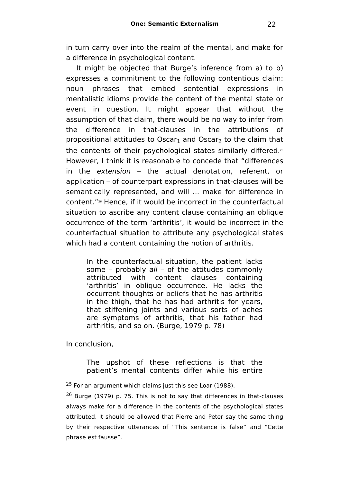in turn carry over into the realm of the mental, and make for a difference in psychological content.

It might be objected that Burge's inference from a) to b) expresses a commitment to the following contentious claim: noun phrases that embed sentential expressions in mentalistic idioms provide the content of the mental state or event in question. It might appear that without the assumption of that claim, there would be no way to infer from the difference in that-clauses in the attributions of propositional attitudes to Oscar<sub>1</sub> and Oscar<sub>2</sub> to the claim that the contents of their psychological states similarly differed.[25](#page-21-0) However, I think it is reasonable to concede that "differences in the extension – the actual denotation, referent, or application – of counterpart expressions in that-clauses will be semantically represented, and will ... make for difference in content."[26](#page-21-1) Hence, if it would be incorrect in the counterfactual situation to ascribe any content clause containing an oblique occurrence of the term 'arthritis', it would be incorrect in the counterfactual situation to attribute any psychological states which had a content containing the notion of arthritis.

In the counterfactual situation, the patient lacks some – probably all – of the attitudes commonly attributed with content clauses containing 'arthritis' in oblique occurrence. He lacks the occurrent thoughts or beliefs that he has arthritis in the thigh, that he has had arthritis for years, that stiffening joints and various sorts of aches are symptoms of arthritis, that his father had arthritis, and so on. (Burge, 1979 p. 78)

In conclusion,

The upshot of these reflections is that the patient's mental contents differ while his entire

<span id="page-21-0"></span> $25$  For an argument which claims just this see Loar (1988).

<span id="page-21-1"></span> $26$  Burge (1979) p. 75. This is not to say that differences in that-clauses always make for a difference in the contents of the psychological states attributed. It should be allowed that Pierre and Peter say the same thing by their respective utterances of "This sentence is false" and "Cette phrase est fausse".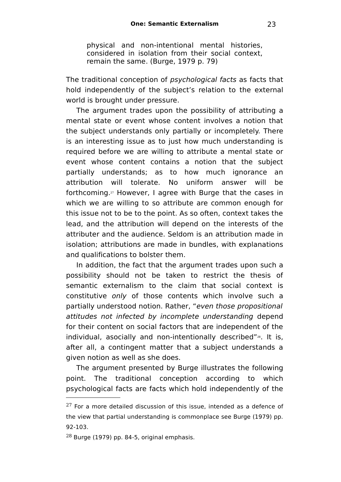physical and non-intentional mental histories, considered in isolation from their social context, remain the same. (Burge, 1979 p. 79)

The traditional conception of *psychological facts* as facts that hold independently of the subject's relation to the external world is brought under pressure.

The argument trades upon the possibility of attributing a mental state or event whose content involves a notion that the subject understands only partially or incompletely. There is an interesting issue as to just how much understanding is required before we are willing to attribute a mental state or event whose content contains a notion that the subject partially understands; as to how much ignorance an attribution will tolerate. No uniform answer will be forthcoming. [27](#page-22-0) However, I agree with Burge that the cases in which we are willing to so attribute are common enough for this issue not to be to the point. As so often, context takes the lead, and the attribution will depend on the interests of the attributer and the audience. Seldom is an attribution made in isolation; attributions are made in bundles, with explanations and qualifications to bolster them.

In addition, the fact that the argument trades upon such a possibility should not be taken to restrict the thesis of semantic externalism to the claim that social context is constitutive only of those contents which involve such a partially understood notion. Rather, "even those propositional attitudes not infected by incomplete understanding depend for their content on social factors that are independent of the individual, asocially and non-intentionally described"<sup>[28](#page-22-1)</sup>. It is, after all, a contingent matter that a subject understands a given notion as well as she does.

The argument presented by Burge illustrates the following point. The traditional conception according to which psychological facts are facts which hold independently of the

<span id="page-22-0"></span> $27$  For a more detailed discussion of this issue, intended as a defence of the view that partial understanding is commonplace see Burge (1979) pp. 92-103.

<span id="page-22-1"></span> $28$  Burge (1979) pp. 84-5, original emphasis.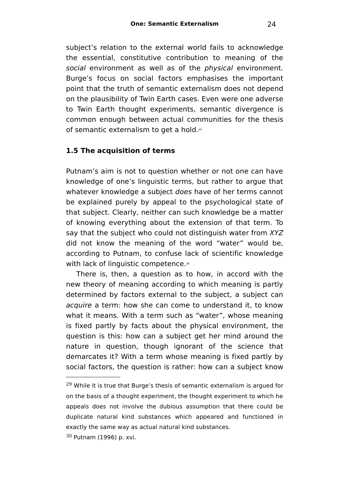subject's relation to the external world fails to acknowledge the essential, constitutive contribution to meaning of the social environment as well as of the *physical* environment. Burge's focus on social factors emphasises the important point that the truth of semantic externalism does not depend on the plausibility of Twin Earth cases. Even were one adverse to Twin Earth thought experiments, semantic divergence is common enough between actual communities for the thesis of semantic externalism to get a hold.[29](#page-23-0)

### **1.5 The acquisition of terms**

Putnam's aim is not to question whether or not one can have knowledge of one's linguistic terms, but rather to argue that whatever knowledge a subject *does* have of her terms cannot be explained purely by appeal to the psychological state of that subject. Clearly, neither can such knowledge be a matter of knowing everything about the extension of that term. To say that the subject who could not distinguish water from XYZ did not know the meaning of the word "water" would be, according to Putnam, to confuse lack of scientific knowledge with lack of linguistic competence.<sup>[30](#page-23-1)</sup>

There is, then, a question as to how, in accord with the new theory of meaning according to which meaning is partly determined by factors external to the subject, a subject can acquire a term: how she can come to understand it, to know what it means. With a term such as "water", whose meaning is fixed partly by facts about the physical environment, the question is this: how can a subject get her mind around the nature in question, though ignorant of the science that demarcates it? With a term whose meaning is fixed partly by social factors, the question is rather: how can a subject know

<span id="page-23-0"></span> $29$  While it is true that Burge's thesis of semantic externalism is argued for on the basis of a thought experiment, the thought experiment to which he appeals does not involve the dubious assumption that there could be duplicate natural kind substances which appeared and functioned in exactly the same way as actual natural kind substances.

<span id="page-23-1"></span><sup>30</sup> Putnam (1996) p. xvi.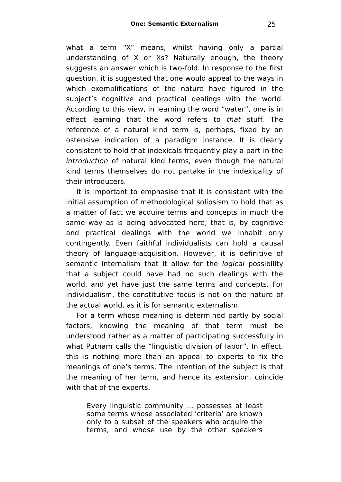what a term "X" means, whilst having only a partial understanding of X or Xs? Naturally enough, the theory suggests an answer which is two-fold. In response to the first question, it is suggested that one would appeal to the ways in which exemplifications of the nature have figured in the subject's cognitive and practical dealings with the world. According to this view, in learning the word "water", one is in effect learning that the word refers to that stuff. The reference of a natural kind term is, perhaps, fixed by an ostensive indication of a paradigm instance. It is clearly consistent to hold that indexicals frequently play a part in the introduction of natural kind terms, even though the natural kind terms themselves do not partake in the indexicality of their introducers.

It is important to emphasise that it is consistent with the initial assumption of methodological solipsism to hold that as a matter of fact we acquire terms and concepts in much the same way as is being advocated here; that is, by cognitive and practical dealings with the world we inhabit only contingently. Even faithful individualists can hold a causal theory of language-acquisition. However, it is definitive of semantic internalism that it allow for the *logical* possibility that a subject could have had no such dealings with the world, and yet have just the same terms and concepts. For individualism, the constitutive focus is not on the nature of the actual world, as it is for semantic externalism.

For a term whose meaning is determined partly by social factors, knowing the meaning of that term must be understood rather as a matter of participating successfully in what Putnam calls the "linguistic division of labor". In effect, this is nothing more than an appeal to experts to fix the meanings of one's terms. The intention of the subject is that the meaning of her term, and hence its extension, coincide with that of the experts.

Every linguistic community ... possesses at least some terms whose associated 'criteria' are known only to a subset of the speakers who acquire the terms, and whose use by the other speakers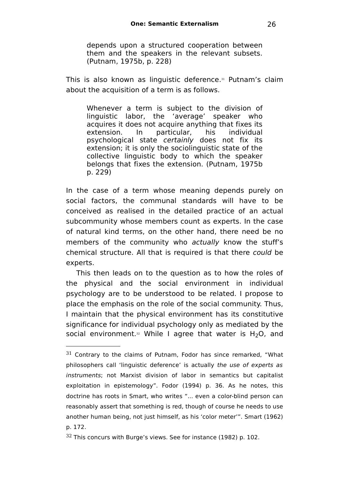depends upon a structured cooperation between them and the speakers in the relevant subsets. (Putnam, 1975b, p. 228)

This is also known as linguistic deference. [31](#page-25-0) Putnam's claim about the acquisition of a term is as follows.

Whenever a term is subject to the division of linguistic labor, the 'average' speaker who acquires it does not acquire anything that fixes its extension. In particular, his individual psychological state certainly does not fix its extension; it is only the sociolinguistic state of the collective linguistic body to which the speaker belongs that fixes the extension. (Putnam, 1975b p. 229)

In the case of a term whose meaning depends purely on social factors, the communal standards will have to be conceived as realised in the detailed practice of an actual subcommunity whose members count as experts. In the case of natural kind terms, on the other hand, there need be no members of the community who actually know the stuff's chemical structure. All that is required is that there could be experts.

This then leads on to the question as to how the roles of the physical and the social environment in individual psychology are to be understood to be related. I propose to place the emphasis on the role of the social community. Thus, I maintain that the physical environment has its constitutive significance for individual psychology only as mediated by the social environment.<sup>[32](#page-25-1)</sup> While I agree that water is H<sub>2</sub>O, and

<span id="page-25-0"></span> $31$  Contrary to the claims of Putnam, Fodor has since remarked, "What philosophers call 'linguistic deference' is actually the use of experts as instruments; not Marxist division of labor in semantics but capitalist exploitation in epistemology". Fodor (1994) p. 36. As he notes, this doctrine has roots in Smart, who writes "... even a color-blind person can reasonably assert that something is red, though of course he needs to use another human being, not just himself, as his 'color meter'". Smart (1962) p. 172.

<span id="page-25-1"></span> $32$  This concurs with Burge's views. See for instance (1982) p. 102.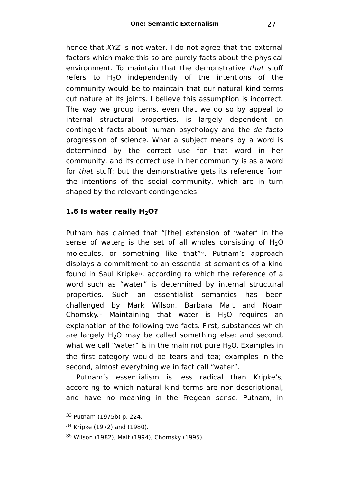hence that XYZ is not water. I do not agree that the external factors which make this so are purely facts about the physical environment. To maintain that the demonstrative that stuff refers to  $H<sub>2</sub>O$  independently of the intentions of the community would be to maintain that our natural kind terms cut nature at its joints. I believe this assumption is incorrect. The way we group items, even that we do so by appeal to internal structural properties, is largely dependent on contingent facts about human psychology and the de facto progression of science. What a subject means by a word is determined by the correct use for that word in her community, and its correct use in her community is as a word for that stuff: but the demonstrative gets its reference from the intentions of the social community, which are in turn shaped by the relevant contingencies.

## **1.6 Is water really H2O?**

Putnam has claimed that "[the] extension of 'water' in the sense of water<sub>F</sub> is the set of all wholes consisting of H<sub>2</sub>O molecules, or something like that"<sup>[33](#page-26-0)</sup>. Putnam's approach displays a commitment to an essentialist semantics of a kind found in Saul Kripke[34](#page-26-1) , according to which the reference of a word such as "water" is determined by internal structural properties. Such an essentialist semantics has been challenged by Mark Wilson, Barbara Malt and Noam Chomsky. $35$  Maintaining that water is  $H_2O$  requires an explanation of the following two facts. First, substances which are largely  $H_2O$  may be called something else; and second, what we call "water" is in the main not pure  $H_2O$ . Examples in the first category would be tears and tea; examples in the second, almost everything we in fact call "water".

Putnam's essentialism is less radical than Kripke's, according to which natural kind terms are non-descriptional, and have no meaning in the Fregean sense. Putnam, in

<span id="page-26-0"></span><sup>33</sup> Putnam (1975b) p. 224.

<span id="page-26-1"></span> $34$  Kripke (1972) and (1980).

<span id="page-26-2"></span><sup>35</sup> Wilson (1982), Malt (1994), Chomsky (1995).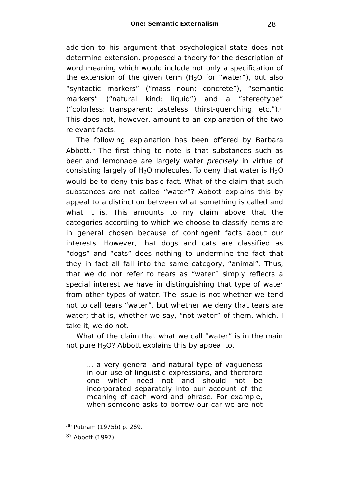addition to his argument that psychological state does not determine extension, proposed a theory for the description of word meaning which would include not only a specification of the extension of the given term  $(H<sub>2</sub>O$  for "water"), but also "syntactic markers" ("mass noun; concrete"), "semantic markers" ("natural kind; liquid") and a "stereotype" ("colorless; transparent; tasteless; thirst-quenching; etc."). [36](#page-27-0) This does not, however, amount to an explanation of the two relevant facts.

The following explanation has been offered by Barbara Abbott. $37$  The first thing to note is that substances such as beer and lemonade are largely water *precisely* in virtue of consisting largely of  $H_2O$  molecules. To deny that water is  $H_2O$ would be to deny this basic fact. What of the claim that such substances are not called "water"? Abbott explains this by appeal to a distinction between what something is called and what it is. This amounts to my claim above that the categories according to which we choose to classify items are in general chosen because of contingent facts about our interests. However, that dogs and cats are classified as "dogs" and "cats" does nothing to undermine the fact that they in fact all fall into the same category, "animal". Thus, that we do not refer to tears as "water" simply reflects a special interest we have in distinguishing that type of water from other types of water. The issue is not whether we tend not to call tears "water", but whether we deny that tears are water; that is, whether we say, "not water" of them, which, I take it, we do not.

What of the claim that what we call "water" is in the main not pure  $H_2O$ ? Abbott explains this by appeal to,

... a very general and natural type of vagueness in our use of linguistic expressions, and therefore one which need not and should not be incorporated separately into our account of the meaning of each word and phrase. For example, when someone asks to borrow our car we are not

<span id="page-27-0"></span><sup>36</sup> Putnam (1975b) p. 269.

<span id="page-27-1"></span><sup>37</sup> Abbott (1997).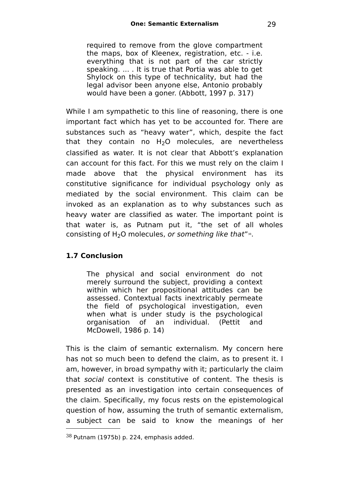required to remove from the glove compartment the maps, box of Kleenex, registration, etc. - i.e. everything that is not part of the car strictly speaking. ... . It is true that Portia was able to get Shylock on this type of technicality, but had the legal advisor been anyone else, Antonio probably would have been a goner. (Abbott, 1997 p. 317)

While I am sympathetic to this line of reasoning, there is one important fact which has yet to be accounted for. There are substances such as "heavy water", which, despite the fact that they contain no  $H<sub>2</sub>O$  molecules, are nevertheless classified as water. It is not clear that Abbott's explanation can account for this fact. For this we must rely on the claim I made above that the physical environment has its constitutive significance for individual psychology only as mediated by the social environment. This claim can be invoked as an explanation as to why substances such as heavy water are classified as water. The important point is that water is, as Putnam put it, "the set of all wholes consisting of  $H_2O$  molecules, *or something like that*" $^{\text{\tiny{38}}}$  $^{\text{\tiny{38}}}$  $^{\text{\tiny{38}}}$ .

## **1.7 Conclusion**

The physical and social environment do not merely surround the subject, providing a context within which her propositional attitudes can be assessed. Contextual facts inextricably permeate the field of psychological investigation, even when what is under study is the psychological organisation of an individual. (Pettit and McDowell, 1986 p. 14)

This is the claim of semantic externalism. My concern here has not so much been to defend the claim, as to present it. I am, however, in broad sympathy with it; particularly the claim that social context is constitutive of content. The thesis is presented as an investigation into certain consequences of the claim. Specifically, my focus rests on the epistemological question of how, assuming the truth of semantic externalism, a subject can be said to know the meanings of her

<span id="page-28-0"></span><sup>38</sup> Putnam (1975b) p. 224, emphasis added.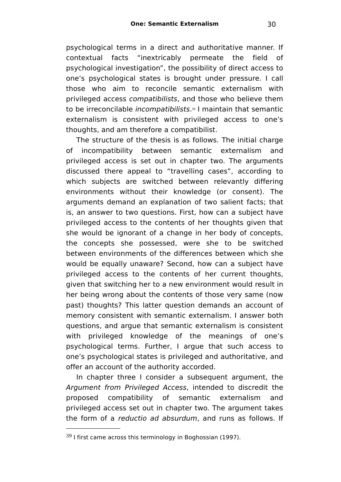psychological terms in a direct and authoritative manner. If contextual facts "inextricably permeate the field of psychological investigation", the possibility of direct access to one's psychological states is brought under pressure. I call those who aim to reconcile semantic externalism with privileged access compatibilists, and those who believe them to be irreconcilable *incompatibilists*.<sup>[39](#page-29-0)</sup> I maintain that semantic externalism is consistent with privileged access to one's thoughts, and am therefore a compatibilist.

The structure of the thesis is as follows. The initial charge of incompatibility between semantic externalism and privileged access is set out in chapter two. The arguments discussed there appeal to "travelling cases", according to which subjects are switched between relevantly differing environments without their knowledge (or consent). The arguments demand an explanation of two salient facts; that is, an answer to two questions. First, how can a subject have privileged access to the contents of her thoughts given that she would be ignorant of a change in her body of concepts, the concepts she possessed, were she to be switched between environments of the differences between which she would be equally unaware? Second, how can a subject have privileged access to the contents of her current thoughts, given that switching her to a new environment would result in her being wrong about the contents of those very same (now past) thoughts? This latter question demands an account of memory consistent with semantic externalism. I answer both questions, and argue that semantic externalism is consistent with privileged knowledge of the meanings of one's psychological terms. Further, I argue that such access to one's psychological states is privileged and authoritative, and offer an account of the authority accorded.

In chapter three I consider a subsequent argument, the Argument from Privileged Access, intended to discredit the proposed compatibility of semantic externalism and privileged access set out in chapter two. The argument takes the form of a reductio ad absurdum, and runs as follows. If

<span id="page-29-0"></span> $39$  I first came across this terminology in Boghossian (1997).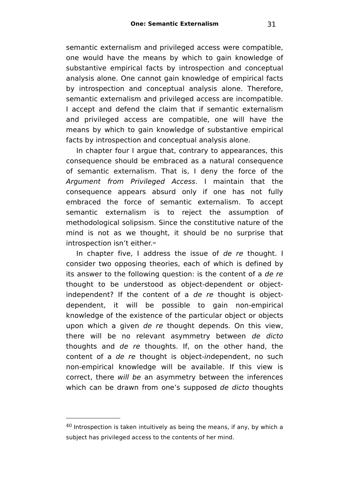semantic externalism and privileged access were compatible, one would have the means by which to gain knowledge of substantive empirical facts by introspection and conceptual analysis alone. One cannot gain knowledge of empirical facts by introspection and conceptual analysis alone. Therefore, semantic externalism and privileged access are incompatible. I accept and defend the claim that if semantic externalism and privileged access are compatible, one will have the means by which to gain knowledge of substantive empirical facts by introspection and conceptual analysis alone.

In chapter four I argue that, contrary to appearances, this consequence should be embraced as a natural consequence of semantic externalism. That is, I deny the force of the Argument from Privileged Access. I maintain that the consequence appears absurd only if one has not fully embraced the force of semantic externalism. To accept semantic externalism is to reject the assumption of methodological solipsism. Since the constitutive nature of the mind is not as we thought, it should be no surprise that introspection isn't either. [40](#page-30-0)

In chapter five. I address the issue of de re thought. I consider two opposing theories, each of which is defined by its answer to the following question: is the content of a de re thought to be understood as object-dependent or objectindependent? If the content of a de re thought is objectdependent, it will be possible to gain non-empirical knowledge of the existence of the particular object or objects upon which a given de re thought depends. On this view, there will be no relevant asymmetry between de dicto thoughts and de re thoughts. If, on the other hand, the content of a de re thought is object-independent, no such non-empirical knowledge will be available. If this view is correct, there will be an asymmetry between the inferences which can be drawn from one's supposed de dicto thoughts

<span id="page-30-0"></span> $40$  Introspection is taken intuitively as being the means, if any, by which a subject has privileged access to the contents of her mind.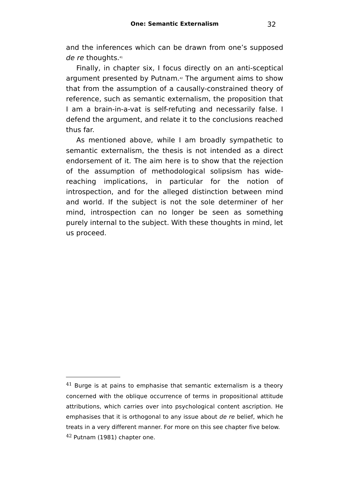and the inferences which can be drawn from one's supposed de re thoughts. $41$ 

Finally, in chapter six, I focus directly on an anti-sceptical argument presented by Putnam.<sup>[42](#page-31-1)</sup> The argument aims to show that from the assumption of a causally-constrained theory of reference, such as semantic externalism, the proposition that I am a brain-in-a-vat is self-refuting and necessarily false. I defend the argument, and relate it to the conclusions reached thus far.

As mentioned above, while I am broadly sympathetic to semantic externalism, the thesis is not intended as a direct endorsement of it. The aim here is to show that the rejection of the assumption of methodological solipsism has widereaching implications, in particular for the notion of introspection, and for the alleged distinction between mind and world. If the subject is not the sole determiner of her mind, introspection can no longer be seen as something purely internal to the subject. With these thoughts in mind, let us proceed.

<span id="page-31-1"></span><span id="page-31-0"></span> $41$  Burge is at pains to emphasise that semantic externalism is a theory concerned with the oblique occurrence of terms in propositional attitude attributions, which carries over into psychological content ascription. He emphasises that it is orthogonal to any issue about de re belief, which he treats in a very different manner. For more on this see chapter five below. <sup>42</sup> Putnam (1981) chapter one.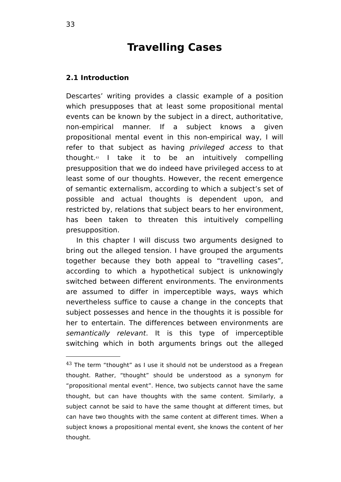# **Travelling Cases**

### **2.1 Introduction**

Descartes' writing provides a classic example of a position which presupposes that at least some propositional mental events can be known by the subject in a direct, authoritative, non-empirical manner. If a subject knows a given propositional mental event in this non-empirical way, I will refer to that subject as having privileged access to that thought.[43](#page-32-0) I take it to be an intuitively compelling presupposition that we do indeed have privileged access to at least some of our thoughts. However, the recent emergence of semantic externalism, according to which a subject's set of possible and actual thoughts is dependent upon, and restricted by, relations that subject bears to her environment, has been taken to threaten this intuitively compelling presupposition.

In this chapter I will discuss two arguments designed to bring out the alleged tension. I have grouped the arguments together because they both appeal to "travelling cases", according to which a hypothetical subject is unknowingly switched between different environments. The environments are assumed to differ in imperceptible ways, ways which nevertheless suffice to cause a change in the concepts that subject possesses and hence in the thoughts it is possible for her to entertain. The differences between environments are semantically relevant. It is this type of imperceptible switching which in both arguments brings out the alleged

<span id="page-32-0"></span> $43$  The term "thought" as I use it should not be understood as a Fregean thought. Rather, "thought" should be understood as a synonym for "propositional mental event". Hence, two subjects cannot have the same thought, but can have thoughts with the same content. Similarly, a subject cannot be said to have the same thought at different times, but can have two thoughts with the same content at different times. When a subject knows a propositional mental event, she knows the content of her thought.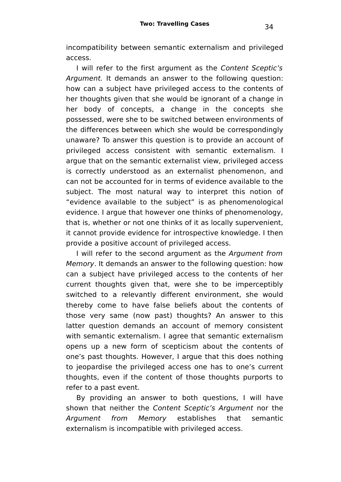incompatibility between semantic externalism and privileged access.

I will refer to the first argument as the Content Sceptic's Argument. It demands an answer to the following question: how can a subject have privileged access to the contents of her thoughts given that she would be ignorant of a change in her body of concepts, a change in the concepts she possessed, were she to be switched between environments of the differences between which she would be correspondingly unaware? To answer this question is to provide an account of privileged access consistent with semantic externalism. I argue that on the semantic externalist view, privileged access is correctly understood as an externalist phenomenon, and can not be accounted for in terms of evidence available to the subject. The most natural way to interpret this notion of "evidence available to the subject" is as phenomenological evidence. I argue that however one thinks of phenomenology, that is, whether or not one thinks of it as locally supervenient, it cannot provide evidence for introspective knowledge. I then provide a positive account of privileged access.

I will refer to the second argument as the Argument from Memory. It demands an answer to the following question: how can a subject have privileged access to the contents of her current thoughts given that, were she to be imperceptibly switched to a relevantly different environment, she would thereby come to have false beliefs about the contents of those very same (now past) thoughts? An answer to this latter question demands an account of memory consistent with semantic externalism. I agree that semantic externalism opens up a new form of scepticism about the contents of one's past thoughts. However, I argue that this does nothing to jeopardise the privileged access one has to one's current thoughts, even if the content of those thoughts purports to refer to a past event.

By providing an answer to both questions, I will have shown that neither the Content Sceptic's Argument nor the Argument from Memory establishes that semantic externalism is incompatible with privileged access.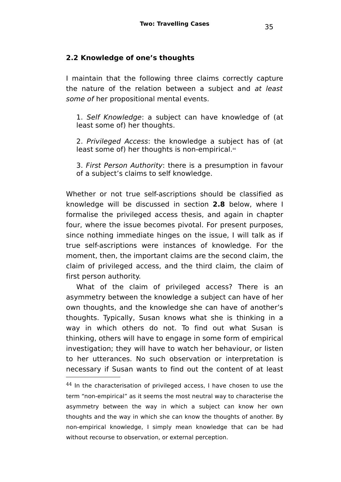### **2.2 Knowledge of one's thoughts**

I maintain that the following three claims correctly capture the nature of the relation between a subject and at least some of her propositional mental events.

1. Self Knowledge: a subject can have knowledge of (at least some of) her thoughts.

2. Privileged Access: the knowledge a subject has of (at least some of) her thoughts is non-empirical.<sup>[44](#page-34-0)</sup>

3. First Person Authority: there is a presumption in favour of a subject's claims to self knowledge.

Whether or not true self-ascriptions should be classified as knowledge will be discussed in section **2.8** below, where I formalise the privileged access thesis, and again in chapter four, where the issue becomes pivotal. For present purposes, since nothing immediate hinges on the issue, I will talk as if true self-ascriptions were instances of knowledge. For the moment, then, the important claims are the second claim, the claim of privileged access, and the third claim, the claim of first person authority.

What of the claim of privileged access? There is an asymmetry between the knowledge a subject can have of her own thoughts, and the knowledge she can have of another's thoughts. Typically, Susan knows what she is thinking in a way in which others do not. To find out what Susan is thinking, others will have to engage in some form of empirical investigation; they will have to watch her behaviour, or listen to her utterances. No such observation or interpretation is necessary if Susan wants to find out the content of at least

<span id="page-34-0"></span> $44$  In the characterisation of privileged access, I have chosen to use the term "non-empirical" as it seems the most neutral way to characterise the asymmetry between the way in which a subject can know her own thoughts and the way in which she can know the thoughts of another. By non-empirical knowledge, I simply mean knowledge that can be had without recourse to observation, or external perception.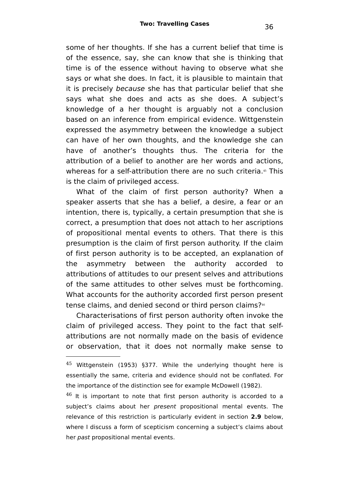some of her thoughts. If she has a current belief that time is of the essence, say, she can know that she is thinking that time is of the essence without having to observe what she says or what she does. In fact, it is plausible to maintain that it is precisely because she has that particular belief that she says what she does and acts as she does. A subject's knowledge of a her thought is arguably not a conclusion based on an inference from empirical evidence. Wittgenstein expressed the asymmetry between the knowledge a subject can have of her own thoughts, and the knowledge she can have of another's thoughts thus. The criteria for the attribution of a belief to another are her words and actions whereas for a self-attribution there are no such criteria. [45](#page-35-0) This is the claim of privileged access.

What of the claim of first person authority? When a speaker asserts that she has a belief, a desire, a fear or an intention, there is, typically, a certain presumption that she is correct, a presumption that does not attach to her ascriptions of propositional mental events to others. That there is this presumption is the claim of first person authority. If the claim of first person authority is to be accepted, an explanation of the asymmetry between the authority accorded to attributions of attitudes to our present selves and attributions of the same attitudes to other selves must be forthcoming. What accounts for the authority accorded first person present tense claims, and denied second or third person claims?[46](#page-35-1)

Characterisations of first person authority often invoke the claim of privileged access. They point to the fact that selfattributions are not normally made on the basis of evidence or observation, that it does not normally make sense to

<span id="page-35-0"></span> $45$  Wittgenstein (1953) §377. While the underlying thought here is essentially the same, criteria and evidence should not be conflated. For the importance of the distinction see for example McDowell (1982).

<span id="page-35-1"></span> $46$  It is important to note that first person authority is accorded to a subject's claims about her *present* propositional mental events. The relevance of this restriction is particularly evident in section **2.9** below, where I discuss a form of scepticism concerning a subject's claims about her past propositional mental events.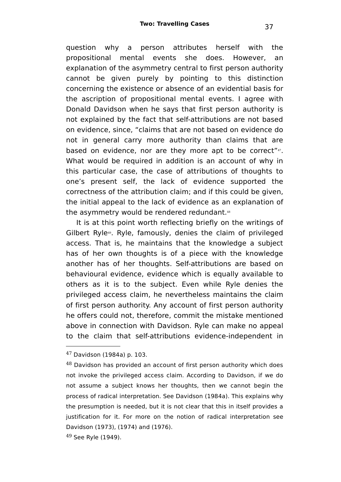question why a person attributes herself with the propositional mental events she does. However, an explanation of the asymmetry central to first person authority cannot be given purely by pointing to this distinction concerning the existence or absence of an evidential basis for the ascription of propositional mental events. I agree with Donald Davidson when he says that first person authority is not explained by the fact that self-attributions are not based on evidence, since, "claims that are not based on evidence do not in general carry more authority than claims that are based on evidence, nor are they more apt to be correct"<sup>[47](#page-36-0)</sup>. What would be required in addition is an account of why in this particular case, the case of attributions of thoughts to one's present self, the lack of evidence supported the correctness of the attribution claim; and if this could be given, the initial appeal to the lack of evidence as an explanation of the asymmetry would be rendered redundant.<sup>[48](#page-36-1)</sup>

It is at this point worth reflecting briefly on the writings of Gilbert Ryle<sup>[49](#page-36-2)</sup>. Ryle, famously, denies the claim of privileged access. That is, he maintains that the knowledge a subject has of her own thoughts is of a piece with the knowledge another has of her thoughts. Self-attributions are based on behavioural evidence, evidence which is equally available to others as it is to the subject. Even while Ryle denies the privileged access claim, he nevertheless maintains the claim of first person authority. Any account of first person authority he offers could not, therefore, commit the mistake mentioned above in connection with Davidson. Ryle can make no appeal to the claim that self-attributions evidence-independent in

<span id="page-36-0"></span><sup>47</sup> Davidson (1984a) p. 103.

<span id="page-36-1"></span> $48$  Davidson has provided an account of first person authority which does not invoke the privileged access claim. According to Davidson, if we do not assume a subject knows her thoughts, then we cannot begin the process of radical interpretation. See Davidson (1984a). This explains why the presumption is needed, but it is not clear that this in itself provides a justification for it. For more on the notion of radical interpretation see Davidson (1973), (1974) and (1976).

<span id="page-36-2"></span><sup>49</sup> See Ryle (1949).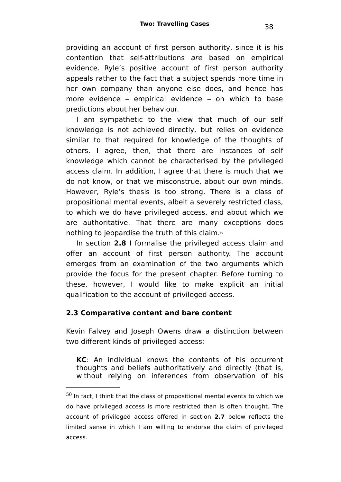providing an account of first person authority, since it is his contention that self-attributions are based on empirical evidence. Ryle's positive account of first person authority appeals rather to the fact that a subject spends more time in her own company than anyone else does, and hence has more evidence – empirical evidence – on which to base predictions about her behaviour.

I am sympathetic to the view that much of our self knowledge is not achieved directly, but relies on evidence similar to that required for knowledge of the thoughts of others. I agree, then, that there are instances of self knowledge which cannot be characterised by the privileged access claim. In addition, I agree that there is much that we do not know, or that we misconstrue, about our own minds. However, Ryle's thesis is too strong. There is a class of propositional mental events, albeit a severely restricted class, to which we do have privileged access, and about which we are authoritative. That there are many exceptions does nothing to jeopardise the truth of this claim.[50](#page-37-0)

In section **2.8** I formalise the privileged access claim and offer an account of first person authority. The account emerges from an examination of the two arguments which provide the focus for the present chapter. Before turning to these, however, I would like to make explicit an initial qualification to the account of privileged access.

# **2.3 Comparative content and bare content**

Kevin Falvey and Joseph Owens draw a distinction between two different kinds of privileged access:

**KC**: An individual knows the contents of his occurrent thoughts and beliefs authoritatively and directly (that is, without relying on inferences from observation of his

<span id="page-37-0"></span> $50$  In fact, I think that the class of propositional mental events to which we do have privileged access is more restricted than is often thought. The account of privileged access offered in section **2.7** below reflects the limited sense in which I am willing to endorse the claim of privileged access.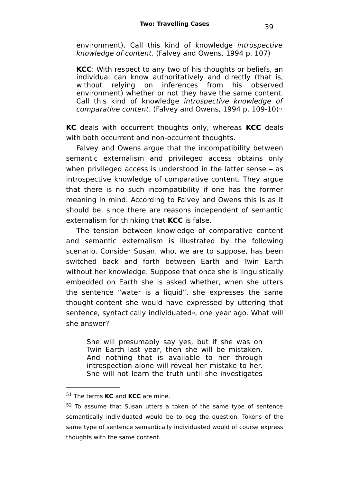environment). Call this kind of knowledge introspective knowledge of content. (Falvey and Owens, 1994 p. 107)

**KCC**: With respect to any two of his thoughts or beliefs, an individual can know authoritatively and directly (that is, without relying on inferences from his observed environment) whether or not they have the same content. Call this kind of knowledge introspective knowledge of comparative content. (Falvey and Owens, 1994 p. 109-10)[51](#page-38-0)

**KC** deals with occurrent thoughts only, whereas **KCC** deals with both occurrent and non-occurrent thoughts.

Falvey and Owens argue that the incompatibility between semantic externalism and privileged access obtains only when privileged access is understood in the latter sense – as introspective knowledge of comparative content. They argue that there is no such incompatibility if one has the former meaning in mind. According to Falvey and Owens this is as it should be, since there are reasons independent of semantic externalism for thinking that **KCC** is false.

The tension between knowledge of comparative content and semantic externalism is illustrated by the following scenario. Consider Susan, who, we are to suppose, has been switched back and forth between Earth and Twin Earth without her knowledge. Suppose that once she is linguistically embedded on Earth she is asked whether, when she utters the sentence "water is a liquid", she expresses the same thought-content she would have expressed by uttering that sentence, syntactically individuated<sup>®</sup>, one year ago. What will she answer?

She will presumably say yes, but if she was on Twin Earth last year, then she will be mistaken. And nothing that is available to her through introspection alone will reveal her mistake to her. She will not learn the truth until she investigates

<span id="page-38-0"></span><sup>51</sup> The terms **KC** and **KCC** are mine.

<span id="page-38-1"></span><sup>&</sup>lt;sup>52</sup> To assume that Susan utters a token of the same type of sentence semantically individuated would be to beg the question. Tokens of the same type of sentence semantically individuated would of course express thoughts with the same content.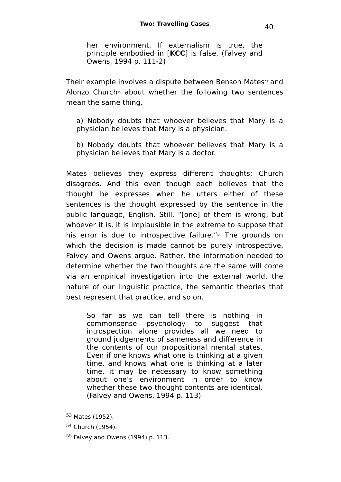her environment. If externalism is true, the principle embodied in [**KCC**] is false. (Falvey and Owens, 1994 p. 111-2)

Their example involves a dispute between Benson Mates<sup>[53](#page-39-0)</sup> and Alonzo Church<sup>[54](#page-39-1)</sup> about whether the following two sentences mean the same thing.

a) Nobody doubts that whoever believes that Mary is a physician believes that Mary is a physician.

b) Nobody doubts that whoever believes that Mary is a physician believes that Mary is a doctor.

Mates believes they express different thoughts; Church disagrees. And this even though each believes that the thought he expresses when he utters either of these sentences is the thought expressed by the sentence in the public language, English. Still, "[one] of them is wrong, but whoever it is, it is implausible in the extreme to suppose that his error is due to introspective failure."<sup>[55](#page-39-2)</sup> The grounds on which the decision is made cannot be purely introspective, Falvey and Owens argue. Rather, the information needed to determine whether the two thoughts are the same will come via an empirical investigation into the external world, the nature of our linguistic practice, the semantic theories that best represent that practice, and so on.

So far as we can tell there is nothing in commonsense psychology to suggest that introspection alone provides all we need to ground judgements of sameness and difference in the contents of our propositional mental states. Even if one knows what one is thinking at a given time, and knows what one is thinking at a later time, it may be necessary to know something about one's environment in order to know whether these two thought contents are identical. (Falvey and Owens, 1994 p. 113)

<span id="page-39-0"></span><sup>53</sup> Mates (1952).

<span id="page-39-1"></span><sup>54</sup> Church (1954).

<span id="page-39-2"></span> $55$  Falvey and Owens (1994) p. 113.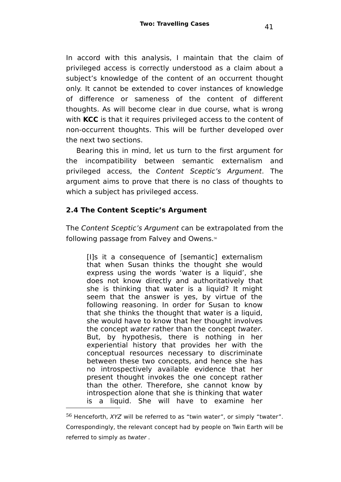In accord with this analysis, I maintain that the claim of privileged access is correctly understood as a claim about a subject's knowledge of the content of an occurrent thought only. It cannot be extended to cover instances of knowledge of difference or sameness of the content of different thoughts. As will become clear in due course, what is wrong with **KCC** is that it requires privileged access to the content of non-occurrent thoughts. This will be further developed over the next two sections.

Bearing this in mind, let us turn to the first argument for the incompatibility between semantic externalism and privileged access, the Content Sceptic's Argument. The argument aims to prove that there is no class of thoughts to which a subject has privileged access.

# **2.4 The Content Sceptic's Argument**

The Content Sceptic's Argument can be extrapolated from the following passage from Falvey and Owens. [56](#page-40-0)

[I]s it a consequence of [semantic] externalism that when Susan thinks the thought she would express using the words 'water is a liquid', she does not know directly and authoritatively that she is thinking that water is a liquid? It might seem that the answer is yes, by virtue of the following reasoning. In order for Susan to know that she thinks the thought that water is a liquid, she would have to know that her thought involves the concept water rather than the concept twater. But, by hypothesis, there is nothing in her experiential history that provides her with the conceptual resources necessary to discriminate between these two concepts, and hence she has no introspectively available evidence that her present thought invokes the one concept rather than the other. Therefore, she cannot know by introspection alone that she is thinking that water is a liquid. She will have to examine her

<span id="page-40-0"></span> $56$  Henceforth, XYZ will be referred to as "twin water", or simply "twater". Correspondingly, the relevant concept had by people on Twin Earth will be referred to simply as twater .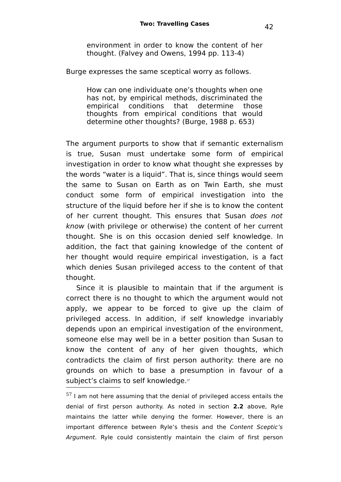environment in order to know the content of her thought. (Falvey and Owens, 1994 pp. 113-4)

Burge expresses the same sceptical worry as follows.

How can one individuate one's thoughts when one has not, by empirical methods, discriminated the empirical conditions that determine those thoughts from empirical conditions that would determine other thoughts? (Burge, 1988 p. 653)

The argument purports to show that if semantic externalism is true, Susan must undertake some form of empirical investigation in order to know what thought she expresses by the words "water is a liquid". That is, since things would seem the same to Susan on Earth as on Twin Earth, she must conduct some form of empirical investigation into the structure of the liquid before her if she is to know the content of her current thought. This ensures that Susan does not know (with privilege or otherwise) the content of her current thought. She is on this occasion denied self knowledge. In addition, the fact that gaining knowledge of the content of her thought would require empirical investigation, is a fact which denies Susan privileged access to the content of that thought.

Since it is plausible to maintain that if the argument is correct there is no thought to which the argument would not apply, we appear to be forced to give up the claim of privileged access. In addition, if self knowledge invariably depends upon an empirical investigation of the environment, someone else may well be in a better position than Susan to know the content of any of her given thoughts, which contradicts the claim of first person authority: there are no grounds on which to base a presumption in favour of a subject's claims to self knowledge.[57](#page-41-0)

<span id="page-41-0"></span> $57$  I am not here assuming that the denial of privileged access entails the denial of first person authority. As noted in section **2.2** above, Ryle maintains the latter while denying the former. However, there is an important difference between Ryle's thesis and the Content Sceptic's Argument. Ryle could consistently maintain the claim of first person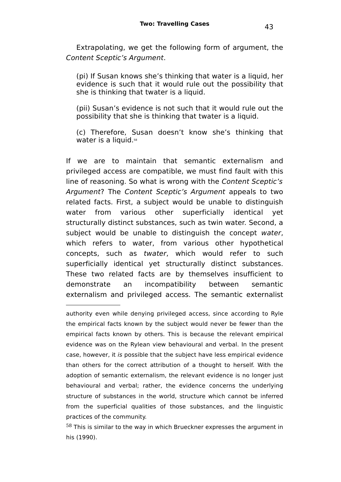Extrapolating, we get the following form of argument, the Content Sceptic's Argument.

(pi) If Susan knows she's thinking that water is a liquid, her evidence is such that it would rule out the possibility that she is thinking that twater is a liquid.

(pii) Susan's evidence is not such that it would rule out the possibility that she is thinking that twater is a liquid.

(c) Therefore, Susan doesn't know she's thinking that water is a liquid.<sup>[58](#page-42-0)</sup>

If we are to maintain that semantic externalism and privileged access are compatible, we must find fault with this line of reasoning. So what is wrong with the Content Sceptic's Argument? The Content Sceptic's Argument appeals to two related facts. First, a subject would be unable to distinguish water from various other superficially identical yet structurally distinct substances, such as twin water. Second, a subject would be unable to distinguish the concept water, which refers to water, from various other hypothetical concepts, such as twater, which would refer to such superficially identical yet structurally distinct substances. These two related facts are by themselves insufficient to demonstrate an incompatibility between semantic externalism and privileged access. The semantic externalist

authority even while denying privileged access, since according to Ryle the empirical facts known by the subject would never be fewer than the empirical facts known by others. This is because the relevant empirical evidence was on the Rylean view behavioural and verbal. In the present case, however, it is possible that the subject have less empirical evidence than others for the correct attribution of a thought to herself. With the adoption of semantic externalism, the relevant evidence is no longer just behavioural and verbal; rather, the evidence concerns the underlying structure of substances in the world, structure which cannot be inferred from the superficial qualities of those substances, and the linguistic practices of the community.

<span id="page-42-0"></span> $58$  This is similar to the way in which Brueckner expresses the argument in his (1990).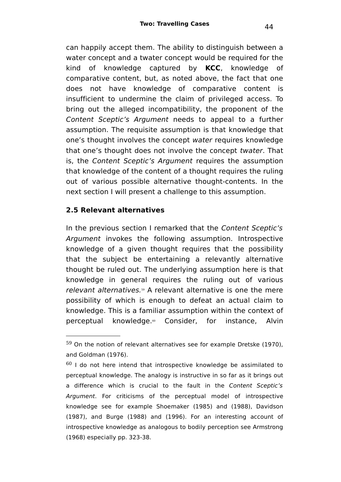can happily accept them. The ability to distinguish between a water concept and a twater concept would be required for the kind of knowledge captured by **KCC**, knowledge of comparative content, but, as noted above, the fact that one does not have knowledge of comparative content is insufficient to undermine the claim of privileged access. To bring out the alleged incompatibility, the proponent of the Content Sceptic's Argument needs to appeal to a further assumption. The requisite assumption is that knowledge that one's thought involves the concept water requires knowledge that one's thought does not involve the concept twater. That is, the Content Sceptic's Argument requires the assumption that knowledge of the content of a thought requires the ruling out of various possible alternative thought-contents. In the next section I will present a challenge to this assumption.

# **2.5 Relevant alternatives**

In the previous section I remarked that the Content Sceptic's Argument invokes the following assumption. Introspective knowledge of a given thought requires that the possibility that the subject be entertaining a relevantly alternative thought be ruled out. The underlying assumption here is that knowledge in general requires the ruling out of various relevant alternatives.<sup>[59](#page-43-0)</sup> A relevant alternative is one the mere possibility of which is enough to defeat an actual claim to knowledge. This is a familiar assumption within the context of perceptual knowledge. [60](#page-43-1) Consider, for instance, Alvin

<span id="page-43-0"></span> $59$  On the notion of relevant alternatives see for example Dretske (1970), and Goldman (1976).

<span id="page-43-1"></span> $60$  I do not here intend that introspective knowledge be assimilated to perceptual knowledge. The analogy is instructive in so far as it brings out a difference which is crucial to the fault in the Content Sceptic's Argument. For criticisms of the perceptual model of introspective knowledge see for example Shoemaker (1985) and (1988), Davidson (1987), and Burge (1988) and (1996). For an interesting account of introspective knowledge as analogous to bodily perception see Armstrong (1968) especially pp. 323-38.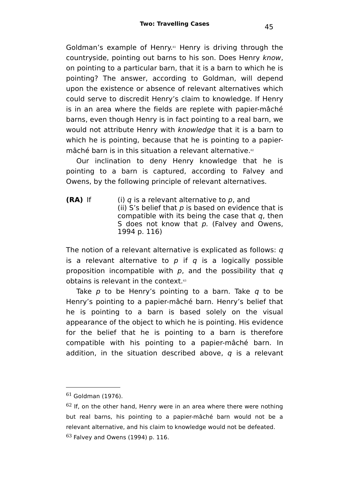Goldman's example of Henry.<sup>[61](#page-44-0)</sup> Henry is driving through the countryside, pointing out barns to his son. Does Henry know, on pointing to a particular barn, that it is a barn to which he is pointing? The answer, according to Goldman, will depend upon the existence or absence of relevant alternatives which could serve to discredit Henry's claim to knowledge. If Henry is in an area where the fields are replete with papier-mâché barns, even though Henry is in fact pointing to a real barn, we would not attribute Henry with knowledge that it is a barn to which he is pointing, because that he is pointing to a papiermâché barn is in this situation a relevant alternative.<sup>®</sup>

Our inclination to deny Henry knowledge that he is pointing to a barn is captured, according to Falvey and Owens, by the following principle of relevant alternatives.

**(RA)** If (i)  $q$  is a relevant alternative to  $p$ , and (ii) S's belief that  $p$  is based on evidence that is compatible with its being the case that  $q$ , then S does not know that  $p$ . (Falvey and Owens, 1994 p. 116)

The notion of a relevant alternative is explicated as follows: q is a relevant alternative to  $p$  if  $q$  is a logically possible proposition incompatible with  $p$ , and the possibility that  $q$ obtains is relevant in the context.[63](#page-44-2)

Take  $p$  to be Henry's pointing to a barn. Take  $q$  to be Henry's pointing to a papier-mâché barn. Henry's belief that he is pointing to a barn is based solely on the visual appearance of the object to which he is pointing. His evidence for the belief that he is pointing to a barn is therefore compatible with his pointing to a papier-mâché barn. In addition, in the situation described above,  $q$  is a relevant

<span id="page-44-0"></span> $61$  Goldman (1976).

<span id="page-44-2"></span><span id="page-44-1"></span> $62$  If, on the other hand, Henry were in an area where there were nothing but real barns, his pointing to a papier-mâché barn would not be a relevant alternative, and his claim to knowledge would not be defeated.  $63$  Falvey and Owens (1994) p. 116.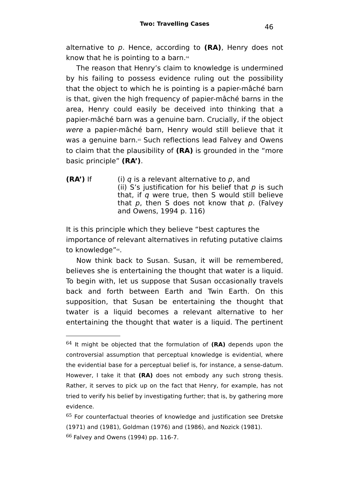alternative to p. Hence, according to **(RA)**, Henry does not know that he is pointing to a barn.<sup>[64](#page-45-0)</sup>

The reason that Henry's claim to knowledge is undermined by his failing to possess evidence ruling out the possibility that the object to which he is pointing is a papier-mâché barn is that, given the high frequency of papier-mâché barns in the area, Henry could easily be deceived into thinking that a papier-mâché barn was a genuine barn. Crucially, if the object were a papier-mâché barn, Henry would still believe that it was a genuine barn. [65](#page-45-1) Such reflections lead Falvey and Owens to claim that the plausibility of **(RA)** is grounded in the "more basic principle" **(RA')**.

**(RA')** If (i)  $q$  is a relevant alternative to  $p$ , and (ii) S's justification for his belief that  $p$  is such that, if  $q$  were true, then S would still believe that  $p$ , then S does not know that  $p$ . (Falvey and Owens, 1994 p. 116)

It is this principle which they believe "best captures the importance of relevant alternatives in refuting putative claims to knowledge"<sup>[66](#page-45-2)</sup>.

Now think back to Susan. Susan, it will be remembered, believes she is entertaining the thought that water is a liquid. To begin with, let us suppose that Susan occasionally travels back and forth between Earth and Twin Earth. On this supposition, that Susan be entertaining the thought that twater is a liquid becomes a relevant alternative to her entertaining the thought that water is a liquid. The pertinent

<span id="page-45-0"></span><sup>64</sup> It might be objected that the formulation of **(RA)** depends upon the controversial assumption that perceptual knowledge is evidential, where the evidential base for a perceptual belief is, for instance, a sense-datum. However, I take it that **(RA)** does not embody any such strong thesis. Rather, it serves to pick up on the fact that Henry, for example, has not tried to verify his belief by investigating further; that is, by gathering more evidence.

<span id="page-45-2"></span><span id="page-45-1"></span><sup>&</sup>lt;sup>65</sup> For counterfactual theories of knowledge and justification see Dretske (1971) and (1981), Goldman (1976) and (1986), and Nozick (1981).  $66$  Falvey and Owens (1994) pp. 116-7.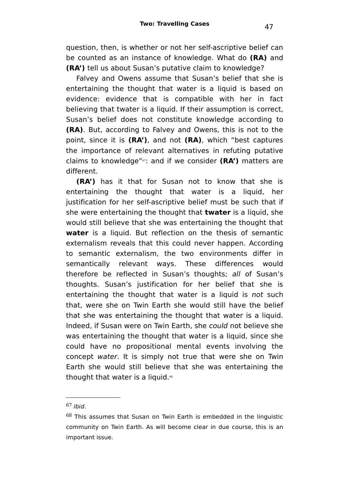question, then, is whether or not her self-ascriptive belief can be counted as an instance of knowledge. What do **(RA)** and **(RA')** tell us about Susan's putative claim to knowledge?

Falvey and Owens assume that Susan's belief that she is entertaining the thought that water is a liquid is based on evidence: evidence that is compatible with her in fact believing that twater is a liquid. If their assumption is correct, Susan's belief does not constitute knowledge according to **(RA)**. But, according to Falvey and Owens, this is not to the point, since it is **(RA')**, and not **(RA)**, which "best captures the importance of relevant alternatives in refuting putative claims to knowledge"[67](#page-46-0): and if we consider **(RA')** matters are different.

**(RA')** has it that for Susan not to know that she is entertaining the thought that water is a liquid, her justification for her self-ascriptive belief must be such that if she were entertaining the thought that **twater** is a liquid, she would still believe that she was entertaining the thought that **water** is a liquid. But reflection on the thesis of semantic externalism reveals that this could never happen. According to semantic externalism, the two environments differ in semantically relevant ways. These differences would therefore be reflected in Susan's thoughts; all of Susan's thoughts. Susan's justification for her belief that she is entertaining the thought that water is a liquid is not such that, were she on Twin Earth she would still have the belief that she was entertaining the thought that water is a liquid. Indeed, if Susan were on Twin Earth, she could not believe she was entertaining the thought that water is a liquid, since she could have no propositional mental events involving the concept water. It is simply not true that were she on Twin Earth she would still believe that she was entertaining the thought that water is a liquid.<sup>®</sup>

<span id="page-46-0"></span> $67$  ibid.

<span id="page-46-1"></span> $68$  This assumes that Susan on Twin Earth is embedded in the linguistic community on Twin Earth. As will become clear in due course, this is an important issue.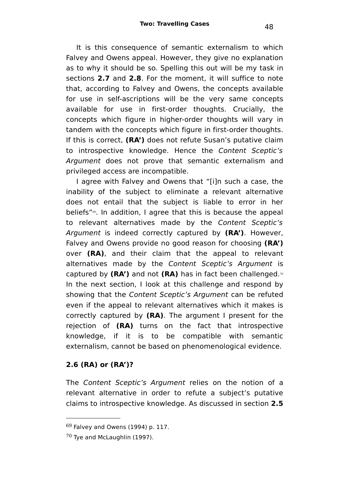It is this consequence of semantic externalism to which Falvey and Owens appeal. However, they give no explanation as to why it should be so. Spelling this out will be my task in sections **2.7** and **2.8**. For the moment, it will suffice to note that, according to Falvey and Owens, the concepts available for use in self-ascriptions will be the very same concepts available for use in first-order thoughts. Crucially, the concepts which figure in higher-order thoughts will vary in tandem with the concepts which figure in first-order thoughts. If this is correct, **(RA')** does not refute Susan's putative claim to introspective knowledge. Hence the Content Sceptic's Argument does not prove that semantic externalism and privileged access are incompatible.

I agree with Falvey and Owens that "[i]n such a case, the inability of the subject to eliminate a relevant alternative does not entail that the subject is liable to error in her beliefs"[69](#page-47-0) . In addition, I agree that this is because the appeal to relevant alternatives made by the Content Sceptic's Argument is indeed correctly captured by **(RA')**. However, Falvey and Owens provide no good reason for choosing **(RA')** over **(RA)**, and their claim that the appeal to relevant alternatives made by the Content Sceptic's Argument is captured by **(RA')** and not **(RA)** has in fact been challenged. [70](#page-47-1) In the next section, I look at this challenge and respond by showing that the Content Sceptic's Argument can be refuted even if the appeal to relevant alternatives which it makes is correctly captured by **(RA)**. The argument I present for the rejection of **(RA)** turns on the fact that introspective knowledge, if it is to be compatible with semantic externalism, cannot be based on phenomenological evidence.

# **2.6 (RA) or (RA')?**

The Content Sceptic's Argument relies on the notion of a relevant alternative in order to refute a subject's putative claims to introspective knowledge. As discussed in section **2.5**

<span id="page-47-0"></span> $69$  Falvey and Owens (1994) p. 117.

<span id="page-47-1"></span> $70$  Tye and McLaughlin (1997).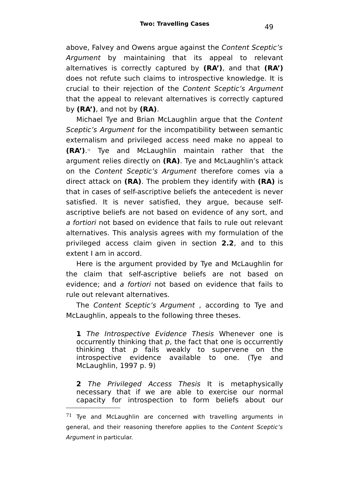above, Falvey and Owens argue against the Content Sceptic's Argument by maintaining that its appeal to relevant alternatives is correctly captured by **(RA')**, and that **(RA')** does not refute such claims to introspective knowledge. It is crucial to their rejection of the Content Sceptic's Argument that the appeal to relevant alternatives is correctly captured by **(RA')**, and not by **(RA)**.

Michael Tye and Brian McLaughlin argue that the Content Sceptic's Argument for the incompatibility between semantic externalism and privileged access need make no appeal to **(RA')**. [71](#page-48-0) Tye and McLaughlin maintain rather that the argument relies directly on **(RA)**. Tye and McLaughlin's attack on the Content Sceptic's Argument therefore comes via a direct attack on **(RA)**. The problem they identify with **(RA)** is that in cases of self-ascriptive beliefs the antecedent is never satisfied. It is never satisfied, they argue, because selfascriptive beliefs are not based on evidence of any sort, and a fortiori not based on evidence that fails to rule out relevant alternatives. This analysis agrees with my formulation of the privileged access claim given in section **2.2**, and to this extent I am in accord.

Here is the argument provided by Tye and McLaughlin for the claim that self-ascriptive beliefs are not based on evidence; and a fortiori not based on evidence that fails to rule out relevant alternatives.

The Content Sceptic's Argument , according to Tye and McLaughlin, appeals to the following three theses.

**1** The Introspective Evidence Thesis Whenever one is occurrently thinking that  $p$ , the fact that one is occurrently thinking that  $p$  fails weakly to supervene on the introspective evidence available to one. (Tye and McLaughlin, 1997 p. 9)

**2** The Privileged Access Thesis It is metaphysically necessary that if we are able to exercise our normal capacity for introspection to form beliefs about our

<span id="page-48-0"></span> $71$  Tye and McLaughlin are concerned with travelling arguments in general, and their reasoning therefore applies to the Content Sceptic's Argument in particular.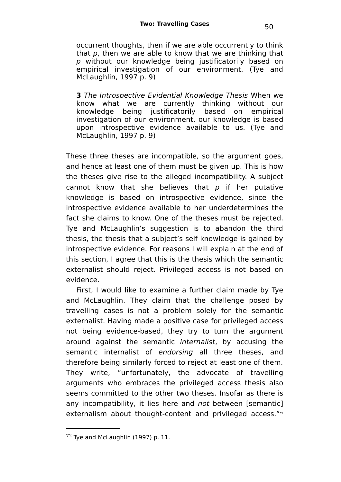occurrent thoughts, then if we are able occurrently to think that  $p$ , then we are able to know that we are thinking that p without our knowledge being justificatorily based on empirical investigation of our environment. (Tye and McLaughlin, 1997 p. 9)

**3** The Introspective Evidential Knowledge Thesis When we know what we are currently thinking without our knowledge being justificatorily based on empirical investigation of our environment, our knowledge is based upon introspective evidence available to us. (Tye and McLaughlin, 1997 p. 9)

These three theses are incompatible, so the argument goes, and hence at least one of them must be given up. This is how the theses give rise to the alleged incompatibility. A subject cannot know that she believes that  $p$  if her putative knowledge is based on introspective evidence, since the introspective evidence available to her underdetermines the fact she claims to know. One of the theses must be rejected. Tye and McLaughlin's suggestion is to abandon the third thesis, the thesis that a subject's self knowledge is gained by introspective evidence. For reasons I will explain at the end of this section, I agree that this is the thesis which the semantic externalist should reject. Privileged access is not based on evidence.

First, I would like to examine a further claim made by Tye and McLaughlin. They claim that the challenge posed by travelling cases is not a problem solely for the semantic externalist. Having made a positive case for privileged access not being evidence-based, they try to turn the argument around against the semantic internalist, by accusing the semantic internalist of endorsing all three theses, and therefore being similarly forced to reject at least one of them. They write, "unfortunately, the advocate of travelling arguments who embraces the privileged access thesis also seems committed to the other two theses. Insofar as there is any incompatibility, it lies here and not between [semantic] externalism about thought-content and privileged access." $n$ 

<span id="page-49-0"></span> $72$  Tye and McLaughlin (1997) p. 11.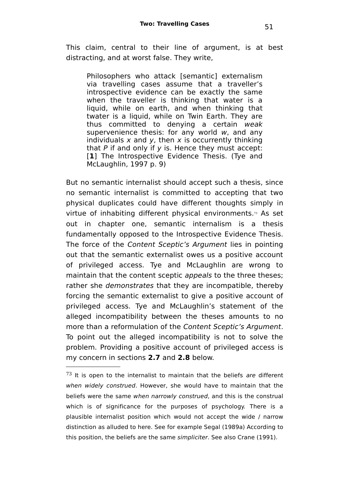This claim, central to their line of argument, is at best distracting, and at worst false. They write,

Philosophers who attack [semantic] externalism via travelling cases assume that a traveller's introspective evidence can be exactly the same when the traveller is thinking that water is a liquid, while on earth, and when thinking that twater is a liquid, while on Twin Earth. They are thus committed to denying a certain weak supervenience thesis: for any world w, and any individuals  $x$  and  $y$ , then  $x$  is occurrently thinking that  $P$  if and only if  $y$  is. Hence they must accept: [**1**] The Introspective Evidence Thesis. (Tye and McLaughlin, 1997 p. 9)

But no semantic internalist should accept such a thesis, since no semantic internalist is committed to accepting that two physical duplicates could have different thoughts simply in virtue of inhabiting different physical environments.<sup>[73](#page-50-0)</sup> As set out in chapter one, semantic internalism is a thesis fundamentally opposed to the Introspective Evidence Thesis. The force of the Content Sceptic's Argument lies in pointing out that the semantic externalist owes us a positive account of privileged access. Tye and McLaughlin are wrong to maintain that the content sceptic appeals to the three theses; rather she demonstrates that they are incompatible, thereby forcing the semantic externalist to give a positive account of privileged access. Tye and McLaughlin's statement of the alleged incompatibility between the theses amounts to no more than a reformulation of the Content Sceptic's Argument. To point out the alleged incompatibility is not to solve the problem. Providing a positive account of privileged access is my concern in sections **2.7** and **2.8** below.

<span id="page-50-0"></span> $73$  It is open to the internalist to maintain that the beliefs are different when widely construed. However, she would have to maintain that the beliefs were the same when narrowly construed, and this is the construal which is of significance for the purposes of psychology. There is a plausible internalist position which would not accept the wide / narrow distinction as alluded to here. See for example Segal (1989a) According to this position, the beliefs are the same simpliciter. See also Crane (1991).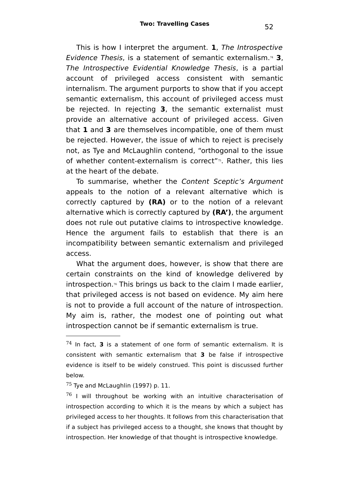This is how I interpret the argument. **1**, The Introspective Evidence Thesis, is a statement of semantic externalism.[74](#page-51-0) **3**, The Introspective Evidential Knowledge Thesis, is a partial account of privileged access consistent with semantic internalism. The argument purports to show that if you accept semantic externalism, this account of privileged access must be rejected. In rejecting **3**, the semantic externalist must provide an alternative account of privileged access. Given that **1** and **3** are themselves incompatible, one of them must be rejected. However, the issue of which to reject is precisely not, as Tye and McLaughlin contend, "orthogonal to the issue of whether content-externalism is correct"<sup>[75](#page-51-1)</sup>. Rather, this lies at the heart of the debate.

To summarise, whether the Content Sceptic's Argument appeals to the notion of a relevant alternative which is correctly captured by **(RA)** or to the notion of a relevant alternative which is correctly captured by **(RA')**, the argument does not rule out putative claims to introspective knowledge. Hence the argument fails to establish that there is an incompatibility between semantic externalism and privileged access.

What the argument does, however, is show that there are certain constraints on the kind of knowledge delivered by introspection. [76](#page-51-2) This brings us back to the claim I made earlier, that privileged access is not based on evidence. My aim here is not to provide a full account of the nature of introspection. My aim is, rather, the modest one of pointing out what introspection cannot be if semantic externalism is true.

<span id="page-51-0"></span><sup>74</sup> In fact, **3** is a statement of one form of semantic externalism. It is consistent with semantic externalism that **3** be false if introspective evidence is itself to be widely construed. This point is discussed further below.

<span id="page-51-1"></span> $75$  Tye and McLaughlin (1997) p. 11.

<span id="page-51-2"></span> $76$  I will throughout be working with an intuitive characterisation of introspection according to which it is the means by which a subject has privileged access to her thoughts. It follows from this characterisation that if a subject has privileged access to a thought, she knows that thought by introspection. Her knowledge of that thought is introspective knowledge.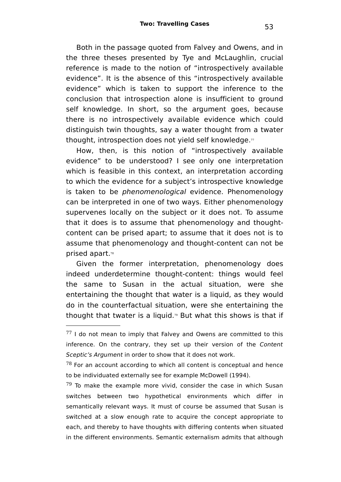Both in the passage quoted from Falvey and Owens, and in the three theses presented by Tye and McLaughlin, crucial reference is made to the notion of "introspectively available evidence". It is the absence of this "introspectively available evidence" which is taken to support the inference to the conclusion that introspection alone is insufficient to ground self knowledge. In short, so the argument goes, because there is no introspectively available evidence which could distinguish twin thoughts, say a water thought from a twater thought, introspection does not yield self knowledge. $^{\scriptscriptstyle 77}$  $^{\scriptscriptstyle 77}$  $^{\scriptscriptstyle 77}$ 

How, then, is this notion of "introspectively available evidence" to be understood? I see only one interpretation which is feasible in this context, an interpretation according to which the evidence for a subject's introspective knowledge is taken to be *phenomenological* evidence. Phenomenology can be interpreted in one of two ways. Either phenomenology supervenes locally on the subject or it does not. To assume that it does is to assume that phenomenology and thoughtcontent can be prised apart; to assume that it does not is to assume that phenomenology and thought-content can not be prised apart. [78](#page-52-1)

Given the former interpretation, phenomenology does indeed underdetermine thought-content: things would feel the same to Susan in the actual situation, were she entertaining the thought that water is a liquid, as they would do in the counterfactual situation, were she entertaining the thought that twater is a liquid.<sup>39</sup> But what this shows is that if

<span id="page-52-0"></span> $77$  I do not mean to imply that Falvey and Owens are committed to this inference. On the contrary, they set up their version of the Content Sceptic's Argument in order to show that it does not work.

<span id="page-52-1"></span> $78$  For an account according to which all content is conceptual and hence to be individuated externally see for example McDowell (1994).

<span id="page-52-2"></span> $79$  To make the example more vivid, consider the case in which Susan switches between two hypothetical environments which differ in semantically relevant ways. It must of course be assumed that Susan is switched at a slow enough rate to acquire the concept appropriate to each, and thereby to have thoughts with differing contents when situated in the different environments. Semantic externalism admits that although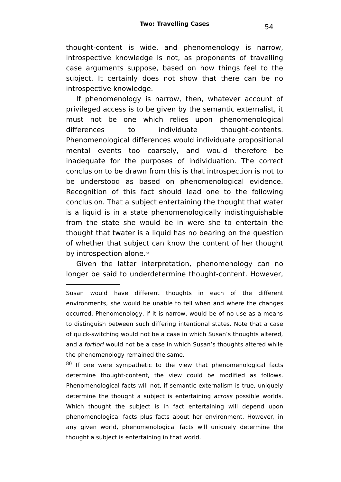thought-content is wide, and phenomenology is narrow, introspective knowledge is not, as proponents of travelling case arguments suppose, based on how things feel to the subject. It certainly does not show that there can be no introspective knowledge.

If phenomenology is narrow, then, whatever account of privileged access is to be given by the semantic externalist, it must not be one which relies upon phenomenological differences to individuate thought-contents. Phenomenological differences would individuate propositional mental events too coarsely, and would therefore be inadequate for the purposes of individuation. The correct conclusion to be drawn from this is that introspection is not to be understood as based on phenomenological evidence. Recognition of this fact should lead one to the following conclusion. That a subject entertaining the thought that water is a liquid is in a state phenomenologically indistinguishable from the state she would be in were she to entertain the thought that twater is a liquid has no bearing on the question of whether that subject can know the content of her thought by introspection alone.<sup>[80](#page-53-0)</sup>

Given the latter interpretation, phenomenology can no longer be said to underdetermine thought-content. However,

<span id="page-53-0"></span> $80$  If one were sympathetic to the view that phenomenological facts determine thought-content, the view could be modified as follows. Phenomenological facts will not, if semantic externalism is true, uniquely determine the thought a subject is entertaining across possible worlds. Which thought the subject is in fact entertaining will depend upon phenomenological facts plus facts about her environment. However, in any given world, phenomenological facts will uniquely determine the thought a subject is entertaining in that world.

Susan would have different thoughts in each of the different environments, she would be unable to tell when and where the changes occurred. Phenomenology, if it is narrow, would be of no use as a means to distinguish between such differing intentional states. Note that a case of quick-switching would not be a case in which Susan's thoughts altered, and a fortiori would not be a case in which Susan's thoughts altered while the phenomenology remained the same.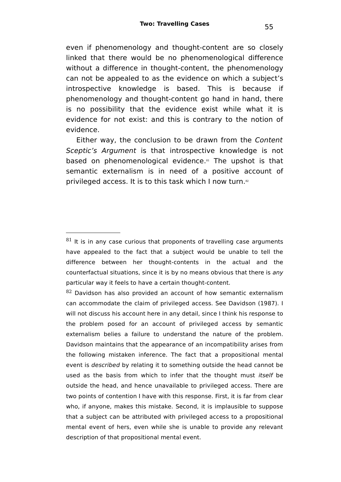even if phenomenology and thought-content are so closely linked that there would be no phenomenological difference without a difference in thought-content, the phenomenology can not be appealed to as the evidence on which a subject's introspective knowledge is based. This is because if phenomenology and thought-content go hand in hand, there is no possibility that the evidence exist while what it is evidence for not exist: and this is contrary to the notion of evidence.

Either way, the conclusion to be drawn from the Content Sceptic's Argument is that introspective knowledge is not based on phenomenological evidence. [81](#page-54-0) The upshot is that semantic externalism is in need of a positive account of privileged access. It is to this task which I now turn.<sup>[82](#page-54-1)</sup>

<span id="page-54-1"></span> $82$  Davidson has also provided an account of how semantic externalism can accommodate the claim of privileged access. See Davidson (1987). I will not discuss his account here in any detail, since I think his response to the problem posed for an account of privileged access by semantic externalism belies a failure to understand the nature of the problem. Davidson maintains that the appearance of an incompatibility arises from the following mistaken inference. The fact that a propositional mental event is described by relating it to something outside the head cannot be used as the basis from which to infer that the thought must itself be outside the head, and hence unavailable to privileged access. There are two points of contention I have with this response. First, it is far from clear who, if anyone, makes this mistake. Second, it is implausible to suppose that a subject can be attributed with privileged access to a propositional mental event of hers, even while she is unable to provide any relevant description of that propositional mental event.

<span id="page-54-0"></span> $81$  It is in any case curious that proponents of travelling case arguments have appealed to the fact that a subject would be unable to tell the difference between her thought-contents in the actual and the counterfactual situations, since it is by no means obvious that there is any particular way it feels to have a certain thought-content.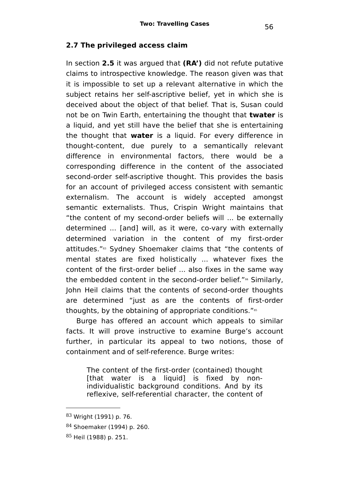#### **2.7 The privileged access claim**

In section **2.5** it was argued that **(RA')** did not refute putative claims to introspective knowledge. The reason given was that it is impossible to set up a relevant alternative in which the subject retains her self-ascriptive belief, yet in which she is deceived about the object of that belief. That is, Susan could not be on Twin Earth, entertaining the thought that **twater** is a liquid, and yet still have the belief that she is entertaining the thought that **water** is a liquid. For every difference in thought-content, due purely to a semantically relevant difference in environmental factors, there would be a corresponding difference in the content of the associated second-order self-ascriptive thought. This provides the basis for an account of privileged access consistent with semantic externalism. The account is widely accepted amongst semantic externalists. Thus, Crispin Wright maintains that "the content of my second-order beliefs will ... be externally determined ... [and] will, as it were, co-vary with externally determined variation in the content of my first-order attitudes."[83](#page-55-0) Sydney Shoemaker claims that "the contents of mental states are fixed holistically ... whatever fixes the content of the first-order belief ... also fixes in the same way the embedded content in the second-order belief."<sup>[84](#page-55-1)</sup> Similarly, John Heil claims that the contents of second-order thoughts are determined "just as are the contents of first-order thoughts, by the obtaining of appropriate conditions."<sup>[85](#page-55-2)</sup>

Burge has offered an account which appeals to similar facts. It will prove instructive to examine Burge's account further, in particular its appeal to two notions, those of containment and of self-reference. Burge writes:

The content of the first-order (contained) thought [that water is a liquid] is fixed by nonindividualistic background conditions. And by its reflexive, self-referential character, the content of

<span id="page-55-0"></span><sup>83</sup> Wright (1991) p. 76.

<span id="page-55-1"></span><sup>84</sup> Shoemaker (1994) p. 260.

<span id="page-55-2"></span><sup>85</sup> Heil (1988) p. 251.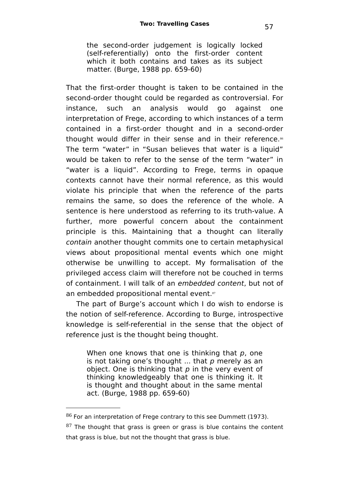the second-order judgement is logically locked (self-referentially) onto the first-order content which it both contains and takes as its subject matter. (Burge, 1988 pp. 659-60)

That the first-order thought is taken to be contained in the second-order thought could be regarded as controversial. For instance, such an analysis would go against one interpretation of Frege, according to which instances of a term contained in a first-order thought and in a second-order thought would differ in their sense and in their reference.<sup>[86](#page-56-0)</sup> The term "water" in "Susan believes that water is a liquid" would be taken to refer to the sense of the term "water" in "water is a liquid". According to Frege, terms in opaque contexts cannot have their normal reference, as this would violate his principle that when the reference of the parts remains the same, so does the reference of the whole. A sentence is here understood as referring to its truth-value. A further, more powerful concern about the containment principle is this. Maintaining that a thought can literally contain another thought commits one to certain metaphysical views about propositional mental events which one might otherwise be unwilling to accept. My formalisation of the privileged access claim will therefore not be couched in terms of containment. I will talk of an embedded content, but not of an embedded propositional mental event.<sup>[87](#page-56-1)</sup>

The part of Burge's account which I do wish to endorse is the notion of self-reference. According to Burge, introspective knowledge is self-referential in the sense that the object of reference just is the thought being thought.

When one knows that one is thinking that  $p$ , one is not taking one's thought  $\ldots$  that p merely as an object. One is thinking that  $p$  in the very event of thinking knowledgeably that one is thinking it. It is thought and thought about in the same mental act. (Burge, 1988 pp. 659-60)

<span id="page-56-0"></span> $86$  For an interpretation of Frege contrary to this see Dummett (1973).

<span id="page-56-1"></span> $87$  The thought that grass is green or grass is blue contains the content that grass is blue, but not the thought that grass is blue.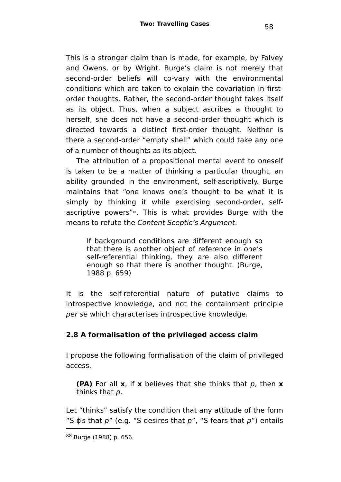This is a stronger claim than is made, for example, by Falvey and Owens, or by Wright. Burge's claim is not merely that second-order beliefs will co-vary with the environmental conditions which are taken to explain the covariation in firstorder thoughts. Rather, the second-order thought takes itself as its object. Thus, when a subject ascribes a thought to herself, she does not have a second-order thought which is directed towards a distinct first-order thought. Neither is there a second-order "empty shell" which could take any one of a number of thoughts as its object.

The attribution of a propositional mental event to oneself is taken to be a matter of thinking a particular thought, an ability grounded in the environment, self-ascriptively. Burge maintains that "one knows one's thought to be what it is simply by thinking it while exercising second-order, self-ascriptive powers"<sup>[88](#page-57-0)</sup>. This is what provides Burge with the means to refute the Content Sceptic's Argument.

If background conditions are different enough so that there is another object of reference in one's self-referential thinking, they are also different enough so that there is another thought. (Burge, 1988 p. 659)

It is the self-referential nature of putative claims to introspective knowledge, and not the containment principle per se which characterises introspective knowledge.

# **2.8 A formalisation of the privileged access claim**

I propose the following formalisation of the claim of privileged access.

**(PA)** For all **x**, if **x** believes that she thinks that p, then **x** thinks that p.

Let "thinks" satisfy the condition that any attitude of the form "S  $\varphi$ 's that  $p$ " (e.g. "S desires that  $p$ ", "S fears that  $p$ ") entails

<span id="page-57-0"></span><sup>88</sup> Burge (1988) p. 656.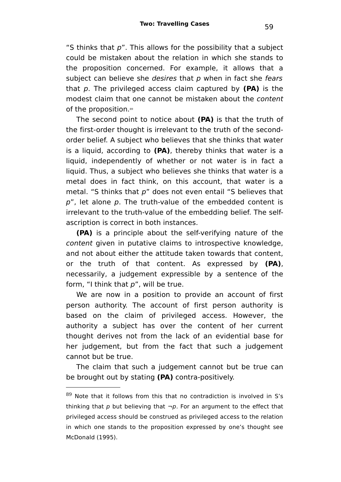"S thinks that  $p$ ". This allows for the possibility that a subject could be mistaken about the relation in which she stands to the proposition concerned. For example, it allows that a subject can believe she desires that  $p$  when in fact she fears that p. The privileged access claim captured by **(PA)** is the modest claim that one cannot be mistaken about the content of the proposition.<sup>[89](#page-58-0)</sup>

The second point to notice about **(PA)** is that the truth of the first-order thought is irrelevant to the truth of the secondorder belief. A subject who believes that she thinks that water is a liquid, according to **(PA)**, thereby thinks that water is a liquid, independently of whether or not water is in fact a liquid. Thus, a subject who believes she thinks that water is a metal does in fact think, on this account, that water is a metal. "S thinks that p" does not even entail "S believes that  $p''$ , let alone  $p$ . The truth-value of the embedded content is irrelevant to the truth-value of the embedding belief. The selfascription is correct in both instances.

**(PA)** is a principle about the self-verifying nature of the content given in putative claims to introspective knowledge, and not about either the attitude taken towards that content, or the truth of that content. As expressed by **(PA)**, necessarily, a judgement expressible by a sentence of the form, "I think that  $p$ ", will be true.

We are now in a position to provide an account of first person authority. The account of first person authority is based on the claim of privileged access. However, the authority a subject has over the content of her current thought derives not from the lack of an evidential base for her judgement, but from the fact that such a judgement cannot but be true.

The claim that such a judgement cannot but be true can be brought out by stating **(PA)** contra-positively.

<span id="page-58-0"></span> $89$  Note that it follows from this that no contradiction is involved in S's thinking that  $p$  but believing that  $\neg p$ . For an argument to the effect that privileged access should be construed as privileged access to the relation in which one stands to the proposition expressed by one's thought see McDonald (1995).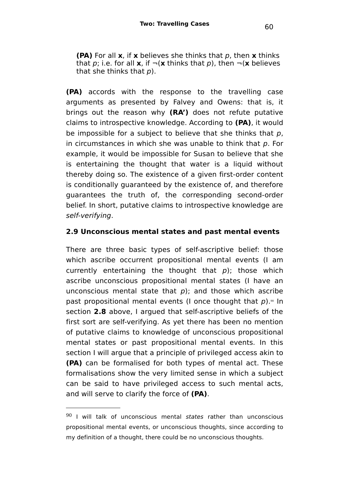**(PA)** For all **x**, if **x** believes she thinks that p, then **x** thinks that p; i.e. for all **x**, if  $\neg$ (**x** thinks that p), then  $\neg$ (**x** believes that she thinks that  $p$ ).

**(PA)** accords with the response to the travelling case arguments as presented by Falvey and Owens: that is, it brings out the reason why **(RA')** does not refute putative claims to introspective knowledge. According to **(PA)**, it would be impossible for a subject to believe that she thinks that  $p$ , in circumstances in which she was unable to think that  $p$ . For example, it would be impossible for Susan to believe that she is entertaining the thought that water is a liquid without thereby doing so. The existence of a given first-order content is conditionally guaranteed by the existence of, and therefore guarantees the truth of, the corresponding second-order belief. In short, putative claims to introspective knowledge are self-verifying.

# **2.9 Unconscious mental states and past mental events**

There are three basic types of self-ascriptive belief: those which ascribe occurrent propositional mental events (I am currently entertaining the thought that  $p$ ); those which ascribe unconscious propositional mental states (I have an unconscious mental state that  $p$ ); and those which ascribe past propositional mental events (I once thought that  $p$ ).<sup>30</sup> In section **2.8** above, I argued that self-ascriptive beliefs of the first sort are self-verifying. As yet there has been no mention of putative claims to knowledge of unconscious propositional mental states or past propositional mental events. In this section I will argue that a principle of privileged access akin to **(PA)** can be formalised for both types of mental act. These formalisations show the very limited sense in which a subject can be said to have privileged access to such mental acts, and will serve to clarify the force of **(PA)**.

<span id="page-59-0"></span> $90$  I will talk of unconscious mental states rather than unconscious propositional mental events, or unconscious thoughts, since according to my definition of a thought, there could be no unconscious thoughts.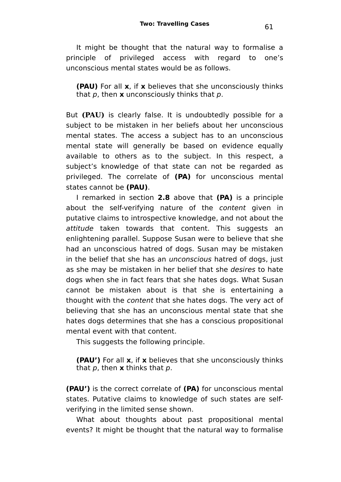It might be thought that the natural way to formalise a principle of privileged access with regard to one's unconscious mental states would be as follows.

**(PAU)** For all **x**, if **x** believes that she unconsciously thinks that p, then **x** unconsciously thinks that p.

But **(PAU)** is clearly false. It is undoubtedly possible for a subject to be mistaken in her beliefs about her unconscious mental states. The access a subject has to an unconscious mental state will generally be based on evidence equally available to others as to the subject. In this respect, a subject's knowledge of that state can not be regarded as privileged. The correlate of **(PA)** for unconscious mental states cannot be **(PAU)**.

I remarked in section **2.8** above that **(PA)** is a principle about the self-verifying nature of the content given in putative claims to introspective knowledge, and not about the attitude taken towards that content. This suggests an enlightening parallel. Suppose Susan were to believe that she had an unconscious hatred of dogs. Susan may be mistaken in the belief that she has an unconscious hatred of dogs, just as she may be mistaken in her belief that she desires to hate dogs when she in fact fears that she hates dogs. What Susan cannot be mistaken about is that she is entertaining a thought with the content that she hates dogs. The very act of believing that she has an unconscious mental state that she hates dogs determines that she has a conscious propositional mental event with that content.

This suggests the following principle.

**(PAU')** For all **x**, if **x** believes that she unconsciously thinks that p, then **x** thinks that p.

**(PAU')** is the correct correlate of **(PA)** for unconscious mental states. Putative claims to knowledge of such states are selfverifying in the limited sense shown.

What about thoughts about past propositional mental events? It might be thought that the natural way to formalise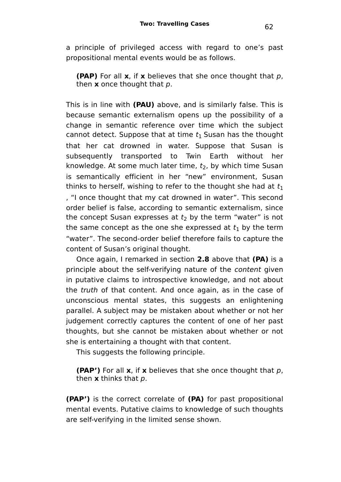a principle of privileged access with regard to one's past propositional mental events would be as follows.

**(PAP)** For all **x**, if **x** believes that she once thought that p, then **x** once thought that p.

This is in line with **(PAU)** above, and is similarly false. This is because semantic externalism opens up the possibility of a change in semantic reference over time which the subject cannot detect. Suppose that at time  $t_1$  Susan has the thought that her cat drowned in water. Suppose that Susan is subsequently transported to Twin Earth without her knowledge. At some much later time,  $t_2$ , by which time Susan is semantically efficient in her "new" environment, Susan thinks to herself, wishing to refer to the thought she had at  $t_1$ , "I once thought that my cat drowned in water". This second order belief is false, according to semantic externalism, since the concept Susan expresses at  $t_2$  by the term "water" is not the same concept as the one she expressed at  $t_1$  by the term "water". The second-order belief therefore fails to capture the content of Susan's original thought.

Once again, I remarked in section **2.8** above that **(PA)** is a principle about the self-verifying nature of the content given in putative claims to introspective knowledge, and not about the truth of that content. And once again, as in the case of unconscious mental states, this suggests an enlightening parallel. A subject may be mistaken about whether or not her judgement correctly captures the content of one of her past thoughts, but she cannot be mistaken about whether or not she is entertaining a thought with that content.

This suggests the following principle.

**(PAP')** For all **x**, if **x** believes that she once thought that p, then **x** thinks that p.

**(PAP')** is the correct correlate of **(PA)** for past propositional mental events. Putative claims to knowledge of such thoughts are self-verifying in the limited sense shown.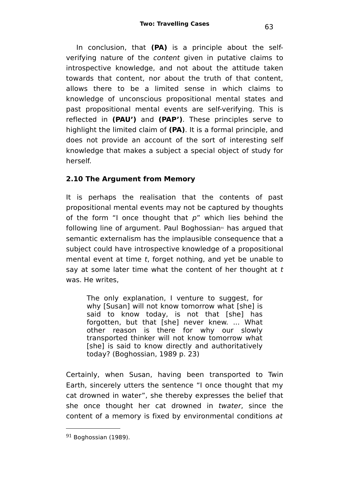In conclusion, that **(PA)** is a principle about the selfverifying nature of the content given in putative claims to introspective knowledge, and not about the attitude taken towards that content, nor about the truth of that content, allows there to be a limited sense in which claims to knowledge of unconscious propositional mental states and past propositional mental events are self-verifying. This is reflected in **(PAU')** and **(PAP')**. These principles serve to highlight the limited claim of **(PA)**. It is a formal principle, and does not provide an account of the sort of interesting self knowledge that makes a subject a special object of study for herself.

# **2.10 The Argument from Memory**

It is perhaps the realisation that the contents of past propositional mental events may not be captured by thoughts of the form "I once thought that  $p$ " which lies behind the following line of argument. Paul Boghossian<sup>[91](#page-62-0)</sup> has argued that semantic externalism has the implausible consequence that a subject could have introspective knowledge of a propositional mental event at time t, forget nothing, and yet be unable to say at some later time what the content of her thought at t was. He writes,

The only explanation, I venture to suggest, for why [Susan] will not know tomorrow what [she] is said to know today, is not that [she] has forgotten, but that [she] never knew. ... What other reason is there for why our slowly transported thinker will not know tomorrow what [she] is said to know directly and authoritatively today? (Boghossian, 1989 p. 23)

Certainly, when Susan, having been transported to Twin Earth, sincerely utters the sentence "I once thought that my cat drowned in water", she thereby expresses the belief that she once thought her cat drowned in twater, since the content of a memory is fixed by environmental conditions at

<sup>63</sup>

<span id="page-62-0"></span> $91$  Boghossian (1989).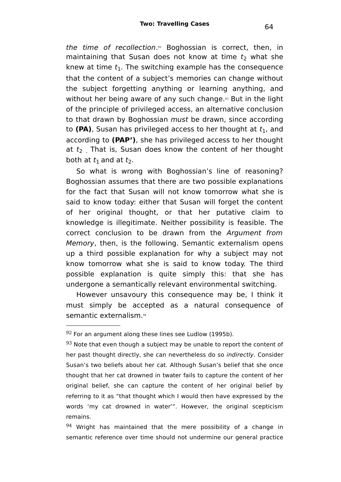the time of recollection.<sup>[92](#page-63-0)</sup> Boghossian is correct, then, in maintaining that Susan does not know at time  $t_2$  what she knew at time  $t_1$ . The switching example has the consequence that the content of a subject's memories can change without the subject forgetting anything or learning anything, and without her being aware of any such change.<sup>[93](#page-63-1)</sup> But in the light of the principle of privileged access, an alternative conclusion to that drawn by Boghossian *must* be drawn, since according to (PA), Susan has privileged access to her thought at  $t_1$ , and according to **(PAP')**, she has privileged access to her thought at  $t_2$ . That is, Susan does know the content of her thought both at  $t_1$  and at  $t_2$ .

So what is wrong with Boghossian's line of reasoning? Boghossian assumes that there are two possible explanations for the fact that Susan will not know tomorrow what she is said to know today: either that Susan will forget the content of her original thought, or that her putative claim to knowledge is illegitimate. Neither possibility is feasible. The correct conclusion to be drawn from the Argument from Memory, then, is the following. Semantic externalism opens up a third possible explanation for why a subject may not know tomorrow what she is said to know today. The third possible explanation is quite simply this: that she has undergone a semantically relevant environmental switching.

However unsavoury this consequence may be, I think it must simply be accepted as a natural consequence of semantic externalism.[94](#page-63-2)

<span id="page-63-0"></span> $92$  For an argument along these lines see Ludlow (1995b).

<span id="page-63-1"></span> $93$  Note that even though a subject may be unable to report the content of her past thought directly, she can nevertheless do so indirectly. Consider Susan's two beliefs about her cat. Although Susan's belief that she once thought that her cat drowned in twater fails to capture the content of her original belief, she can capture the content of her original belief by referring to it as "that thought which I would then have expressed by the words 'my cat drowned in water'". However, the original scepticism remains.

<span id="page-63-2"></span> $94$  Wright has maintained that the mere possibility of a change in semantic reference over time should not undermine our general practice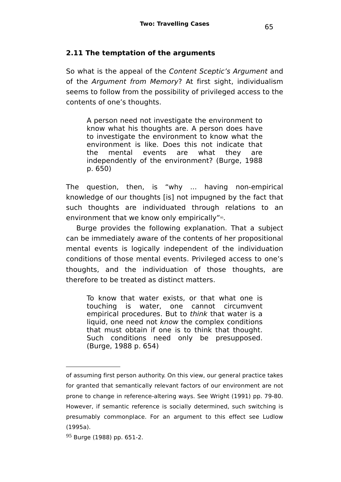#### **2.11 The temptation of the arguments**

So what is the appeal of the Content Sceptic's Argument and of the Argument from Memory? At first sight, individualism seems to follow from the possibility of privileged access to the contents of one's thoughts.

A person need not investigate the environment to know what his thoughts are. A person does have to investigate the environment to know what the environment is like. Does this not indicate that the mental events are what they are independently of the environment? (Burge, 1988 p. 650)

The question, then, is "why ... having non-empirical knowledge of our thoughts [is] not impugned by the fact that such thoughts are individuated through relations to an environment that we know only empirically"<sup>[95](#page-64-0)</sup>.

Burge provides the following explanation. That a subject can be immediately aware of the contents of her propositional mental events is logically independent of the individuation conditions of those mental events. Privileged access to one's thoughts, and the individuation of those thoughts, are therefore to be treated as distinct matters.

To know that water exists, or that what one is touching is water, one cannot circumvent empirical procedures. But to think that water is a liquid, one need not know the complex conditions that must obtain if one is to think that thought. Such conditions need only be presupposed. (Burge, 1988 p. 654)

of assuming first person authority. On this view, our general practice takes for granted that semantically relevant factors of our environment are not prone to change in reference-altering ways. See Wright (1991) pp. 79-80. However, if semantic reference is socially determined, such switching is presumably commonplace. For an argument to this effect see Ludlow (1995a).

<span id="page-64-0"></span><sup>95</sup> Burge (1988) pp. 651-2.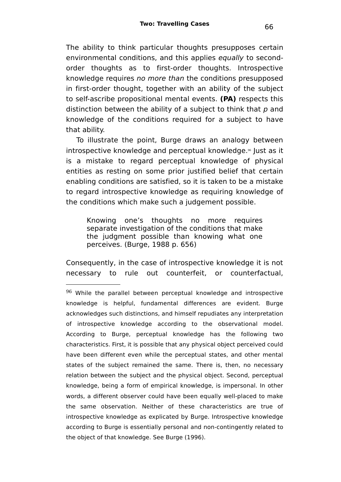The ability to think particular thoughts presupposes certain environmental conditions, and this applies equally to secondorder thoughts as to first-order thoughts. Introspective knowledge requires no more than the conditions presupposed in first-order thought, together with an ability of the subject to self-ascribe propositional mental events. **(PA)** respects this distinction between the ability of a subject to think that  $p$  and knowledge of the conditions required for a subject to have that ability.

To illustrate the point, Burge draws an analogy between introspective knowledge and perceptual knowledge.<sup>®</sup> Just as it is a mistake to regard perceptual knowledge of physical entities as resting on some prior justified belief that certain enabling conditions are satisfied, so it is taken to be a mistake to regard introspective knowledge as requiring knowledge of the conditions which make such a judgement possible.

Knowing one's thoughts no more requires separate investigation of the conditions that make the judgment possible than knowing what one perceives. (Burge, 1988 p. 656)

Consequently, in the case of introspective knowledge it is not necessary to rule out counterfeit, or counterfactual,

<span id="page-65-0"></span> $96$  While the parallel between perceptual knowledge and introspective knowledge is helpful, fundamental differences are evident. Burge acknowledges such distinctions, and himself repudiates any interpretation of introspective knowledge according to the observational model. According to Burge, perceptual knowledge has the following two characteristics. First, it is possible that any physical object perceived could have been different even while the perceptual states, and other mental states of the subject remained the same. There is, then, no necessary relation between the subject and the physical object. Second, perceptual knowledge, being a form of empirical knowledge, is impersonal. In other words, a different observer could have been equally well-placed to make the same observation. Neither of these characteristics are true of introspective knowledge as explicated by Burge. Introspective knowledge according to Burge is essentially personal and non-contingently related to the object of that knowledge. See Burge (1996).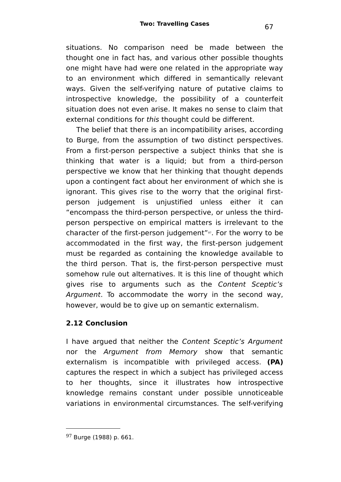situations. No comparison need be made between the thought one in fact has, and various other possible thoughts one might have had were one related in the appropriate way to an environment which differed in semantically relevant ways. Given the self-verifying nature of putative claims to introspective knowledge, the possibility of a counterfeit situation does not even arise. It makes no sense to claim that external conditions for this thought could be different.

The belief that there is an incompatibility arises, according to Burge, from the assumption of two distinct perspectives. From a first-person perspective a subject thinks that she is thinking that water is a liquid; but from a third-person perspective we know that her thinking that thought depends upon a contingent fact about her environment of which she is ignorant. This gives rise to the worry that the original firstperson judgement is unjustified unless either it can "encompass the third-person perspective, or unless the thirdperson perspective on empirical matters is irrelevant to the character of the first-person judgement"<sup>[97](#page-66-0)</sup>. For the worry to be accommodated in the first way, the first-person judgement must be regarded as containing the knowledge available to the third person. That is, the first-person perspective must somehow rule out alternatives. It is this line of thought which gives rise to arguments such as the Content Sceptic's Argument. To accommodate the worry in the second way, however, would be to give up on semantic externalism.

# **2.12 Conclusion**

I have argued that neither the Content Sceptic's Argument nor the Argument from Memory show that semantic externalism is incompatible with privileged access. **(PA)** captures the respect in which a subject has privileged access to her thoughts, since it illustrates how introspective knowledge remains constant under possible unnoticeable variations in environmental circumstances. The self-verifying

<span id="page-66-0"></span><sup>97</sup> Burge (1988) p. 661.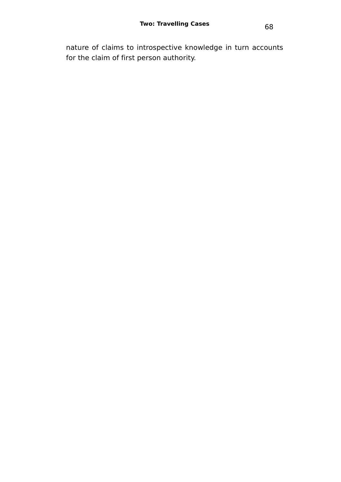nature of claims to introspective knowledge in turn accounts for the claim of first person authority.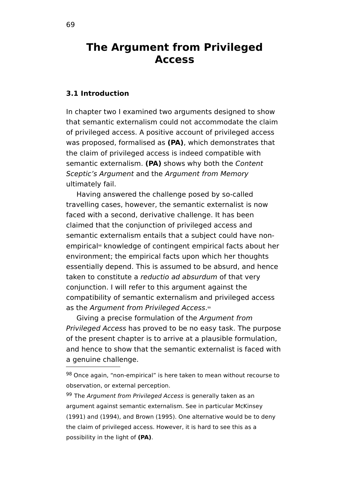# **The Argument from Privileged Access**

#### **3.1 Introduction**

In chapter two I examined two arguments designed to show that semantic externalism could not accommodate the claim of privileged access. A positive account of privileged access was proposed, formalised as **(PA)**, which demonstrates that the claim of privileged access is indeed compatible with semantic externalism. **(PA)** shows why both the Content Sceptic's Argument and the Argument from Memory ultimately fail.

Having answered the challenge posed by so-called travelling cases, however, the semantic externalist is now faced with a second, derivative challenge. It has been claimed that the conjunction of privileged access and semantic externalism entails that a subject could have nonempirical [98](#page-68-0) knowledge of contingent empirical facts about her environment; the empirical facts upon which her thoughts essentially depend. This is assumed to be absurd, and hence taken to constitute a reductio ad absurdum of that very conjunction. I will refer to this argument against the compatibility of semantic externalism and privileged access as the Argument from Privileged Access.<sup>[99](#page-68-1)</sup>

Giving a precise formulation of the Argument from Privileged Access has proved to be no easy task. The purpose of the present chapter is to arrive at a plausible formulation, and hence to show that the semantic externalist is faced with a genuine challenge.

<span id="page-68-0"></span><sup>98</sup> Once again, "non-empirical" is here taken to mean without recourse to observation, or external perception.

<span id="page-68-1"></span><sup>99</sup> The Argument from Privileged Access is generally taken as an argument against semantic externalism. See in particular McKinsey (1991) and (1994), and Brown (1995). One alternative would be to deny the claim of privileged access. However, it is hard to see this as a possibility in the light of **(PA)**.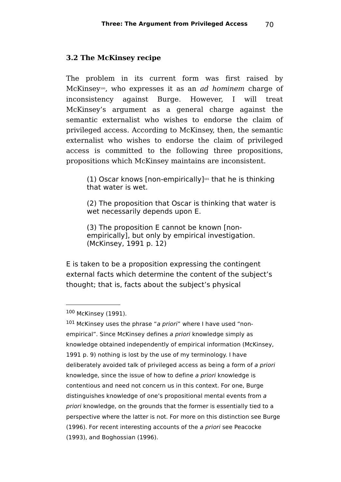#### **3.2 The McKinsey recipe**

The problem in its current form was first raised by McKinsey<sup>[100](#page-69-0)</sup>, who expresses it as an *ad hominem* charge of inconsistency against Burge. However, I will treat McKinsey's argument as a general charge against the semantic externalist who wishes to endorse the claim of privileged access. According to McKinsey, then, the semantic externalist who wishes to endorse the claim of privileged access is committed to the following three propositions, propositions which McKinsey maintains are inconsistent.

 $(1)$  Oscar knows [non-empirically]<sup>[101](#page-69-1)</sup> that he is thinking that water is wet.

(2) The proposition that Oscar is thinking that water is wet necessarily depends upon E.

(3) The proposition E cannot be known [nonempirically], but only by empirical investigation. (McKinsey, 1991 p. 12)

E is taken to be a proposition expressing the contingent external facts which determine the content of the subject's thought; that is, facts about the subject's physical

<span id="page-69-0"></span><sup>100</sup> McKinsey (1991).

<span id="page-69-1"></span> $101$  McKinsey uses the phrase "a priori" where I have used "nonempirical". Since McKinsey defines a priori knowledge simply as knowledge obtained independently of empirical information (McKinsey, 1991 p. 9) nothing is lost by the use of my terminology. I have deliberately avoided talk of privileged access as being a form of a priori knowledge, since the issue of how to define a priori knowledge is contentious and need not concern us in this context. For one, Burge distinguishes knowledge of one's propositional mental events from a priori knowledge, on the grounds that the former is essentially tied to a perspective where the latter is not. For more on this distinction see Burge (1996). For recent interesting accounts of the a priori see Peacocke (1993), and Boghossian (1996).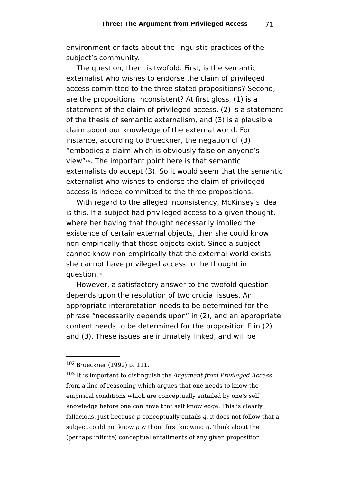environment or facts about the linguistic practices of the subject's community.

The question, then, is twofold. First, is the semantic externalist who wishes to endorse the claim of privileged access committed to the three stated propositions? Second, are the propositions inconsistent? At first gloss, (1) is a statement of the claim of privileged access, (2) is a statement of the thesis of semantic externalism, and (3) is a plausible claim about our knowledge of the external world. For instance, according to Brueckner, the negation of (3) "embodies a claim which is obviously false on anyone's view"<sup>[102](#page-70-0)</sup>. The important point here is that semantic externalists do accept (3). So it would seem that the semantic externalist who wishes to endorse the claim of privileged access is indeed committed to the three propositions.

With regard to the alleged inconsistency, McKinsey's idea is this. If a subject had privileged access to a given thought, where her having that thought necessarily implied the existence of certain external objects, then she could know non-empirically that those objects exist. Since a subject cannot know non-empirically that the external world exists, she cannot have privileged access to the thought in question. [103](#page-70-1)

However, a satisfactory answer to the twofold question depends upon the resolution of two crucial issues. An appropriate interpretation needs to be determined for the phrase "necessarily depends upon" in (2), and an appropriate content needs to be determined for the proposition E in (2) and (3). These issues are intimately linked, and will be

<span id="page-70-0"></span><sup>102</sup> Brueckner (1992) p. 111.

<span id="page-70-1"></span> $103$  It is important to distinguish the *Argument from Privileged Access* from a line of reasoning which argues that one needs to know the empirical conditions which are conceptually entailed by one's self knowledge before one can have that self knowledge. This is clearly fallacious. Just because  $p$  conceptually entails  $q$ , it does not follow that a subject could not know  $p$  without first knowing  $q$ . Think about the (perhaps infinite) conceptual entailments of any given proposition.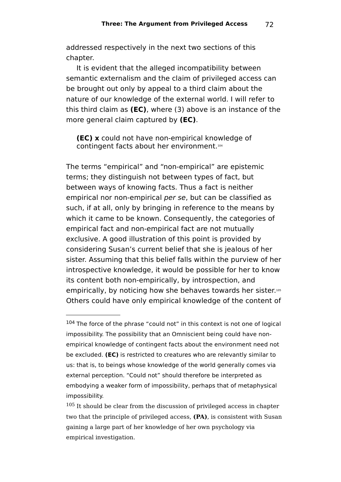addressed respectively in the next two sections of this chapter.

It is evident that the alleged incompatibility between semantic externalism and the claim of privileged access can be brought out only by appeal to a third claim about the nature of our knowledge of the external world. I will refer to this third claim as **(EC)**, where (3) above is an instance of the more general claim captured by **(EC)**.

**(EC) x** could not have non-empirical knowledge of contingent facts about her environment.[104](#page-71-0)

The terms "empirical" and "non-empirical" are epistemic terms; they distinguish not between types of fact, but between ways of knowing facts. Thus a fact is neither empirical nor non-empirical per se, but can be classified as such, if at all, only by bringing in reference to the means by which it came to be known. Consequently, the categories of empirical fact and non-empirical fact are not mutually exclusive. A good illustration of this point is provided by considering Susan's current belief that she is jealous of her sister. Assuming that this belief falls within the purview of her introspective knowledge, it would be possible for her to know its content both non-empirically, by introspection, and empirically, by noticing how she behaves towards her sister. [105](#page-71-1) Others could have only empirical knowledge of the content of

<span id="page-71-0"></span> $104$  The force of the phrase "could not" in this context is not one of logical impossibility. The possibility that an Omniscient being could have nonempirical knowledge of contingent facts about the environment need not be excluded. **(EC)** is restricted to creatures who are relevantly similar to us: that is, to beings whose knowledge of the world generally comes via external perception. "Could not" should therefore be interpreted as embodying a weaker form of impossibility, perhaps that of metaphysical impossibility.

<span id="page-71-1"></span><sup>&</sup>lt;sup>105</sup> It should be clear from the discussion of privileged access in chapter two that the principle of privileged access, **(PA)**, is consistent with Susan gaining a large part of her knowledge of her own psychology via empirical investigation.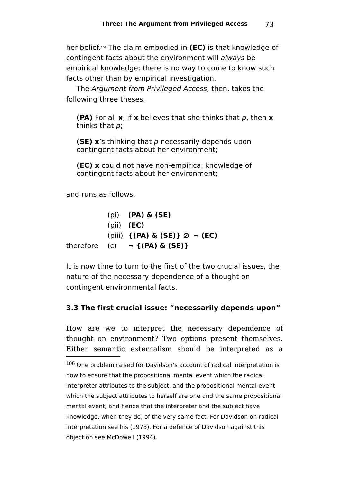her belief. [106](#page-72-0) The claim embodied in **(EC)** is that knowledge of contingent facts about the environment will always be empirical knowledge; there is no way to come to know such facts other than by empirical investigation.

The Argument from Privileged Access, then, takes the following three theses.

**(PA)** For all **x**, if **x** believes that she thinks that p, then **x** thinks that p;

**(SE)** x's thinking that p necessarily depends upon contingent facts about her environment;

**(EC) x** could not have non-empirical knowledge of contingent facts about her environment;

and runs as follows.

(pi) **(PA) & (SE)** (pii) **(EC)** (piii) **{(PA) & (SE)}** ∅ **¬ (EC)** therefore  $(c)$  **¬ {(PA) & (SE)}** 

It is now time to turn to the first of the two crucial issues, the nature of the necessary dependence of a thought on contingent environmental facts.

## **3.3 The first crucial issue: "necessarily depends upon"**

How are we to interpret the necessary dependence of thought on environment? Two options present themselves. Either semantic externalism should be interpreted as a

<span id="page-72-0"></span>106 One problem raised for Davidson's account of radical interpretation is how to ensure that the propositional mental event which the radical interpreter attributes to the subject, and the propositional mental event which the subject attributes to herself are one and the same propositional mental event; and hence that the interpreter and the subject have knowledge, when they do, of the very same fact. For Davidson on radical interpretation see his (1973). For a defence of Davidson against this objection see McDowell (1994).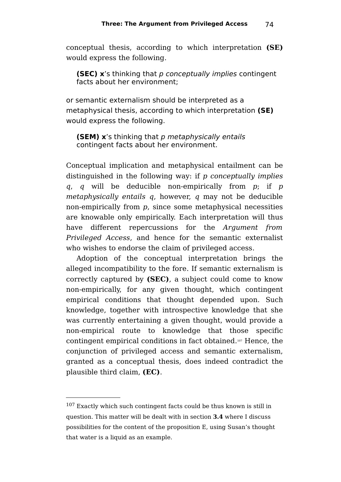conceptual thesis, according to which interpretation **(SE)** would express the following.

**(SEC) x's thinking that p conceptually implies contingent** facts about her environment;

or semantic externalism should be interpreted as a metaphysical thesis, according to which interpretation **(SE)** would express the following.

**(SEM) x**'s thinking that p metaphysically entails contingent facts about her environment.

Conceptual implication and metaphysical entailment can be distinguished in the following way: if  $p$  conceptually implies q, q will be deducible non-empirically from  $p$ ; if  $p$ metaphysically entails q, however, q may not be deducible non-empirically from p, since some metaphysical necessities are knowable only empirically. Each interpretation will thus have different repercussions for the *Argument* from Privileged Access, and hence for the semantic externalist who wishes to endorse the claim of privileged access.

Adoption of the conceptual interpretation brings the alleged incompatibility to the fore. If semantic externalism is correctly captured by **(SEC)**, a subject could come to know non-empirically, for any given thought, which contingent empirical conditions that thought depended upon. Such knowledge, together with introspective knowledge that she was currently entertaining a given thought, would provide a non-empirical route to knowledge that those specific contingent empirical conditions in fact obtained. [107](#page-73-0) Hence, the conjunction of privileged access and semantic externalism, granted as a conceptual thesis, does indeed contradict the plausible third claim, **(EC)**.

<span id="page-73-0"></span><sup>107</sup> Exactly which such contingent facts could be thus known is still in question. This matter will be dealt with in section **3.4** where I discuss possibilities for the content of the proposition E, using Susan's thought that water is a liquid as an example.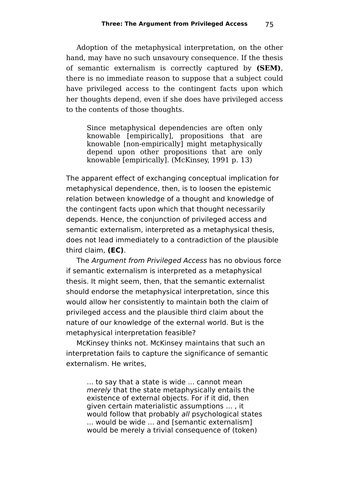Adoption of the metaphysical interpretation, on the other hand, may have no such unsavoury consequence. If the thesis of semantic externalism is correctly captured by **(SEM)**, there is no immediate reason to suppose that a subject could have privileged access to the contingent facts upon which her thoughts depend, even if she does have privileged access to the contents of those thoughts.

Since metaphysical dependencies are often only knowable [empirically], propositions that are knowable [non-empirically] might metaphysically depend upon other propositions that are only knowable [empirically]. (McKinsey, 1991 p. 13)

The apparent effect of exchanging conceptual implication for metaphysical dependence, then, is to loosen the epistemic relation between knowledge of a thought and knowledge of the contingent facts upon which that thought necessarily depends. Hence, the conjunction of privileged access and semantic externalism, interpreted as a metaphysical thesis, does not lead immediately to a contradiction of the plausible third claim, **(EC)**.

The Argument from Privileged Access has no obvious force if semantic externalism is interpreted as a metaphysical thesis. It might seem, then, that the semantic externalist should endorse the metaphysical interpretation, since this would allow her consistently to maintain both the claim of privileged access and the plausible third claim about the nature of our knowledge of the external world. But is the metaphysical interpretation feasible?

McKinsey thinks not. McKinsey maintains that such an interpretation fails to capture the significance of semantic externalism. He writes,

... to say that a state is wide ... cannot mean merely that the state metaphysically entails the existence of external objects. For if it did, then given certain materialistic assumptions ... , it would follow that probably all psychological states ... would be wide ... and [semantic externalism] would be merely a trivial consequence of (token)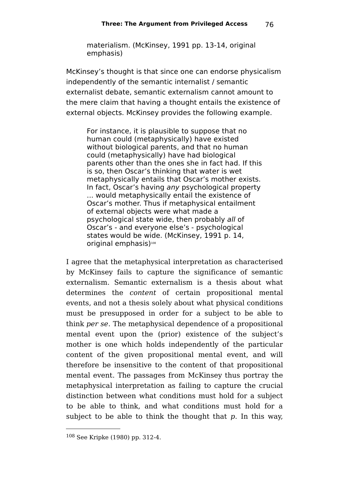materialism. (McKinsey, 1991 pp. 13-14, original emphasis)

McKinsey's thought is that since one can endorse physicalism independently of the semantic internalist / semantic externalist debate, semantic externalism cannot amount to the mere claim that having a thought entails the existence of external objects. McKinsey provides the following example.

For instance, it is plausible to suppose that no human could (metaphysically) have existed without biological parents, and that no human could (metaphysically) have had biological parents other than the ones she in fact had. If this is so, then Oscar's thinking that water is wet metaphysically entails that Oscar's mother exists. In fact, Oscar's having any psychological property ... would metaphysically entail the existence of Oscar's mother. Thus if metaphysical entailment of external objects were what made a psychological state wide, then probably all of Oscar's - and everyone else's - psychological states would be wide. (McKinsey, 1991 p. 14, original emphasis)<sup>[108](#page-75-0)</sup>

I agree that the metaphysical interpretation as characterised by McKinsey fails to capture the significance of semantic externalism. Semantic externalism is a thesis about what determines the content of certain propositional mental events, and not a thesis solely about what physical conditions must be presupposed in order for a subject to be able to think per se. The metaphysical dependence of a propositional mental event upon the (prior) existence of the subject's mother is one which holds independently of the particular content of the given propositional mental event, and will therefore be insensitive to the content of that propositional mental event. The passages from McKinsey thus portray the metaphysical interpretation as failing to capture the crucial distinction between what conditions must hold for a subject to be able to think, and what conditions must hold for a subject to be able to think the thought that  $p$ . In this way,

<span id="page-75-0"></span><sup>108</sup> See Kripke (1980) pp. 312-4.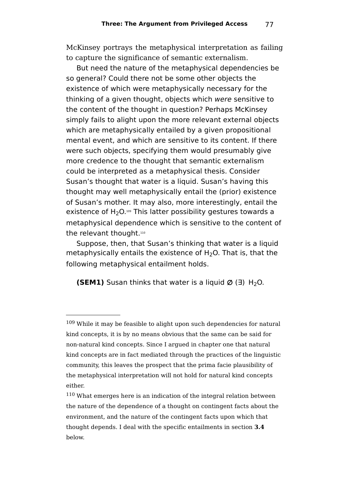McKinsey portrays the metaphysical interpretation as failing to capture the significance of semantic externalism.

But need the nature of the metaphysical dependencies be so general? Could there not be some other objects the existence of which were metaphysically necessary for the thinking of a given thought, objects which were sensitive to the content of the thought in question? Perhaps McKinsey simply fails to alight upon the more relevant external objects which are metaphysically entailed by a given propositional mental event, and which are sensitive to its content. If there were such objects, specifying them would presumably give more credence to the thought that semantic externalism could be interpreted as a metaphysical thesis. Consider Susan's thought that water is a liquid. Susan's having this thought may well metaphysically entail the (prior) existence of Susan's mother. It may also, more interestingly, entail the existence of H<sub>2</sub>O.[109](#page-76-0) This latter possibility gestures towards a metaphysical dependence which is sensitive to the content of the relevant thought.[110](#page-76-1)

Suppose, then, that Susan's thinking that water is a liquid metaphysically entails the existence of  $H_2O$ . That is, that the following metaphysical entailment holds.

**(SEM1)** Susan thinks that water is a liquid  $Ø$  ( $\exists$ ) H<sub>2</sub>O.

<span id="page-76-0"></span><sup>&</sup>lt;sup>109</sup> While it may be feasible to alight upon such dependencies for natural kind concepts, it is by no means obvious that the same can be said for non-natural kind concepts. Since I argued in chapter one that natural kind concepts are in fact mediated through the practices of the linguistic community, this leaves the prospect that the prima facie plausibility of the metaphysical interpretation will not hold for natural kind concepts either.

<span id="page-76-1"></span><sup>&</sup>lt;sup>110</sup> What emerges here is an indication of the integral relation between the nature of the dependence of a thought on contingent facts about the environment, and the nature of the contingent facts upon which that thought depends. I deal with the specific entailments in section **3.4** below.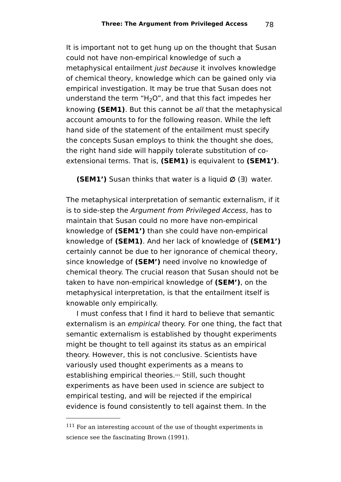It is important not to get hung up on the thought that Susan could not have non-empirical knowledge of such a metaphysical entailment *just because* it involves knowledge of chemical theory, knowledge which can be gained only via empirical investigation. It may be true that Susan does not understand the term "H<sub>2</sub>O", and that this fact impedes her knowing **(SEM1)**. But this cannot be all that the metaphysical account amounts to for the following reason. While the left hand side of the statement of the entailment must specify the concepts Susan employs to think the thought she does, the right hand side will happily tolerate substitution of coextensional terms. That is, **(SEM1)** is equivalent to **(SEM1')**.

**(SEM1')** Susan thinks that water is a liquid ∅ (∃) water.

The metaphysical interpretation of semantic externalism, if it is to side-step the Argument from Privileged Access, has to maintain that Susan could no more have non-empirical knowledge of **(SEM1')** than she could have non-empirical knowledge of **(SEM1)**. And her lack of knowledge of **(SEM1')** certainly cannot be due to her ignorance of chemical theory, since knowledge of **(SEM')** need involve no knowledge of chemical theory. The crucial reason that Susan should not be taken to have non-empirical knowledge of **(SEM')**, on the metaphysical interpretation, is that the entailment itself is knowable only empirically.

I must confess that I find it hard to believe that semantic externalism is an empirical theory. For one thing, the fact that semantic externalism is established by thought experiments might be thought to tell against its status as an empirical theory. However, this is not conclusive. Scientists have variously used thought experiments as a means to establishing empirical theories.[111](#page-77-0) Still, such thought experiments as have been used in science are subject to empirical testing, and will be rejected if the empirical evidence is found consistently to tell against them. In the

<span id="page-77-0"></span> $111$  For an interesting account of the use of thought experiments in science see the fascinating Brown (1991).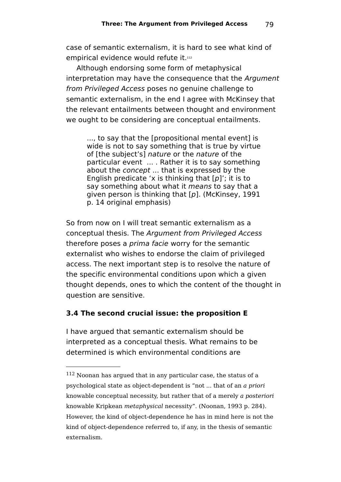case of semantic externalism, it is hard to see what kind of empirical evidence would refute it.<sup>[112](#page-78-0)</sup>

Although endorsing some form of metaphysical interpretation may have the consequence that the Argument from Privileged Access poses no genuine challenge to semantic externalism, in the end I agree with McKinsey that the relevant entailments between thought and environment we ought to be considering are conceptual entailments.

..., to say that the [propositional mental event] is wide is not to say something that is true by virtue of [the subject's] nature or the nature of the particular event ... . Rather it is to say something about the concept ... that is expressed by the English predicate 'x is thinking that  $[p]'$ ; it is to say something about what it means to say that a given person is thinking that  $[p]$ . (McKinsey, 1991 p. 14 original emphasis)

So from now on I will treat semantic externalism as a conceptual thesis. The Argument from Privileged Access therefore poses a prima facie worry for the semantic externalist who wishes to endorse the claim of privileged access. The next important step is to resolve the nature of the specific environmental conditions upon which a given thought depends, ones to which the content of the thought in question are sensitive.

## **3.4 The second crucial issue: the proposition E**

I have argued that semantic externalism should be interpreted as a conceptual thesis. What remains to be determined is which environmental conditions are

<span id="page-78-0"></span><sup>112</sup> Noonan has argued that in any particular case, the status of a psychological state as object-dependent is "not ... that of an a priori knowable conceptual necessity, but rather that of a merely a posteriori knowable Kripkean metaphysical necessity". (Noonan, 1993 p. 284). However, the kind of object-dependence he has in mind here is not the kind of object-dependence referred to, if any, in the thesis of semantic externalism.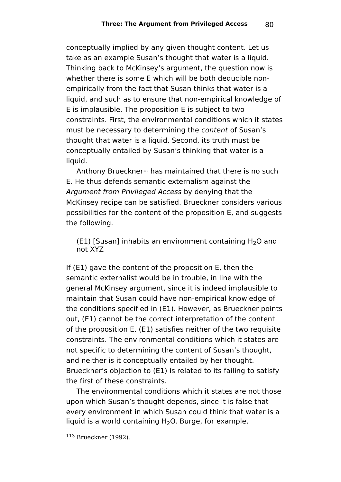conceptually implied by any given thought content. Let us take as an example Susan's thought that water is a liquid. Thinking back to McKinsey's argument, the question now is whether there is some E which will be both deducible nonempirically from the fact that Susan thinks that water is a liquid, and such as to ensure that non-empirical knowledge of E is implausible. The proposition E is subject to two constraints. First, the environmental conditions which it states must be necessary to determining the content of Susan's thought that water is a liquid. Second, its truth must be conceptually entailed by Susan's thinking that water is a liquid.

Anthony Brueckner[113](#page-79-0) has maintained that there is no such E. He thus defends semantic externalism against the Argument from Privileged Access by denying that the McKinsey recipe can be satisfied. Brueckner considers various possibilities for the content of the proposition E, and suggests the following.

(E1) [Susan] inhabits an environment containing  $H_2O$  and not XYZ

If (E1) gave the content of the proposition E, then the semantic externalist would be in trouble, in line with the general McKinsey argument, since it is indeed implausible to maintain that Susan could have non-empirical knowledge of the conditions specified in (E1). However, as Brueckner points out, (E1) cannot be the correct interpretation of the content of the proposition E. (E1) satisfies neither of the two requisite constraints. The environmental conditions which it states are not specific to determining the content of Susan's thought, and neither is it conceptually entailed by her thought. Brueckner's objection to (E1) is related to its failing to satisfy the first of these constraints.

The environmental conditions which it states are not those upon which Susan's thought depends, since it is false that every environment in which Susan could think that water is a liquid is a world containing  $H_2O$ . Burge, for example,

<span id="page-79-0"></span><sup>113</sup> Brueckner (1992).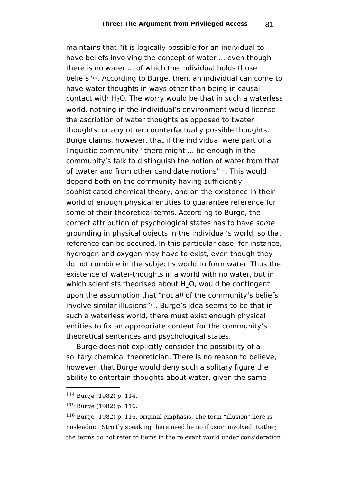maintains that "it is logically possible for an individual to have beliefs involving the concept of water ... even though there is no water ... of which the individual holds those beliefs"[114](#page-80-0) . According to Burge, then, an individual can come to have water thoughts in ways other than being in causal contact with  $H_2O$ . The worry would be that in such a waterless world, nothing in the individual's environment would license the ascription of water thoughts as opposed to twater thoughts, or any other counterfactually possible thoughts. Burge claims, however, that if the individual were part of a linguistic community "there might ... be enough in the community's talk to distinguish the notion of water from that of twater and from other candidate notions"[115](#page-80-1) . This would depend both on the community having sufficiently sophisticated chemical theory, and on the existence in their world of enough physical entities to guarantee reference for some of their theoretical terms. According to Burge, the correct attribution of psychological states has to have some grounding in physical objects in the individual's world, so that reference can be secured. In this particular case, for instance, hydrogen and oxygen may have to exist, even though they do not combine in the subject's world to form water. Thus the existence of water-thoughts in a world with no water, but in which scientists theorised about  $H_2O$ , would be contingent upon the assumption that "not all of the community's beliefs involve similar illusions"[116](#page-80-2) . Burge's idea seems to be that in such a waterless world, there must exist enough physical entities to fix an appropriate content for the community's theoretical sentences and psychological states.

Burge does not explicitly consider the possibility of a solitary chemical theoretician. There is no reason to believe, however, that Burge would deny such a solitary figure the ability to entertain thoughts about water, given the same

<span id="page-80-0"></span><sup>114</sup> Burge (1982) p. 114.

<span id="page-80-1"></span><sup>115</sup> Burge (1982) p. 116.

<span id="page-80-2"></span> $116$  Burge (1982) p. 116, original emphasis. The term "illusion" here is misleading. Strictly speaking there need be no illusion involved. Rather, the terms do not refer to items in the relevant world under consideration.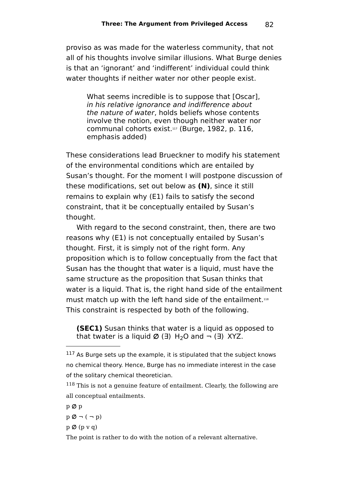proviso as was made for the waterless community, that not all of his thoughts involve similar illusions. What Burge denies is that an 'ignorant' and 'indifferent' individual could think water thoughts if neither water nor other people exist.

What seems incredible is to suppose that [Oscar], in his relative ignorance and indifference about the nature of water, holds beliefs whose contents involve the notion, even though neither water nor communal cohorts exist.[117](#page-81-0) (Burge, 1982, p. 116, emphasis added)

These considerations lead Brueckner to modify his statement of the environmental conditions which are entailed by Susan's thought. For the moment I will postpone discussion of these modifications, set out below as **(N)**, since it still remains to explain why (E1) fails to satisfy the second constraint, that it be conceptually entailed by Susan's thought.

With regard to the second constraint, then, there are two reasons why (E1) is not conceptually entailed by Susan's thought. First, it is simply not of the right form. Any proposition which is to follow conceptually from the fact that Susan has the thought that water is a liquid, must have the same structure as the proposition that Susan thinks that water is a liquid. That is, the right hand side of the entailment must match up with the left hand side of the entailment.<sup>[118](#page-81-1)</sup> This constraint is respected by both of the following.

**(SEC1)** Susan thinks that water is a liquid as opposed to that twater is a liquid  $\varnothing$  ( $\exists$ ) H<sub>2</sub>O and  $\neg$  ( $\exists$ ) XYZ.

p ∅ p

 $p \emptyset \neg (\neg p)$ 

p ∅ (p v q)

The point is rather to do with the notion of a relevant alternative.

<span id="page-81-0"></span><sup>&</sup>lt;sup>117</sup> As Burge sets up the example, it is stipulated that the subject knows no chemical theory. Hence, Burge has no immediate interest in the case of the solitary chemical theoretician.

<span id="page-81-1"></span><sup>&</sup>lt;sup>118</sup> This is not a genuine feature of entailment. Clearly, the following are all conceptual entailments.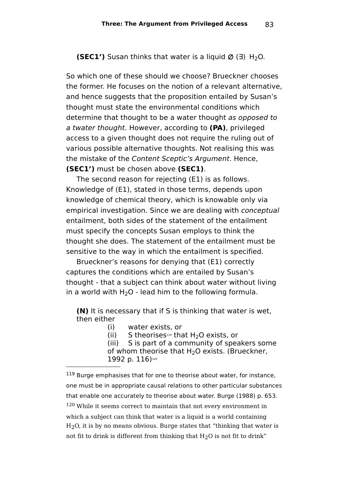**(SEC1')** Susan thinks that water is a liquid  $\varnothing$  ( $\exists$ ) H<sub>2</sub>O.

So which one of these should we choose? Brueckner chooses the former. He focuses on the notion of a relevant alternative, and hence suggests that the proposition entailed by Susan's thought must state the environmental conditions which determine that thought to be a water thought as opposed to a twater thought. However, according to **(PA)**, privileged access to a given thought does not require the ruling out of various possible alternative thoughts. Not realising this was the mistake of the Content Sceptic's Argument. Hence, **(SEC1')** must be chosen above **(SEC1)**.

The second reason for rejecting (E1) is as follows. Knowledge of (E1), stated in those terms, depends upon knowledge of chemical theory, which is knowable only via empirical investigation. Since we are dealing with conceptual entailment, both sides of the statement of the entailment must specify the concepts Susan employs to think the thought she does. The statement of the entailment must be sensitive to the way in which the entailment is specified.

Brueckner's reasons for denying that (E1) correctly captures the conditions which are entailed by Susan's thought - that a subject can think about water without living in a world with  $H_2O$  - lead him to the following formula.

**(N)** It is necessary that if S is thinking that water is wet, then either

(i) water exists, or

(ii) S theorises<sup>[119](#page-82-0)</sup> that H<sub>2</sub>O exists, or (iii) S is part of a community of spear

S is part of a community of speakers some of whom theorise that  $H_2O$  exists. (Brueckner, 1992 p. 116) [120](#page-82-1)

<span id="page-82-1"></span><span id="page-82-0"></span><sup>&</sup>lt;sup>119</sup> Burge emphasises that for one to theorise about water, for instance, one must be in appropriate causal relations to other particular substances that enable one accurately to theorise about water. Burge (1988) p. 653. <sup>120</sup> While it seems correct to maintain that not every environment in which a subject can think that water is a liquid is a world containing H2O, it is by no means obvious. Burge states that "thinking that water is not fit to drink is different from thinking that  $H<sub>2</sub>O$  is not fit to drink"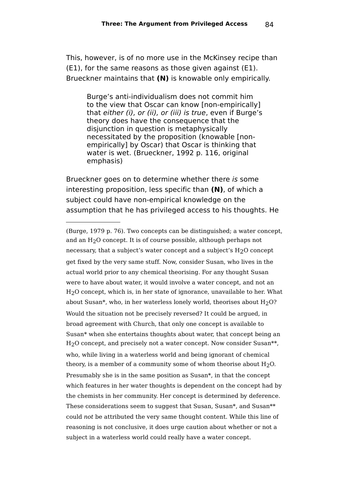This, however, is of no more use in the McKinsey recipe than (E1), for the same reasons as those given against (E1). Brueckner maintains that **(N)** is knowable only empirically.

Burge's anti-individualism does not commit him to the view that Oscar can know [non-empirically] that either (i), or (ii), or (iii) is true, even if Burge's theory does have the consequence that the disjunction in question is metaphysically necessitated by the proposition (knowable [nonempirically] by Oscar) that Oscar is thinking that water is wet. (Brueckner, 1992 p. 116, original emphasis)

Brueckner goes on to determine whether there is some interesting proposition, less specific than **(N)**, of which a subject could have non-empirical knowledge on the assumption that he has privileged access to his thoughts. He

<sup>(</sup>Burge, 1979 p. 76). Two concepts can be distinguished; a water concept, and an H2O concept. It is of course possible, although perhaps not necessary, that a subject's water concept and a subject's H2O concept get fixed by the very same stuff. Now, consider Susan, who lives in the actual world prior to any chemical theorising. For any thought Susan were to have about water, it would involve a water concept, and not an H2O concept, which is, in her state of ignorance, unavailable to her. What about Susan\*, who, in her waterless lonely world, theorises about  $H<sub>2</sub>O$ ? Would the situation not be precisely reversed? It could be argued, in broad agreement with Church, that only one concept is available to Susan\* when she entertains thoughts about water, that concept being an H2O concept, and precisely not a water concept. Now consider Susan\*\*, who, while living in a waterless world and being ignorant of chemical theory, is a member of a community some of whom theorise about  $H<sub>2</sub>O$ . Presumably she is in the same position as Susan\*, in that the concept which features in her water thoughts is dependent on the concept had by the chemists in her community. Her concept is determined by deference. These considerations seem to suggest that Susan, Susan\*, and Susan\*\* could not be attributed the very same thought content. While this line of reasoning is not conclusive, it does urge caution about whether or not a subject in a waterless world could really have a water concept.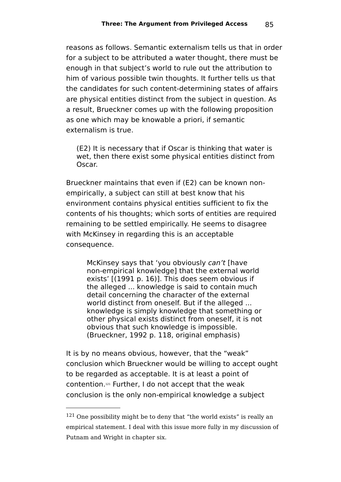reasons as follows. Semantic externalism tells us that in order for a subject to be attributed a water thought, there must be enough in that subject's world to rule out the attribution to him of various possible twin thoughts. It further tells us that the candidates for such content-determining states of affairs are physical entities distinct from the subject in question. As a result, Brueckner comes up with the following proposition as one which may be knowable a priori, if semantic externalism is true.

(E2) It is necessary that if Oscar is thinking that water is wet, then there exist some physical entities distinct from Oscar.

Brueckner maintains that even if (E2) can be known nonempirically, a subject can still at best know that his environment contains physical entities sufficient to fix the contents of his thoughts; which sorts of entities are required remaining to be settled empirically. He seems to disagree with McKinsey in regarding this is an acceptable consequence.

McKinsey says that 'you obviously can't [have non-empirical knowledge] that the external world exists' [(1991 p. 16)]. This does seem obvious if the alleged ... knowledge is said to contain much detail concerning the character of the external world distinct from oneself. But if the alleged ... knowledge is simply knowledge that something or other physical exists distinct from oneself, it is not obvious that such knowledge is impossible. (Brueckner, 1992 p. 118, original emphasis)

It is by no means obvious, however, that the "weak" conclusion which Brueckner would be willing to accept ought to be regarded as acceptable. It is at least a point of contention. [121](#page-84-0) Further, I do not accept that the weak conclusion is the only non-empirical knowledge a subject

<span id="page-84-0"></span> $121$  One possibility might be to deny that "the world exists" is really an empirical statement. I deal with this issue more fully in my discussion of Putnam and Wright in chapter six.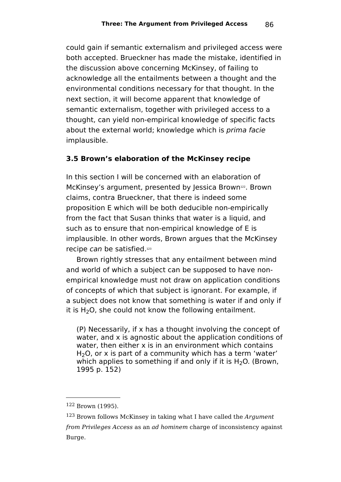could gain if semantic externalism and privileged access were both accepted. Brueckner has made the mistake, identified in the discussion above concerning McKinsey, of failing to acknowledge all the entailments between a thought and the environmental conditions necessary for that thought. In the next section, it will become apparent that knowledge of semantic externalism, together with privileged access to a thought, can yield non-empirical knowledge of specific facts about the external world; knowledge which is *prima facie* implausible.

## **3.5 Brown's elaboration of the McKinsey recipe**

In this section I will be concerned with an elaboration of McKinsey's argument, presented by Jessica Brown<sup>[122](#page-85-0)</sup>. Brown claims, contra Brueckner, that there is indeed some proposition E which will be both deducible non-empirically from the fact that Susan thinks that water is a liquid, and such as to ensure that non-empirical knowledge of E is implausible. In other words, Brown argues that the McKinsey recipe can be satisfied.<sup>[123](#page-85-1)</sup>

Brown rightly stresses that any entailment between mind and world of which a subject can be supposed to have nonempirical knowledge must not draw on application conditions of concepts of which that subject is ignorant. For example, if a subject does not know that something is water if and only if it is  $H_2O$ , she could not know the following entailment.

(P) Necessarily, if x has a thought involving the concept of water, and x is agnostic about the application conditions of water, then either x is in an environment which contains  $H<sub>2</sub>O$ , or x is part of a community which has a term 'water' which applies to something if and only if it is  $H_2O$ . (Brown, 1995 p. 152)

<span id="page-85-0"></span><sup>122</sup> Brown (1995).

<span id="page-85-1"></span> $123$  Brown follows McKinsey in taking what I have called the Argument from Privileges Access as an ad hominem charge of inconsistency against Burge.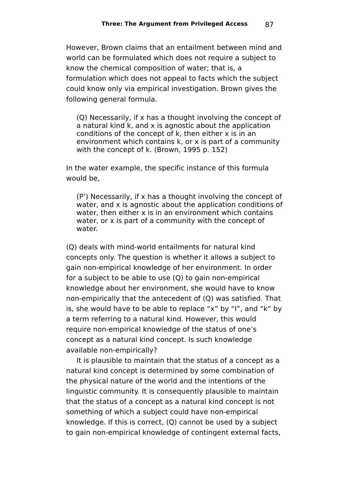However, Brown claims that an entailment between mind and world can be formulated which does not require a subject to know the chemical composition of water; that is, a formulation which does not appeal to facts which the subject could know only via empirical investigation. Brown gives the following general formula.

(Q) Necessarily, if x has a thought involving the concept of a natural kind k, and x is agnostic about the application conditions of the concept of k, then either x is in an environment which contains k, or x is part of a community with the concept of k. (Brown, 1995 p. 152)

In the water example, the specific instance of this formula would be,

(P') Necessarily, if x has a thought involving the concept of water, and x is agnostic about the application conditions of water, then either x is in an environment which contains water, or x is part of a community with the concept of water.

(Q) deals with mind-world entailments for natural kind concepts only. The question is whether it allows a subject to gain non-empirical knowledge of her environment. In order for a subject to be able to use (Q) to gain non-empirical knowledge about her environment, she would have to know non-empirically that the antecedent of (Q) was satisfied. That is, she would have to be able to replace "x" by "I", and "k" by a term referring to a natural kind. However, this would require non-empirical knowledge of the status of one's concept as a natural kind concept. Is such knowledge available non-empirically?

It is plausible to maintain that the status of a concept as a natural kind concept is determined by some combination of the physical nature of the world and the intentions of the linguistic community. It is consequently plausible to maintain that the status of a concept as a natural kind concept is not something of which a subject could have non-empirical knowledge. If this is correct, (Q) cannot be used by a subject to gain non-empirical knowledge of contingent external facts,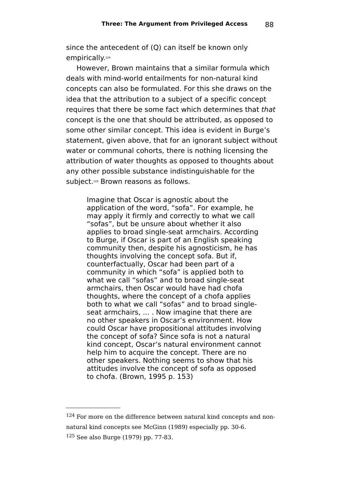since the antecedent of (Q) can itself be known only empirically. [124](#page-87-0)

However, Brown maintains that a similar formula which deals with mind-world entailments for non-natural kind concepts can also be formulated. For this she draws on the idea that the attribution to a subject of a specific concept requires that there be some fact which determines that that concept is the one that should be attributed, as opposed to some other similar concept. This idea is evident in Burge's statement, given above, that for an ignorant subject without water or communal cohorts, there is nothing licensing the attribution of water thoughts as opposed to thoughts about any other possible substance indistinguishable for the subject.[125](#page-87-1) Brown reasons as follows.

Imagine that Oscar is agnostic about the application of the word, "sofa". For example, he may apply it firmly and correctly to what we call "sofas", but be unsure about whether it also applies to broad single-seat armchairs. According to Burge, if Oscar is part of an English speaking community then, despite his agnosticism, he has thoughts involving the concept sofa. But if, counterfactually, Oscar had been part of a community in which "sofa" is applied both to what we call "sofas" and to broad single-seat armchairs, then Oscar would have had chofa thoughts, where the concept of a chofa applies both to what we call "sofas" and to broad singleseat armchairs, ... . Now imagine that there are no other speakers in Oscar's environment. How could Oscar have propositional attitudes involving the concept of sofa? Since sofa is not a natural kind concept, Oscar's natural environment cannot help him to acquire the concept. There are no other speakers. Nothing seems to show that his attitudes involve the concept of sofa as opposed to chofa. (Brown, 1995 p. 153)

<span id="page-87-1"></span><span id="page-87-0"></span><sup>124</sup> For more on the difference between natural kind concepts and nonnatural kind concepts see McGinn (1989) especially pp. 30-6. <sup>125</sup> See also Burge (1979) pp. 77-83.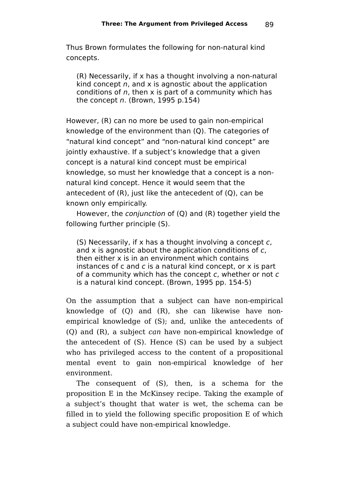Thus Brown formulates the following for non-natural kind concepts.

(R) Necessarily, if x has a thought involving a non-natural kind concept  $n$ , and  $x$  is agnostic about the application conditions of  $n$ , then x is part of a community which has the concept  $n$ . (Brown, 1995 p.154)

However, (R) can no more be used to gain non-empirical knowledge of the environment than (Q). The categories of "natural kind concept" and "non-natural kind concept" are jointly exhaustive. If a subject's knowledge that a given concept is a natural kind concept must be empirical knowledge, so must her knowledge that a concept is a nonnatural kind concept. Hence it would seem that the antecedent of (R), just like the antecedent of (Q), can be known only empirically.

However, the conjunction of (Q) and (R) together yield the following further principle (S).

(S) Necessarily, if x has a thought involving a concept c, and x is agnostic about the application conditions of c. then either x is in an environment which contains instances of  $c$  and  $c$  is a natural kind concept, or  $x$  is part of a community which has the concept  $c$ , whether or not  $c$ is a natural kind concept. (Brown, 1995 pp. 154-5)

On the assumption that a subject can have non-empirical knowledge of (Q) and (R), she can likewise have nonempirical knowledge of (S); and, unlike the antecedents of (Q) and (R), a subject can have non-empirical knowledge of the antecedent of (S). Hence (S) can be used by a subject who has privileged access to the content of a propositional mental event to gain non-empirical knowledge of her environment.

The consequent of (S), then, is a schema for the proposition E in the McKinsey recipe. Taking the example of a subject's thought that water is wet, the schema can be filled in to yield the following specific proposition E of which a subject could have non-empirical knowledge.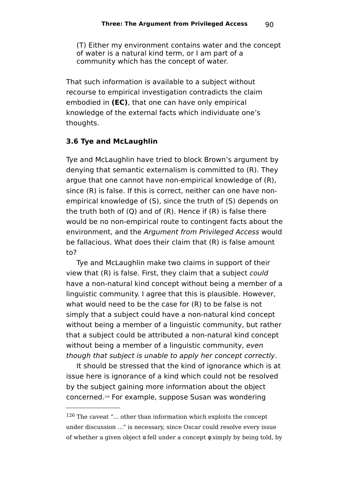(T) Either my environment contains water and the concept of water is a natural kind term, or I am part of a community which has the concept of water.

That such information is available to a subject without recourse to empirical investigation contradicts the claim embodied in **(EC)**, that one can have only empirical knowledge of the external facts which individuate one's thoughts.

### **3.6 Tye and McLaughlin**

Tye and McLaughlin have tried to block Brown's argument by denying that semantic externalism is committed to (R). They argue that one cannot have non-empirical knowledge of (R), since (R) is false. If this is correct, neither can one have nonempirical knowledge of (S), since the truth of (S) depends on the truth both of (Q) and of (R). Hence if (R) is false there would be no non-empirical route to contingent facts about the environment, and the Argument from Privileged Access would be fallacious. What does their claim that (R) is false amount to?

Tye and McLaughlin make two claims in support of their view that (R) is false. First, they claim that a subject could have a non-natural kind concept without being a member of a linguistic community. I agree that this is plausible. However, what would need to be the case for (R) to be false is not simply that a subject could have a non-natural kind concept without being a member of a linguistic community, but rather that a subject could be attributed a non-natural kind concept without being a member of a linguistic community, even though that subject is unable to apply her concept correctly.

It should be stressed that the kind of ignorance which is at issue here is ignorance of a kind which could not be resolved by the subject gaining more information about the object concerned. [126](#page-89-0) For example, suppose Susan was wondering

<span id="page-89-0"></span> $126$  The caveat "... other than information which exploits the concept under discussion ..." is necessary, since Oscar could resolve every issue of whether a given object  $\alpha$  fell under a concept  $\phi$  simply by being told, by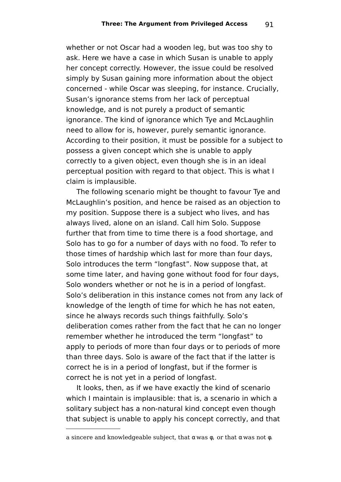whether or not Oscar had a wooden leg, but was too shy to ask. Here we have a case in which Susan is unable to apply her concept correctly. However, the issue could be resolved simply by Susan gaining more information about the object concerned - while Oscar was sleeping, for instance. Crucially, Susan's ignorance stems from her lack of perceptual knowledge, and is not purely a product of semantic ignorance. The kind of ignorance which Tye and McLaughlin need to allow for is, however, purely semantic ignorance. According to their position, it must be possible for a subject to possess a given concept which she is unable to apply correctly to a given object, even though she is in an ideal perceptual position with regard to that object. This is what I claim is implausible.

The following scenario might be thought to favour Tye and McLaughlin's position, and hence be raised as an objection to my position. Suppose there is a subject who lives, and has always lived, alone on an island. Call him Solo. Suppose further that from time to time there is a food shortage, and Solo has to go for a number of days with no food. To refer to those times of hardship which last for more than four days, Solo introduces the term "longfast". Now suppose that, at some time later, and having gone without food for four days, Solo wonders whether or not he is in a period of longfast. Solo's deliberation in this instance comes not from any lack of knowledge of the length of time for which he has not eaten, since he always records such things faithfully. Solo's deliberation comes rather from the fact that he can no longer remember whether he introduced the term "longfast" to apply to periods of more than four days or to periods of more than three days. Solo is aware of the fact that if the latter is correct he is in a period of longfast, but if the former is correct he is not yet in a period of longfast.

It looks, then, as if we have exactly the kind of scenario which I maintain is implausible: that is, a scenario in which a solitary subject has a non-natural kind concept even though that subject is unable to apply his concept correctly, and that

a sincere and knowledgeable subject, that  $\alpha$  was  $\phi$ , or that  $\alpha$  was not  $\phi$ .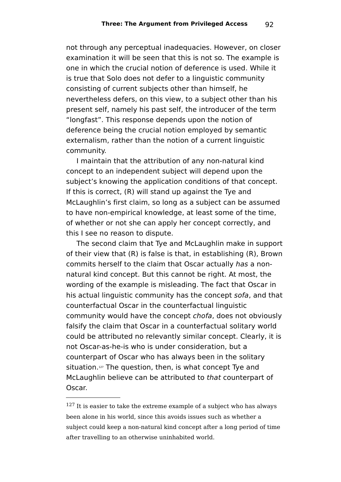not through any perceptual inadequacies. However, on closer examination it will be seen that this is not so. The example is one in which the crucial notion of deference is used. While it is true that Solo does not defer to a linguistic community consisting of current subjects other than himself, he nevertheless defers, on this view, to a subject other than his present self, namely his past self, the introducer of the term "longfast". This response depends upon the notion of deference being the crucial notion employed by semantic externalism, rather than the notion of a current linguistic community.

I maintain that the attribution of any non-natural kind concept to an independent subject will depend upon the subject's knowing the application conditions of that concept. If this is correct, (R) will stand up against the Tye and McLaughlin's first claim, so long as a subject can be assumed to have non-empirical knowledge, at least some of the time, of whether or not she can apply her concept correctly, and this I see no reason to dispute.

The second claim that Tye and McLaughlin make in support of their view that (R) is false is that, in establishing (R), Brown commits herself to the claim that Oscar actually has a nonnatural kind concept. But this cannot be right. At most, the wording of the example is misleading. The fact that Oscar in his actual linguistic community has the concept sofa, and that counterfactual Oscar in the counterfactual linguistic community would have the concept chofa, does not obviously falsify the claim that Oscar in a counterfactual solitary world could be attributed no relevantly similar concept. Clearly, it is not Oscar-as-he-is who is under consideration, but a counterpart of Oscar who has always been in the solitary situation. [127](#page-91-0) The question, then, is what concept Tye and McLaughlin believe can be attributed to that counterpart of Oscar.

<span id="page-91-0"></span> $127$  It is easier to take the extreme example of a subject who has always been alone in his world, since this avoids issues such as whether a subject could keep a non-natural kind concept after a long period of time after travelling to an otherwise uninhabited world.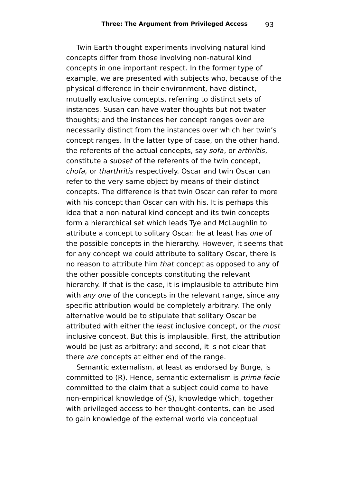Twin Earth thought experiments involving natural kind concepts differ from those involving non-natural kind concepts in one important respect. In the former type of example, we are presented with subjects who, because of the physical difference in their environment, have distinct, mutually exclusive concepts, referring to distinct sets of instances. Susan can have water thoughts but not twater thoughts; and the instances her concept ranges over are necessarily distinct from the instances over which her twin's concept ranges. In the latter type of case, on the other hand, the referents of the actual concepts, say sofa, or arthritis, constitute a subset of the referents of the twin concept, chofa, or tharthritis respectively. Oscar and twin Oscar can refer to the very same object by means of their distinct concepts. The difference is that twin Oscar can refer to more with his concept than Oscar can with his. It is perhaps this idea that a non-natural kind concept and its twin concepts form a hierarchical set which leads Tye and McLaughlin to attribute a concept to solitary Oscar: he at least has one of the possible concepts in the hierarchy. However, it seems that for any concept we could attribute to solitary Oscar, there is no reason to attribute him that concept as opposed to any of the other possible concepts constituting the relevant hierarchy. If that is the case, it is implausible to attribute him with any one of the concepts in the relevant range, since any specific attribution would be completely arbitrary. The only alternative would be to stipulate that solitary Oscar be attributed with either the least inclusive concept, or the most inclusive concept. But this is implausible. First, the attribution would be just as arbitrary; and second, it is not clear that there are concepts at either end of the range.

Semantic externalism, at least as endorsed by Burge, is committed to (R). Hence, semantic externalism is prima facie committed to the claim that a subject could come to have non-empirical knowledge of (S), knowledge which, together with privileged access to her thought-contents, can be used to gain knowledge of the external world via conceptual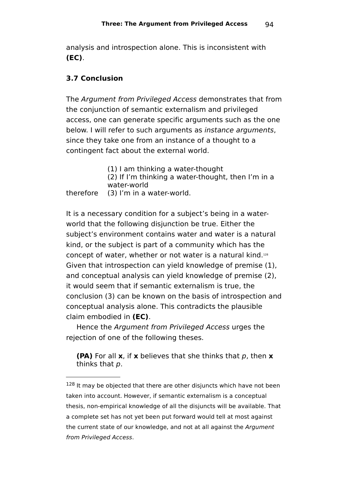analysis and introspection alone. This is inconsistent with **(EC)**.

## **3.7 Conclusion**

The Argument from Privileged Access demonstrates that from the conjunction of semantic externalism and privileged access, one can generate specific arguments such as the one below. I will refer to such arguments as *instance arguments*. since they take one from an instance of a thought to a contingent fact about the external world.

> (1) I am thinking a water-thought (2) If I'm thinking a water-thought, then I'm in a water-world

therefore (3) I'm in a water-world.

It is a necessary condition for a subject's being in a waterworld that the following disjunction be true. Either the subject's environment contains water and water is a natural kind, or the subject is part of a community which has the concept of water, whether or not water is a natural kind.<sup>[128](#page-93-0)</sup> Given that introspection can yield knowledge of premise (1), and conceptual analysis can yield knowledge of premise (2), it would seem that if semantic externalism is true, the conclusion (3) can be known on the basis of introspection and conceptual analysis alone. This contradicts the plausible claim embodied in **(EC)**.

Hence the Argument from Privileged Access urges the rejection of one of the following theses.

**(PA)** For all **x**, if **x** believes that she thinks that p, then **x** thinks that p.

<span id="page-93-0"></span><sup>&</sup>lt;sup>128</sup> It may be objected that there are other disjuncts which have not been taken into account. However, if semantic externalism is a conceptual thesis, non-empirical knowledge of all the disjuncts will be available. That a complete set has not yet been put forward would tell at most against the current state of our knowledge, and not at all against the Argument from Privileged Access.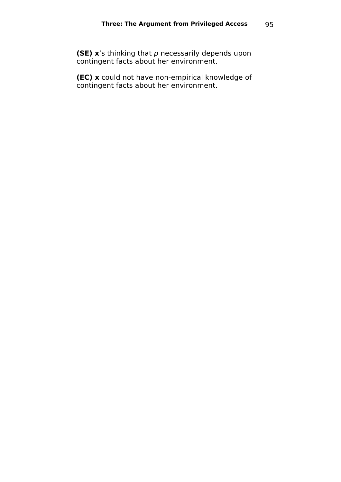**(SE) x**'s thinking that p necessarily depends upon contingent facts about her environment.

**(EC) x** could not have non-empirical knowledge of contingent facts about her environment.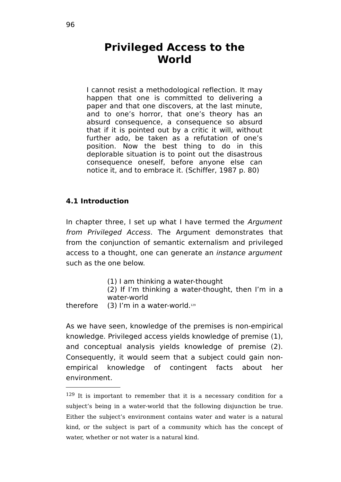# **Privileged Access to the World**

I cannot resist a methodological reflection. It may happen that one is committed to delivering a paper and that one discovers, at the last minute, and to one's horror, that one's theory has an absurd consequence, a consequence so absurd that if it is pointed out by a critic it will, without further ado, be taken as a refutation of one's position. Now the best thing to do in this deplorable situation is to point out the disastrous consequence oneself, before anyone else can notice it, and to embrace it. (Schiffer, 1987 p. 80)

#### **4.1 Introduction**

In chapter three, I set up what I have termed the Argument from Privileged Access. The Argument demonstrates that from the conjunction of semantic externalism and privileged access to a thought, one can generate an instance argument such as the one below.

(1) I am thinking a water-thought

(2) If I'm thinking a water-thought, then I'm in a water-world

therefore  $(3)$  I'm in a water-world.<sup>[129](#page-95-0)</sup>

As we have seen, knowledge of the premises is non-empirical knowledge. Privileged access yields knowledge of premise (1), and conceptual analysis yields knowledge of premise (2). Consequently, it would seem that a subject could gain nonempirical knowledge of contingent facts about her environment.

<span id="page-95-0"></span><sup>&</sup>lt;sup>129</sup> It is important to remember that it is a necessary condition for a subject's being in a water-world that the following disjunction be true. Either the subject's environment contains water and water is a natural kind, or the subject is part of a community which has the concept of water, whether or not water is a natural kind.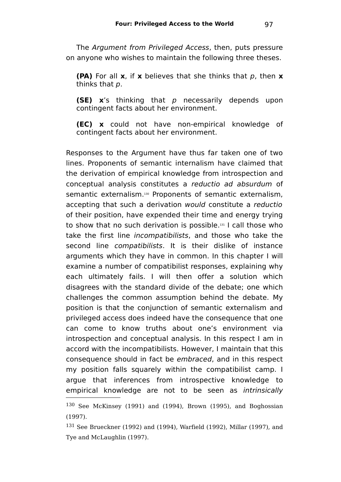The Argument from Privileged Access, then, puts pressure on anyone who wishes to maintain the following three theses.

**(PA)** For all **x**, if **x** believes that she thinks that p, then **x** thinks that p.

**(SE) x**'s thinking that p necessarily depends upon contingent facts about her environment.

**(EC) x** could not have non-empirical knowledge of contingent facts about her environment.

Responses to the Argument have thus far taken one of two lines. Proponents of semantic internalism have claimed that the derivation of empirical knowledge from introspection and conceptual analysis constitutes a reductio ad absurdum of semantic externalism. [130](#page-96-0) Proponents of semantic externalism, accepting that such a derivation would constitute a reductio of their position, have expended their time and energy trying to show that no such derivation is possible. [131](#page-96-1) I call those who take the first line incompatibilists, and those who take the second line compatibilists. It is their dislike of instance arguments which they have in common. In this chapter I will examine a number of compatibilist responses, explaining why each ultimately fails. I will then offer a solution which disagrees with the standard divide of the debate; one which challenges the common assumption behind the debate. My position is that the conjunction of semantic externalism and privileged access does indeed have the consequence that one can come to know truths about one's environment via introspection and conceptual analysis. In this respect I am in accord with the incompatibilists. However, I maintain that this consequence should in fact be embraced, and in this respect my position falls squarely within the compatibilist camp. I argue that inferences from introspective knowledge to empirical knowledge are not to be seen as intrinsically

<span id="page-96-0"></span><sup>130</sup> See McKinsey (1991) and (1994), Brown (1995), and Boghossian (1997).

<span id="page-96-1"></span><sup>131</sup> See Brueckner (1992) and (1994), Warfield (1992), Millar (1997), and Tye and McLaughlin (1997).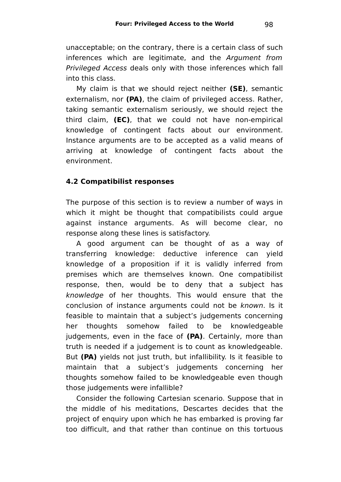unacceptable; on the contrary, there is a certain class of such inferences which are legitimate, and the Argument from Privileged Access deals only with those inferences which fall into this class.

My claim is that we should reject neither **(SE)**, semantic externalism, nor **(PA)**, the claim of privileged access. Rather, taking semantic externalism seriously, we should reject the third claim, **(EC)**, that we could not have non-empirical knowledge of contingent facts about our environment. Instance arguments are to be accepted as a valid means of arriving at knowledge of contingent facts about the environment.

## **4.2 Compatibilist responses**

The purpose of this section is to review a number of ways in which it might be thought that compatibilists could argue against instance arguments. As will become clear, no response along these lines is satisfactory.

A good argument can be thought of as a way of transferring knowledge: deductive inference can yield knowledge of a proposition if it is validly inferred from premises which are themselves known. One compatibilist response, then, would be to deny that a subject has knowledge of her thoughts. This would ensure that the conclusion of instance arguments could not be known. Is it feasible to maintain that a subject's judgements concerning her thoughts somehow failed to be knowledgeable judgements, even in the face of **(PA)**. Certainly, more than truth is needed if a judgement is to count as knowledgeable. But **(PA)** yields not just truth, but infallibility. Is it feasible to maintain that a subject's judgements concerning her thoughts somehow failed to be knowledgeable even though those judgements were infallible?

Consider the following Cartesian scenario. Suppose that in the middle of his meditations, Descartes decides that the project of enquiry upon which he has embarked is proving far too difficult, and that rather than continue on this tortuous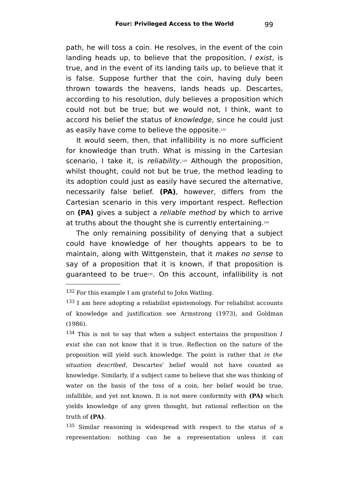path, he will toss a coin. He resolves, in the event of the coin landing heads up, to believe that the proposition, I exist, is true, and in the event of its landing tails up, to believe that it is false. Suppose further that the coin, having duly been thrown towards the heavens, lands heads up. Descartes, according to his resolution, duly believes a proposition which could not but be true; but we would not, I think, want to accord his belief the status of knowledge, since he could just as easily have come to believe the opposite.<sup>[132](#page-98-0)</sup>

It would seem, then, that infallibility is no more sufficient for knowledge than truth. What is missing in the Cartesian scenario, I take it, is reliability.<sup>[133](#page-98-1)</sup> Although the proposition, whilst thought, could not but be true, the method leading to its adoption could just as easily have secured the alternative, necessarily false belief. **(PA)**, however, differs from the Cartesian scenario in this very important respect. Reflection on **(PA)** gives a subject a reliable method by which to arrive at truths about the thought she is currently entertaining. [134](#page-98-2)

The only remaining possibility of denying that a subject could have knowledge of her thoughts appears to be to maintain, along with Wittgenstein, that it makes no sense to say of a proposition that it is known, if that proposition is guaranteed to be true[135](#page-98-3) . On this account, infallibility is not

<span id="page-98-2"></span> $134$  This is not to say that when a subject entertains the proposition I exist she can not know that it is true. Reflection on the nature of the proposition will yield such knowledge. The point is rather that in the situation described, Descartes' belief would not have counted as knowledge. Similarly, if a subject came to believe that she was thinking of water on the basis of the toss of a coin, her belief would be true, infallible, and yet not known. It is not mere conformity with **(PA)** which yields knowledge of any given thought, but rational reflection on the truth of **(PA)**.

<span id="page-98-3"></span><sup>135</sup> Similar reasoning is widespread with respect to the status of a representation: nothing can be a representation unless it can

<span id="page-98-0"></span><sup>&</sup>lt;sup>132</sup> For this example I am grateful to John Watling.

<span id="page-98-1"></span><sup>&</sup>lt;sup>133</sup> I am here adopting a reliabilist epistemology. For reliabilist accounts of knowledge and justification see Armstrong (1973), and Goldman (1986).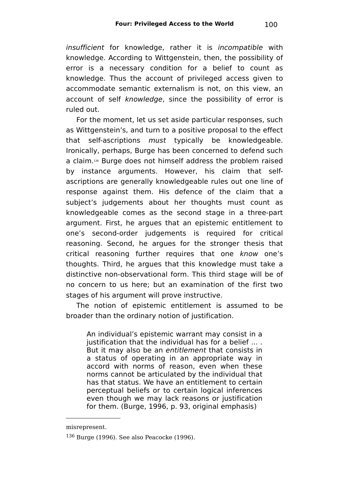insufficient for knowledge, rather it is incompatible with knowledge. According to Wittgenstein, then, the possibility of error is a necessary condition for a belief to count as knowledge. Thus the account of privileged access given to accommodate semantic externalism is not, on this view, an account of self knowledge, since the possibility of error is ruled out.

For the moment, let us set aside particular responses, such as Wittgenstein's, and turn to a positive proposal to the effect that self-ascriptions must typically be knowledgeable. Ironically, perhaps, Burge has been concerned to defend such a claim.<sup>[136](#page-99-0)</sup> Burge does not himself address the problem raised by instance arguments. However, his claim that selfascriptions are generally knowledgeable rules out one line of response against them. His defence of the claim that a subject's judgements about her thoughts must count as knowledgeable comes as the second stage in a three-part argument. First, he argues that an epistemic entitlement to one's second-order judgements is required for critical reasoning. Second, he argues for the stronger thesis that critical reasoning further requires that one know one's thoughts. Third, he argues that this knowledge must take a distinctive non-observational form. This third stage will be of no concern to us here; but an examination of the first two stages of his argument will prove instructive.

The notion of epistemic entitlement is assumed to be broader than the ordinary notion of justification.

An individual's epistemic warrant may consist in a justification that the individual has for a belief ... . But it may also be an entitlement that consists in a status of operating in an appropriate way in accord with norms of reason, even when these norms cannot be articulated by the individual that has that status. We have an entitlement to certain perceptual beliefs or to certain logical inferences even though we may lack reasons or justification for them. (Burge, 1996, p. 93, original emphasis)

misrepresent.

<span id="page-99-0"></span><sup>136</sup> Burge (1996). See also Peacocke (1996).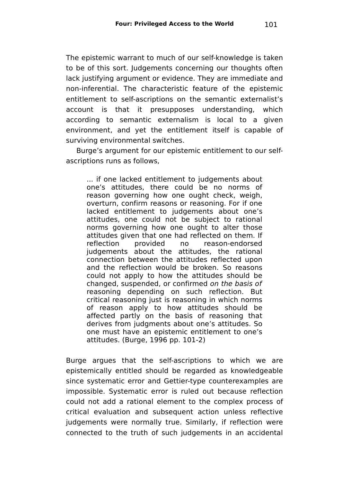The epistemic warrant to much of our self-knowledge is taken to be of this sort. Judgements concerning our thoughts often lack justifying argument or evidence. They are immediate and non-inferential. The characteristic feature of the epistemic entitlement to self-ascriptions on the semantic externalist's account is that it presupposes understanding, which according to semantic externalism is local to a given environment, and yet the entitlement itself is capable of surviving environmental switches.

Burge's argument for our epistemic entitlement to our selfascriptions runs as follows,

... if one lacked entitlement to judgements about one's attitudes, there could be no norms of reason governing how one ought check, weigh, overturn, confirm reasons or reasoning. For if one lacked entitlement to judgements about one's attitudes, one could not be subject to rational norms governing how one ought to alter those attitudes given that one had reflected on them. If reflection provided no reason-endorsed judgements about the attitudes, the rational connection between the attitudes reflected upon and the reflection would be broken. So reasons could not apply to how the attitudes should be changed, suspended, or confirmed on the basis of reasoning depending on such reflection. But critical reasoning just is reasoning in which norms of reason apply to how attitudes should be affected partly on the basis of reasoning that derives from judgments about one's attitudes. So one must have an epistemic entitlement to one's attitudes. (Burge, 1996 pp. 101-2)

Burge argues that the self-ascriptions to which we are epistemically entitled should be regarded as knowledgeable since systematic error and Gettier-type counterexamples are impossible. Systematic error is ruled out because reflection could not add a rational element to the complex process of critical evaluation and subsequent action unless reflective judgements were normally true. Similarly, if reflection were connected to the truth of such judgements in an accidental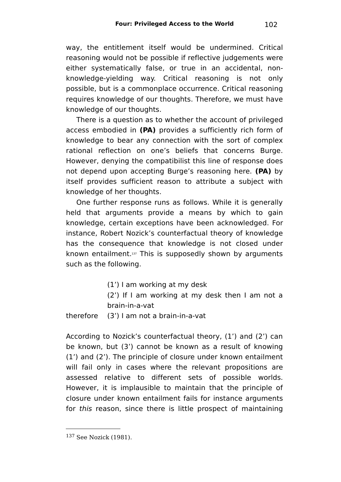way, the entitlement itself would be undermined. Critical reasoning would not be possible if reflective judgements were either systematically false, or true in an accidental, nonknowledge-yielding way. Critical reasoning is not only possible, but is a commonplace occurrence. Critical reasoning requires knowledge of our thoughts. Therefore, we must have knowledge of our thoughts.

There is a question as to whether the account of privileged access embodied in **(PA)** provides a sufficiently rich form of knowledge to bear any connection with the sort of complex rational reflection on one's beliefs that concerns Burge. However, denying the compatibilist this line of response does not depend upon accepting Burge's reasoning here. **(PA)** by itself provides sufficient reason to attribute a subject with knowledge of her thoughts.

One further response runs as follows. While it is generally held that arguments provide a means by which to gain knowledge, certain exceptions have been acknowledged. For instance, Robert Nozick's counterfactual theory of knowledge has the consequence that knowledge is not closed under known entailment.<sup>[137](#page-101-0)</sup> This is supposedly shown by arguments such as the following.

(1') I am working at my desk

(2') If I am working at my desk then I am not a brain-in-a-vat

therefore (3') I am not a brain-in-a-vat

According to Nozick's counterfactual theory, (1') and (2') can be known, but (3') cannot be known as a result of knowing (1') and (2'). The principle of closure under known entailment will fail only in cases where the relevant propositions are assessed relative to different sets of possible worlds. However, it is implausible to maintain that the principle of closure under known entailment fails for instance arguments for this reason, since there is little prospect of maintaining

<span id="page-101-0"></span><sup>137</sup> See Nozick (1981).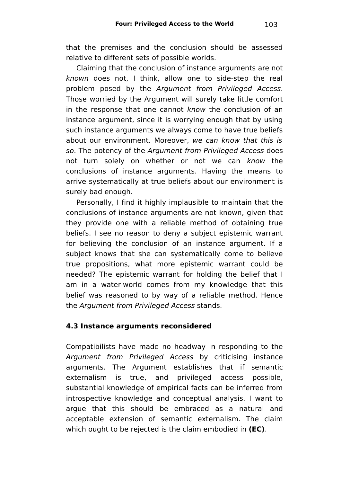that the premises and the conclusion should be assessed relative to different sets of possible worlds.

Claiming that the conclusion of instance arguments are not known does not, I think, allow one to side-step the real problem posed by the Argument from Privileged Access. Those worried by the Argument will surely take little comfort in the response that one cannot know the conclusion of an instance argument, since it is worrying enough that by using such instance arguments we always come to have true beliefs about our environment. Moreover, we can know that this is so. The potency of the Argument from Privileged Access does not turn solely on whether or not we can know the conclusions of instance arguments. Having the means to arrive systematically at true beliefs about our environment is surely bad enough.

Personally, I find it highly implausible to maintain that the conclusions of instance arguments are not known, given that they provide one with a reliable method of obtaining true beliefs. I see no reason to deny a subject epistemic warrant for believing the conclusion of an instance argument. If a subject knows that she can systematically come to believe true propositions, what more epistemic warrant could be needed? The epistemic warrant for holding the belief that I am in a water-world comes from my knowledge that this belief was reasoned to by way of a reliable method. Hence the Argument from Privileged Access stands.

### **4.3 Instance arguments reconsidered**

Compatibilists have made no headway in responding to the Argument from Privileged Access by criticising instance arguments. The Argument establishes that if semantic externalism is true, and privileged access possible, substantial knowledge of empirical facts can be inferred from introspective knowledge and conceptual analysis. I want to argue that this should be embraced as a natural and acceptable extension of semantic externalism. The claim which ought to be rejected is the claim embodied in **(EC)**.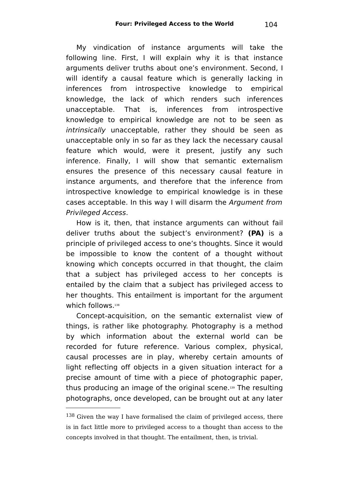My vindication of instance arguments will take the following line. First, I will explain why it is that instance arguments deliver truths about one's environment. Second, I will identify a causal feature which is generally lacking in inferences from introspective knowledge to empirical knowledge, the lack of which renders such inferences unacceptable. That is, inferences from introspective knowledge to empirical knowledge are not to be seen as intrinsically unacceptable, rather they should be seen as unacceptable only in so far as they lack the necessary causal feature which would, were it present, justify any such inference. Finally, I will show that semantic externalism ensures the presence of this necessary causal feature in instance arguments, and therefore that the inference from introspective knowledge to empirical knowledge is in these cases acceptable. In this way I will disarm the Argument from Privileged Access.

How is it, then, that instance arguments can without fail deliver truths about the subject's environment? **(PA)** is a principle of privileged access to one's thoughts. Since it would be impossible to know the content of a thought without knowing which concepts occurred in that thought, the claim that a subject has privileged access to her concepts is entailed by the claim that a subject has privileged access to her thoughts. This entailment is important for the argument which follows.<sup>[138](#page-103-0)</sup>

Concept-acquisition, on the semantic externalist view of things, is rather like photography. Photography is a method by which information about the external world can be recorded for future reference. Various complex, physical, causal processes are in play, whereby certain amounts of light reflecting off objects in a given situation interact for a precise amount of time with a piece of photographic paper, thus producing an image of the original scene.[139](#page-104-0) The resulting photographs, once developed, can be brought out at any later

<span id="page-103-0"></span> $138$  Given the way I have formalised the claim of privileged access, there is in fact little more to privileged access to a thought than access to the concepts involved in that thought. The entailment, then, is trivial.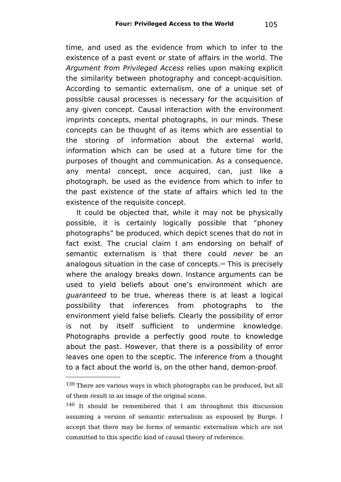time, and used as the evidence from which to infer to the existence of a past event or state of affairs in the world. The Argument from Privileged Access relies upon making explicit the similarity between photography and concept-acquisition. According to semantic externalism, one of a unique set of possible causal processes is necessary for the acquisition of any given concept. Causal interaction with the environment imprints concepts, mental photographs, in our minds. These concepts can be thought of as items which are essential to the storing of information about the external world, information which can be used at a future time for the purposes of thought and communication. As a consequence, any mental concept, once acquired, can, just like a photograph, be used as the evidence from which to infer to the past existence of the state of affairs which led to the existence of the requisite concept.

It could be objected that, while it may not be physically possible, it is certainly logically possible that "phoney photographs" be produced, which depict scenes that do not in fact exist. The crucial claim I am endorsing on behalf of semantic externalism is that there could never be an analogous situation in the case of concepts.[140](#page-104-1) This is precisely where the analogy breaks down. Instance arguments can be used to yield beliefs about one's environment which are guaranteed to be true, whereas there is at least a logical possibility that inferences from photographs to the environment yield false beliefs. Clearly the possibility of error is not by itself sufficient to undermine knowledge. Photographs provide a perfectly good route to knowledge about the past. However, that there is a possibility of error leaves one open to the sceptic. The inference from a thought to a fact about the world is, on the other hand, demon-proof.

<span id="page-104-0"></span> $139$  There are various ways in which photographs can be produced, but all of them result in an image of the original scene.

<span id="page-104-1"></span><sup>140</sup> It should be remembered that I am throughout this discussion assuming a version of semantic externalism as espoused by Burge. I accept that there may be forms of semantic externalism which are not committed to this specific kind of causal theory of reference.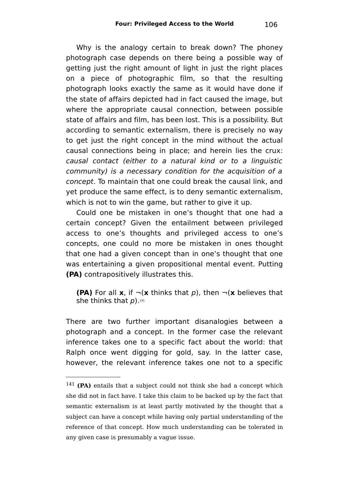Why is the analogy certain to break down? The phoney photograph case depends on there being a possible way of getting just the right amount of light in just the right places on a piece of photographic film, so that the resulting photograph looks exactly the same as it would have done if the state of affairs depicted had in fact caused the image, but where the appropriate causal connection, between possible state of affairs and film, has been lost. This is a possibility. But according to semantic externalism, there is precisely no way to get just the right concept in the mind without the actual causal connections being in place; and herein lies the crux: causal contact (either to a natural kind or to a linguistic community) is a necessary condition for the acquisition of a concept. To maintain that one could break the causal link, and yet produce the same effect, is to deny semantic externalism, which is not to win the game, but rather to give it up.

Could one be mistaken in one's thought that one had a certain concept? Given the entailment between privileged access to one's thoughts and privileged access to one's concepts, one could no more be mistaken in ones thought that one had a given concept than in one's thought that one was entertaining a given propositional mental event. Putting **(PA)** contrapositively illustrates this.

**(PA)** For all **x**, if  $\neg$  **(x** thinks that p), then  $\neg$  **(x** believes that she thinks that  $\rho$ ). $^{\scriptscriptstyle 141}$  $^{\scriptscriptstyle 141}$  $^{\scriptscriptstyle 141}$ 

There are two further important disanalogies between a photograph and a concept. In the former case the relevant inference takes one to a specific fact about the world: that Ralph once went digging for gold, say. In the latter case, however, the relevant inference takes one not to a specific

<span id="page-105-0"></span><sup>141</sup> **(PA)** entails that a subject could not think she had a concept which she did not in fact have. I take this claim to be backed up by the fact that semantic externalism is at least partly motivated by the thought that a subject can have a concept while having only partial understanding of the reference of that concept. How much understanding can be tolerated in any given case is presumably a vague issue.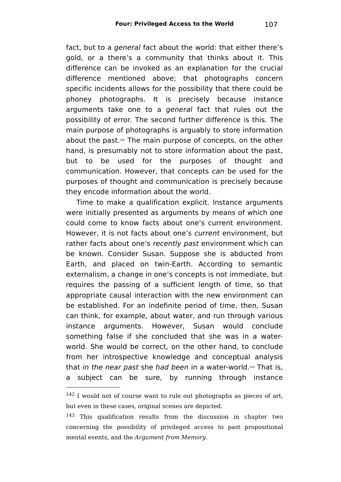fact, but to a *general* fact about the world: that either there's gold, or a there's a community that thinks about it. This difference can be invoked as an explanation for the crucial difference mentioned above; that photographs concern specific incidents allows for the possibility that there could be phoney photographs. It is precisely because instance arguments take one to a general fact that rules out the possibility of error. The second further difference is this. The main purpose of photographs is arguably to store information about the past.[142](#page-106-0) The main purpose of concepts, on the other hand, is presumably not to store information about the past, but to be used for the purposes of thought and communication. However, that concepts can be used for the purposes of thought and communication is precisely because they encode information about the world.

Time to make a qualification explicit. Instance arguments were initially presented as arguments by means of which one could come to know facts about one's current environment. However, it is not facts about one's *current* environment, but rather facts about one's recently past environment which can be known. Consider Susan. Suppose she is abducted from Earth, and placed on twin-Earth. According to semantic externalism, a change in one's concepts is not immediate, but requires the passing of a sufficient length of time, so that appropriate causal interaction with the new environment can be established. For an indefinite period of time, then, Susan can think, for example, about water, and run through various instance arguments. However, Susan would conclude something false if she concluded that she was in a waterworld. She would be correct, on the other hand, to conclude from her introspective knowledge and conceptual analysis that *in the near past she had been* in a water-world.[143](#page-106-1) That is, a subject can be sure, by running through instance

<span id="page-106-0"></span><sup>142</sup> I would not of course want to rule out photographs as pieces of art, but even in these cases, original scenes are depicted.

<span id="page-106-1"></span><sup>&</sup>lt;sup>143</sup> This qualification results from the discussion in chapter two concerning the possibility of privileged access to past propositional mental events, and the Argument from Memory.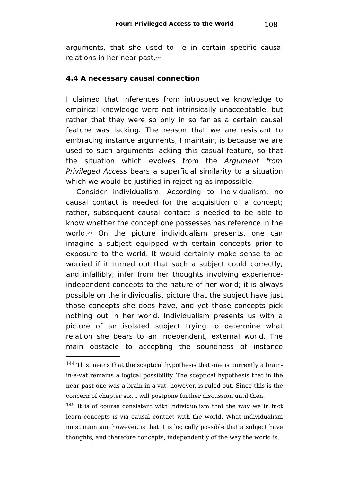arguments, that she used to lie in certain specific causal relations in her near past. [144](#page-107-0)

### **4.4 A necessary causal connection**

I claimed that inferences from introspective knowledge to empirical knowledge were not intrinsically unacceptable, but rather that they were so only in so far as a certain causal feature was lacking. The reason that we are resistant to embracing instance arguments, I maintain, is because we are used to such arguments lacking this casual feature, so that the situation which evolves from the Argument from Privileged Access bears a superficial similarity to a situation which we would be justified in rejecting as impossible.

Consider individualism. According to individualism, no causal contact is needed for the acquisition of a concept; rather, subsequent causal contact is needed to be able to know whether the concept one possesses has reference in the world.[145](#page-107-1) On the picture individualism presents, one can imagine a subject equipped with certain concepts prior to exposure to the world. It would certainly make sense to be worried if it turned out that such a subject could correctly, and infallibly, infer from her thoughts involving experienceindependent concepts to the nature of her world; it is always possible on the individualist picture that the subject have just those concepts she does have, and yet those concepts pick nothing out in her world. Individualism presents us with a picture of an isolated subject trying to determine what relation she bears to an independent, external world. The main obstacle to accepting the soundness of instance

<span id="page-107-0"></span><sup>&</sup>lt;sup>144</sup> This means that the sceptical hypothesis that one is currently a brainin-a-vat remains a logical possibility. The sceptical hypothesis that in the near past one was a brain-in-a-vat, however, is ruled out. Since this is the concern of chapter six, I will postpone further discussion until then.

<span id="page-107-1"></span><sup>&</sup>lt;sup>145</sup> It is of course consistent with individualism that the way we in fact learn concepts is via causal contact with the world. What individualism must maintain, however, is that it is logically possible that a subject have thoughts, and therefore concepts, independently of the way the world is.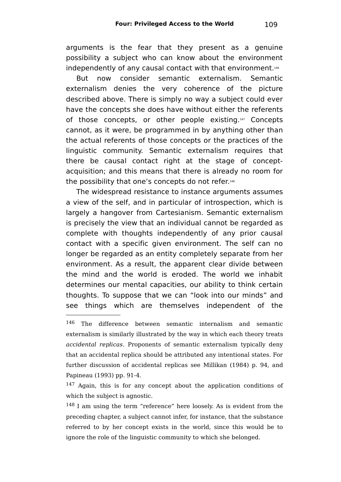arguments is the fear that they present as a genuine possibility a subject who can know about the environment independently of any causal contact with that environment. [146](#page-108-0)

But now consider semantic externalism. Semantic externalism denies the very coherence of the picture described above. There is simply no way a subject could ever have the concepts she does have without either the referents of those concepts, or other people existing. [147](#page-108-1) Concepts cannot, as it were, be programmed in by anything other than the actual referents of those concepts or the practices of the linguistic community. Semantic externalism requires that there be causal contact right at the stage of conceptacquisition; and this means that there is already no room for the possibility that one's concepts do not refer. [148](#page-108-2)

The widespread resistance to instance arguments assumes a view of the self, and in particular of introspection, which is largely a hangover from Cartesianism. Semantic externalism is precisely the view that an individual cannot be regarded as complete with thoughts independently of any prior causal contact with a specific given environment. The self can no longer be regarded as an entity completely separate from her environment. As a result, the apparent clear divide between the mind and the world is eroded. The world we inhabit determines our mental capacities, our ability to think certain thoughts. To suppose that we can "look into our minds" and see things which are themselves independent of the

<span id="page-108-0"></span><sup>146</sup> The difference between semantic internalism and semantic externalism is similarly illustrated by the way in which each theory treats accidental replicas. Proponents of semantic externalism typically deny that an accidental replica should be attributed any intentional states. For further discussion of accidental replicas see Millikan (1984) p. 94, and Papineau (1993) pp. 91-4.

<span id="page-108-1"></span><sup>&</sup>lt;sup>147</sup> Again, this is for any concept about the application conditions of which the subject is agnostic.

<span id="page-108-2"></span><sup>148</sup> I am using the term "reference" here loosely. As is evident from the preceding chapter, a subject cannot infer, for instance, that the substance referred to by her concept exists in the world, since this would be to ignore the role of the linguistic community to which she belonged.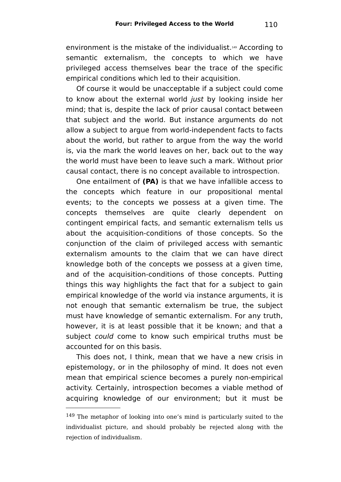environment is the mistake of the individualist.[149](#page-109-0) According to semantic externalism, the concepts to which we have privileged access themselves bear the trace of the specific empirical conditions which led to their acquisition.

Of course it would be unacceptable if a subject could come to know about the external world *just* by looking inside her mind; that is, despite the lack of prior causal contact between that subject and the world. But instance arguments do not allow a subject to argue from world-independent facts to facts about the world, but rather to argue from the way the world is, via the mark the world leaves on her, back out to the way the world must have been to leave such a mark. Without prior causal contact, there is no concept available to introspection.

One entailment of **(PA)** is that we have infallible access to the concepts which feature in our propositional mental events; to the concepts we possess at a given time. The concepts themselves are quite clearly dependent on contingent empirical facts, and semantic externalism tells us about the acquisition-conditions of those concepts. So the conjunction of the claim of privileged access with semantic externalism amounts to the claim that we can have direct knowledge both of the concepts we possess at a given time, and of the acquisition-conditions of those concepts. Putting things this way highlights the fact that for a subject to gain empirical knowledge of the world via instance arguments, it is not enough that semantic externalism be true, the subject must have knowledge of semantic externalism. For any truth, however, it is at least possible that it be known; and that a subject could come to know such empirical truths must be accounted for on this basis.

This does not, I think, mean that we have a new crisis in epistemology, or in the philosophy of mind. It does not even mean that empirical science becomes a purely non-empirical activity. Certainly, introspection becomes a viable method of acquiring knowledge of our environment; but it must be

<span id="page-109-0"></span><sup>&</sup>lt;sup>149</sup> The metaphor of looking into one's mind is particularly suited to the individualist picture, and should probably be rejected along with the rejection of individualism.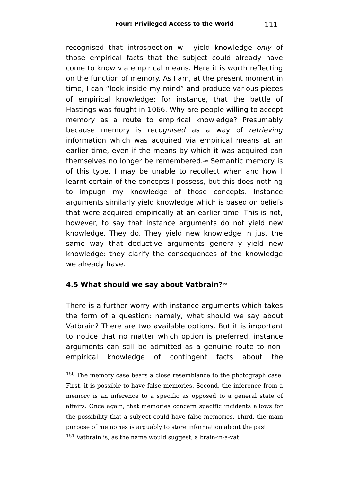recognised that introspection will vield knowledge only of those empirical facts that the subject could already have come to know via empirical means. Here it is worth reflecting on the function of memory. As I am, at the present moment in time, I can "look inside my mind" and produce various pieces of empirical knowledge: for instance, that the battle of Hastings was fought in 1066. Why are people willing to accept memory as a route to empirical knowledge? Presumably because memory is recognised as a way of retrieving information which was acquired via empirical means at an earlier time, even if the means by which it was acquired can themselves no longer be remembered. [150](#page-110-0) Semantic memory is of this type. I may be unable to recollect when and how I learnt certain of the concepts I possess, but this does nothing to impugn my knowledge of those concepts. Instance arguments similarly yield knowledge which is based on beliefs that were acquired empirically at an earlier time. This is not, however, to say that instance arguments do not yield new knowledge. They do. They yield new knowledge in just the same way that deductive arguments generally yield new knowledge: they clarify the consequences of the knowledge we already have.

## **4.5 What should we say about Vatbrain?**[151](#page-110-1)

There is a further worry with instance arguments which takes the form of a question: namely, what should we say about Vatbrain? There are two available options. But it is important to notice that no matter which option is preferred, instance arguments can still be admitted as a genuine route to nonempirical knowledge of contingent facts about the

<span id="page-110-0"></span><sup>150</sup> The memory case bears a close resemblance to the photograph case. First, it is possible to have false memories. Second, the inference from a memory is an inference to a specific as opposed to a general state of affairs. Once again, that memories concern specific incidents allows for the possibility that a subject could have false memories. Third, the main purpose of memories is arguably to store information about the past.

<span id="page-110-1"></span><sup>151</sup> Vatbrain is, as the name would suggest, a brain-in-a-vat.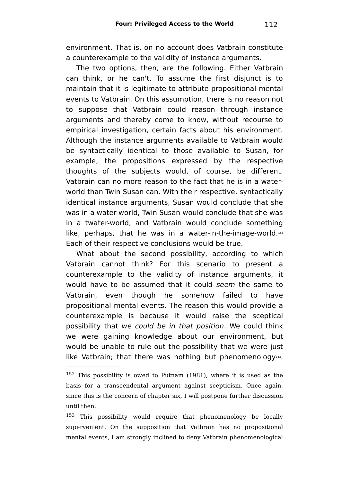environment. That is, on no account does Vatbrain constitute a counterexample to the validity of instance arguments.

The two options, then, are the following. Either Vatbrain can think, or he can't. To assume the first disjunct is to maintain that it is legitimate to attribute propositional mental events to Vatbrain. On this assumption, there is no reason not to suppose that Vatbrain could reason through instance arguments and thereby come to know, without recourse to empirical investigation, certain facts about his environment. Although the instance arguments available to Vatbrain would be syntactically identical to those available to Susan, for example, the propositions expressed by the respective thoughts of the subjects would, of course, be different. Vatbrain can no more reason to the fact that he is in a waterworld than Twin Susan can. With their respective, syntactically identical instance arguments, Susan would conclude that she was in a water-world, Twin Susan would conclude that she was in a twater-world, and Vatbrain would conclude something like, perhaps, that he was in a water-in-the-image-world.<sup>[152](#page-111-0)</sup> Each of their respective conclusions would be true.

What about the second possibility, according to which Vatbrain cannot think? For this scenario to present a counterexample to the validity of instance arguments, it would have to be assumed that it could seem the same to Vatbrain, even though he somehow failed to have propositional mental events. The reason this would provide a counterexample is because it would raise the sceptical possibility that we could be in that position. We could think we were gaining knowledge about our environment, but would be unable to rule out the possibility that we were just like Vatbrain; that there was nothing but phenomenology[153](#page-111-1).

<span id="page-111-0"></span><sup>152</sup> This possibility is owed to Putnam (1981), where it is used as the basis for a transcendental argument against scepticism. Once again, since this is the concern of chapter six, I will postpone further discussion until then.

<span id="page-111-1"></span><sup>153</sup> This possibility would require that phenomenology be locally supervenient. On the supposition that Vatbrain has no propositional mental events, I am strongly inclined to deny Vatbrain phenomenological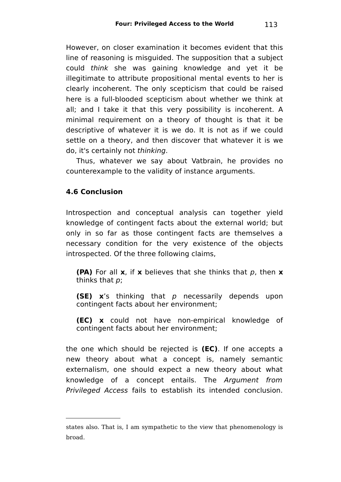However, on closer examination it becomes evident that this line of reasoning is misguided. The supposition that a subject could think she was gaining knowledge and yet it be illegitimate to attribute propositional mental events to her is clearly incoherent. The only scepticism that could be raised here is a full-blooded scepticism about whether we think at all; and I take it that this very possibility is incoherent. A minimal requirement on a theory of thought is that it be descriptive of whatever it is we do. It is not as if we could settle on a theory, and then discover that whatever it is we do, it's certainly not thinking.

Thus, whatever we say about Vatbrain, he provides no counterexample to the validity of instance arguments.

## **4.6 Conclusion**

Introspection and conceptual analysis can together yield knowledge of contingent facts about the external world; but only in so far as those contingent facts are themselves a necessary condition for the very existence of the objects introspected. Of the three following claims,

**(PA)** For all **x**, if **x** believes that she thinks that p, then **x** thinks that p;

**(SE) x**'s thinking that p necessarily depends upon contingent facts about her environment;

**(EC) x** could not have non-empirical knowledge of contingent facts about her environment;

the one which should be rejected is **(EC)**. If one accepts a new theory about what a concept is, namely semantic externalism, one should expect a new theory about what knowledge of a concept entails. The Argument from Privileged Access fails to establish its intended conclusion.

states also. That is, I am sympathetic to the view that phenomenology is broad.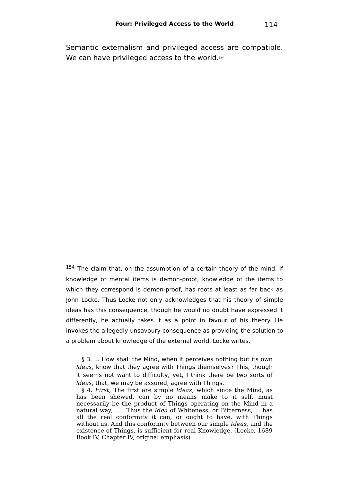Semantic externalism and privileged access are compatible. We can have privileged access to the world.<sup>[154](#page-113-0)</sup>

<span id="page-113-0"></span> $154$  The claim that, on the assumption of a certain theory of the mind, if knowledge of mental items is demon-proof, knowledge of the items to which they correspond is demon-proof, has roots at least as far back as John Locke. Thus Locke not only acknowledges that his theory of simple ideas has this consequence, though he would no doubt have expressed it differently, he actually takes it as a point in favour of his theory. He invokes the allegedly unsavoury consequence as providing the solution to a problem about knowledge of the external world. Locke writes,

<sup>§ 3. ...</sup> How shall the Mind, when it perceives nothing but its own Ideas, know that they agree with Things themselves? This, though it seems not want to difficulty, yet, I think there be two sorts of Ideas, that, we may be assured, agree with Things.

<sup>§</sup> 4. First, The first are simple Ideas, which since the Mind, as has been shewed, can by no means make to it self, must necessarily be the product of Things operating on the Mind in a natural way, ... . Thus the Idea of Whiteness, or Bitterness, ... has all the real conformity it can, or ought to have, with Things without us. And this conformity between our simple Ideas, and the existence of Things, is sufficient for real Knowledge. (Locke, 1689 Book IV, Chapter IV, original emphasis)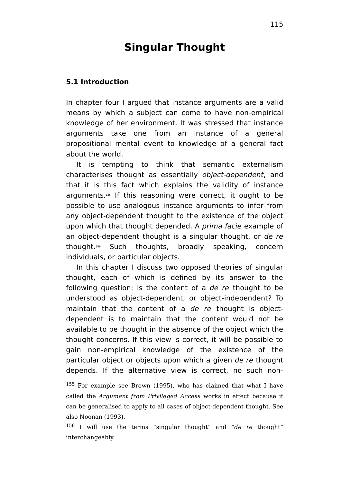# **Singular Thought**

#### **5.1 Introduction**

In chapter four I argued that instance arguments are a valid means by which a subject can come to have non-empirical knowledge of her environment. It was stressed that instance arguments take one from an instance of a general propositional mental event to knowledge of a general fact about the world.

It is tempting to think that semantic externalism characterises thought as essentially object-dependent, and that it is this fact which explains the validity of instance arguments.[155](#page-114-0) If this reasoning were correct, it ought to be possible to use analogous instance arguments to infer from any object-dependent thought to the existence of the object upon which that thought depended. A prima facie example of an object-dependent thought is a singular thought, or de re thought.[156](#page-114-1) Such thoughts, broadly speaking, concern individuals, or particular objects.

In this chapter I discuss two opposed theories of singular thought, each of which is defined by its answer to the following question: is the content of a de re thought to be understood as object-dependent, or object-independent? To maintain that the content of a de re thought is objectdependent is to maintain that the content would not be available to be thought in the absence of the object which the thought concerns. If this view is correct, it will be possible to gain non-empirical knowledge of the existence of the particular object or objects upon which a given de re thought depends. If the alternative view is correct, no such non-

<span id="page-114-0"></span><sup>155</sup> For example see Brown (1995), who has claimed that what I have called the Argument from Privileged Access works in effect because it can be generalised to apply to all cases of object-dependent thought. See also Noonan (1993).

<span id="page-114-1"></span> $156$  I will use the terms "singular thought" and "de re thought" interchangeably.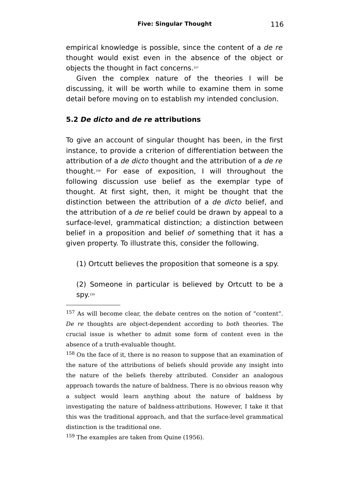empirical knowledge is possible, since the content of a de re thought would exist even in the absence of the object or objects the thought in fact concerns. [157](#page-115-0)

Given the complex nature of the theories I will be discussing, it will be worth while to examine them in some detail before moving on to establish my intended conclusion.

#### **5.2 De dicto and de re attributions**

To give an account of singular thought has been, in the first instance, to provide a criterion of differentiation between the attribution of a de dicto thought and the attribution of a de re thought.[158](#page-115-1) For ease of exposition, I will throughout the following discussion use belief as the exemplar type of thought. At first sight, then, it might be thought that the distinction between the attribution of a de dicto belief, and the attribution of a de re belief could be drawn by appeal to a surface-level, grammatical distinction; a distinction between belief in a proposition and belief of something that it has a given property. To illustrate this, consider the following.

(1) Ortcutt believes the proposition that someone is a spy.

(2) Someone in particular is believed by Ortcutt to be a spy. [159](#page-115-2)

<span id="page-115-1"></span><sup>158</sup> On the face of it, there is no reason to suppose that an examination of the nature of the attributions of beliefs should provide any insight into the nature of the beliefs thereby attributed. Consider an analogous approach towards the nature of baldness. There is no obvious reason why a subject would learn anything about the nature of baldness by investigating the nature of baldness-attributions. However, I take it that this was the traditional approach, and that the surface-level grammatical distinction is the traditional one.

<span id="page-115-2"></span><sup>159</sup> The examples are taken from Quine (1956).

<span id="page-115-0"></span><sup>157</sup> As will become clear, the debate centres on the notion of "content". De re thoughts are object-dependent according to both theories. The crucial issue is whether to admit some form of content even in the absence of a truth-evaluable thought.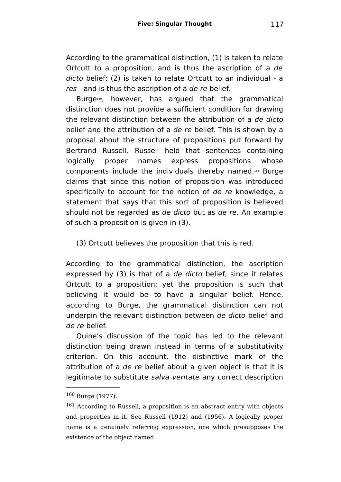According to the grammatical distinction, (1) is taken to relate Ortcutt to a proposition, and is thus the ascription of a de dicto belief; (2) is taken to relate Ortcutt to an individual - a res - and is thus the ascription of a de re belief.

Burge[160](#page-116-0) , however, has argued that the grammatical distinction does not provide a sufficient condition for drawing the relevant distinction between the attribution of a de dicto belief and the attribution of a de re belief. This is shown by a proposal about the structure of propositions put forward by Bertrand Russell. Russell held that sentences containing logically proper names express propositions whose components include the individuals thereby named.[161](#page-116-1) Burge claims that since this notion of proposition was introduced specifically to account for the notion of de re knowledge, a statement that says that this sort of proposition is believed should not be regarded as de dicto but as de re. An example of such a proposition is given in (3).

(3) Ortcutt believes the proposition that this is red.

According to the grammatical distinction, the ascription expressed by (3) is that of a de dicto belief, since it relates Ortcutt to a proposition; yet the proposition is such that believing it would be to have a singular belief. Hence, according to Burge, the grammatical distinction can not underpin the relevant distinction between de dicto belief and de re belief.

Quine's discussion of the topic has led to the relevant distinction being drawn instead in terms of a substitutivity criterion. On this account, the distinctive mark of the attribution of a de re belief about a given object is that it is legitimate to substitute salva veritate any correct description

<span id="page-116-0"></span><sup>160</sup> Burge (1977).

<span id="page-116-1"></span><sup>161</sup> According to Russell, a proposition is an abstract entity with objects and properties in it. See Russell (1912) and (1956). A logically proper name is a genuinely referring expression, one which presupposes the existence of the object named.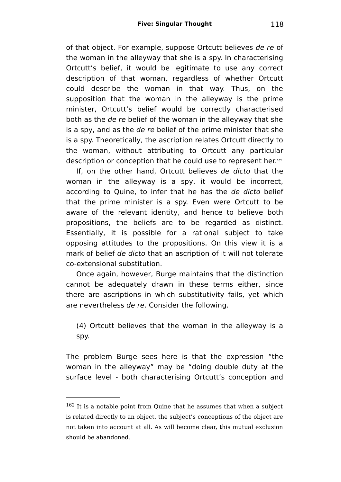of that object. For example, suppose Ortcutt believes de re of the woman in the alleyway that she is a spy. In characterising Ortcutt's belief, it would be legitimate to use any correct description of that woman, regardless of whether Ortcutt could describe the woman in that way. Thus, on the supposition that the woman in the alleyway is the prime minister, Ortcutt's belief would be correctly characterised both as the de re belief of the woman in the alleyway that she is a spy, and as the de re belief of the prime minister that she is a spy. Theoretically, the ascription relates Ortcutt directly to the woman, without attributing to Ortcutt any particular description or conception that he could use to represent her.[162](#page-117-0)

If, on the other hand, Ortcutt believes de dicto that the woman in the alleyway is a spy, it would be incorrect, according to Quine, to infer that he has the de dicto belief that the prime minister is a spy. Even were Ortcutt to be aware of the relevant identity, and hence to believe both propositions, the beliefs are to be regarded as distinct. Essentially, it is possible for a rational subject to take opposing attitudes to the propositions. On this view it is a mark of belief de dicto that an ascription of it will not tolerate co-extensional substitution.

Once again, however, Burge maintains that the distinction cannot be adequately drawn in these terms either, since there are ascriptions in which substitutivity fails, yet which are nevertheless de re. Consider the following.

(4) Ortcutt believes that the woman in the alleyway is a spy.

The problem Burge sees here is that the expression "the woman in the alleyway" may be "doing double duty at the surface level - both characterising Ortcutt's conception and

<span id="page-117-0"></span><sup>162</sup> It is a notable point from Quine that he assumes that when a subject is related directly to an object, the subject's conceptions of the object are not taken into account at all. As will become clear, this mutual exclusion should be abandoned.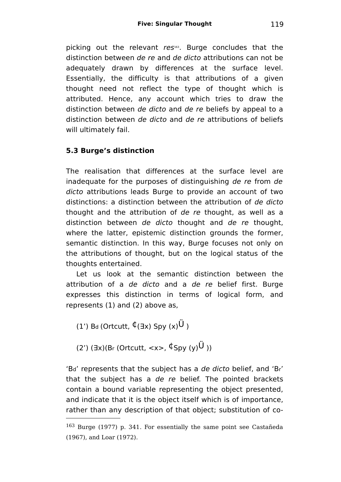picking out the relevant res<sup>[163](#page-118-0)</sup>. Burge concludes that the distinction between de re and de dicto attributions can not be adequately drawn by differences at the surface level. Essentially, the difficulty is that attributions of a given thought need not reflect the type of thought which is attributed. Hence, any account which tries to draw the distinction between de dicto and de re beliefs by appeal to a distinction between de dicto and de re attributions of beliefs will ultimately fail.

## **5.3 Burge's distinction**

The realisation that differences at the surface level are inadequate for the purposes of distinguishing de re from de dicto attributions leads Burge to provide an account of two distinctions: a distinction between the attribution of de dicto thought and the attribution of de re thought, as well as a distinction between de dicto thought and de re thought, where the latter, epistemic distinction grounds the former, semantic distinction. In this way, Burge focuses not only on the attributions of thought, but on the logical status of the thoughts entertained.

Let us look at the semantic distinction between the attribution of a de dicto and a de re belief first. Burge expresses this distinction in terms of logical form, and represents (1) and (2) above as,

(1') Bd (Ortcutt,  $\oint (\exists x)$  Spy  $(x)$ <sup>U</sup>)

(2')  $(7x)(Br$  (Ortcutt,  $\langle x \rangle$ ,  $\oint$ Spy  $(y)\stackrel{\text{(i)}}{V}$ ))

'Bd' represents that the subject has a de dicto belief, and 'Br' that the subject has a de re belief. The pointed brackets contain a bound variable representing the object presented, and indicate that it is the object itself which is of importance, rather than any description of that object; substitution of co-

<span id="page-118-0"></span><sup>163</sup> Burge (1977) p. 341. For essentially the same point see Castañeda (1967), and Loar (1972).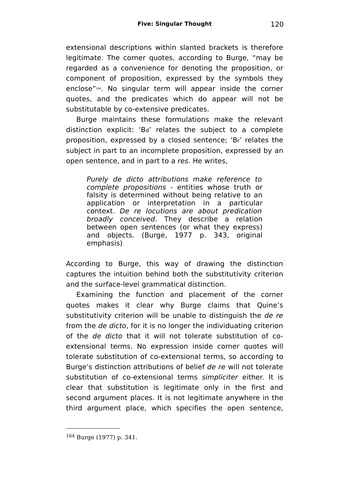extensional descriptions within slanted brackets is therefore legitimate. The corner quotes, according to Burge, "may be regarded as a convenience for denoting the proposition, or component of proposition, expressed by the symbols they enclose"[164](#page-119-0) . No singular term will appear inside the corner quotes, and the predicates which do appear will not be substitutable by co-extensive predicates.

Burge maintains these formulations make the relevant distinction explicit: 'Bd' relates the subject to a complete proposition, expressed by a closed sentence; 'Br' relates the subject in part to an incomplete proposition, expressed by an open sentence, and in part to a res. He writes,

Purely de dicto attributions make reference to complete propositions - entities whose truth or falsity is determined without being relative to an application or interpretation in a particular context. De re locutions are about predication broadly conceived. They describe a relation between open sentences (or what they express) and objects. (Burge, 1977 p. 343, original emphasis)

According to Burge, this way of drawing the distinction captures the intuition behind both the substitutivity criterion and the surface-level grammatical distinction.

Examining the function and placement of the corner quotes makes it clear why Burge claims that Quine's substitutivity criterion will be unable to distinguish the de re from the de dicto, for it is no longer the individuating criterion of the de dicto that it will not tolerate substitution of coextensional terms. No expression inside corner quotes will tolerate substitution of co-extensional terms, so according to Burge's distinction attributions of belief de re will not tolerate substitution of co-extensional terms *simpliciter* either. It is clear that substitution is legitimate only in the first and second argument places. It is not legitimate anywhere in the third argument place, which specifies the open sentence,

<span id="page-119-0"></span><sup>164</sup> Burge (1977) p. 341.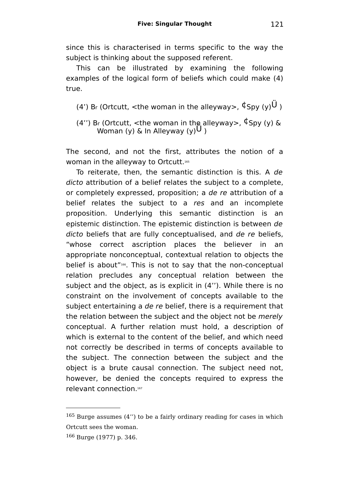since this is characterised in terms specific to the way the subject is thinking about the supposed referent.

This can be illustrated by examining the following examples of the logical form of beliefs which could make (4) true.

- (4') Br (Ortcutt,  $\lt$ the woman in the alleyway>,  $\oint$ Spy (y) $\bigcup$ )
- (4") Br (Ortcutt, <the woman in the alleyway>,  $\oint$ Spy (y) & Woman (y) & In Alleyway  $(y)$ U )

The second, and not the first, attributes the notion of a woman in the alleyway to Ortcutt. [165](#page-120-0)

To reiterate, then, the semantic distinction is this. A de dicto attribution of a belief relates the subject to a complete, or completely expressed, proposition; a de re attribution of a belief relates the subject to a res and an incomplete proposition. Underlying this semantic distinction is an epistemic distinction. The epistemic distinction is between de dicto beliefs that are fully conceptualised, and de re beliefs, "whose correct ascription places the believer in an appropriate nonconceptual, contextual relation to objects the belief is about"[166](#page-120-1) . This is not to say that the non-conceptual relation precludes any conceptual relation between the subject and the object, as is explicit in (4''). While there is no constraint on the involvement of concepts available to the subject entertaining a de re belief, there is a requirement that the relation between the subject and the object not be merely conceptual. A further relation must hold, a description of which is external to the content of the belief, and which need not correctly be described in terms of concepts available to the subject. The connection between the subject and the object is a brute causal connection. The subject need not, however, be denied the concepts required to express the relevant connection.<sup>[167](#page-121-0)</sup>

<span id="page-120-0"></span><sup>165</sup> Burge assumes (4'') to be a fairly ordinary reading for cases in which Ortcutt sees the woman.

<span id="page-120-1"></span><sup>166</sup> Burge (1977) p. 346.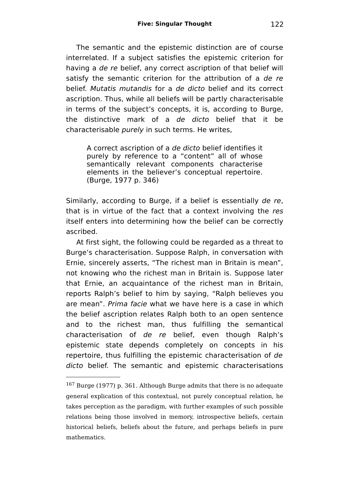The semantic and the epistemic distinction are of course interrelated. If a subject satisfies the epistemic criterion for having a de re belief, any correct ascription of that belief will satisfy the semantic criterion for the attribution of a de re belief. Mutatis mutandis for a de dicto belief and its correct ascription. Thus, while all beliefs will be partly characterisable in terms of the subject's concepts, it is, according to Burge, the distinctive mark of a de dicto belief that it be characterisable purely in such terms. He writes,

A correct ascription of a de dicto belief identifies it purely by reference to a "content" all of whose semantically relevant components characterise elements in the believer's conceptual repertoire. (Burge, 1977 p. 346)

Similarly, according to Burge, if a belief is essentially de re, that is in virtue of the fact that a context involving the res itself enters into determining how the belief can be correctly ascribed.

At first sight, the following could be regarded as a threat to Burge's characterisation. Suppose Ralph, in conversation with Ernie, sincerely asserts, "The richest man in Britain is mean", not knowing who the richest man in Britain is. Suppose later that Ernie, an acquaintance of the richest man in Britain, reports Ralph's belief to him by saying, "Ralph believes you are mean". Prima facie what we have here is a case in which the belief ascription relates Ralph both to an open sentence and to the richest man, thus fulfilling the semantical characterisation of de re belief, even though Ralph's epistemic state depends completely on concepts in his repertoire, thus fulfilling the epistemic characterisation of de dicto belief. The semantic and epistemic characterisations

<span id="page-121-0"></span><sup>167</sup> Burge (1977) p. 361. Although Burge admits that there is no adequate general explication of this contextual, not purely conceptual relation, he takes perception as the paradigm, with further examples of such possible relations being those involved in memory, introspective beliefs, certain historical beliefs, beliefs about the future, and perhaps beliefs in pure mathematics.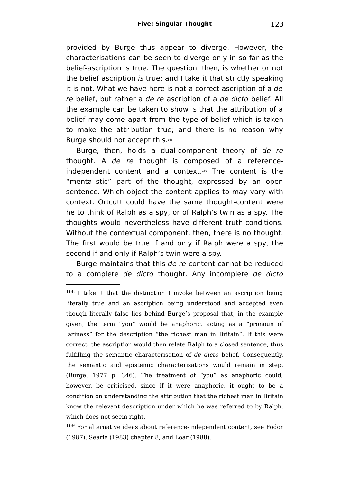provided by Burge thus appear to diverge. However, the characterisations can be seen to diverge only in so far as the belief-ascription is true. The question, then, is whether or not the belief ascription is true: and I take it that strictly speaking it is not. What we have here is not a correct ascription of a de re belief, but rather a de re ascription of a de dicto belief. All the example can be taken to show is that the attribution of a belief may come apart from the type of belief which is taken to make the attribution true; and there is no reason why Burge should not accept this.<sup>[168](#page-122-0)</sup>

Burge, then, holds a dual-component theory of de re thought. A de re thought is composed of a referenceindependent content and a context. [169](#page-122-1) The content is the "mentalistic" part of the thought, expressed by an open sentence. Which object the content applies to may vary with context. Ortcutt could have the same thought-content were he to think of Ralph as a spy, or of Ralph's twin as a spy. The thoughts would nevertheless have different truth-conditions. Without the contextual component, then, there is no thought. The first would be true if and only if Ralph were a spy, the second if and only if Ralph's twin were a spy.

Burge maintains that this de re content cannot be reduced to a complete de dicto thought. Any incomplete de dicto

<span id="page-122-1"></span><sup>169</sup> For alternative ideas about reference-independent content, see Fodor (1987), Searle (1983) chapter 8, and Loar (1988).

<span id="page-122-0"></span><sup>168</sup> I take it that the distinction I invoke between an ascription being literally true and an ascription being understood and accepted even though literally false lies behind Burge's proposal that, in the example given, the term "you" would be anaphoric, acting as a "pronoun of laziness" for the description "the richest man in Britain". If this were correct, the ascription would then relate Ralph to a closed sentence, thus fulfilling the semantic characterisation of de dicto belief. Consequently, the semantic and epistemic characterisations would remain in step. (Burge, 1977 p. 346). The treatment of "you" as anaphoric could, however, be criticised, since if it were anaphoric, it ought to be a condition on understanding the attribution that the richest man in Britain know the relevant description under which he was referred to by Ralph, which does not seem right.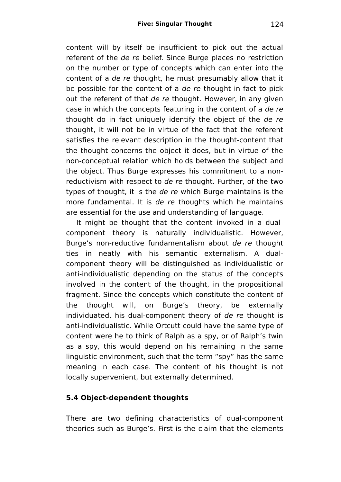content will by itself be insufficient to pick out the actual referent of the de re belief. Since Burge places no restriction on the number or type of concepts which can enter into the content of a de re thought, he must presumably allow that it be possible for the content of a de re thought in fact to pick out the referent of that de re thought. However, in any given case in which the concepts featuring in the content of a de re thought do in fact uniquely identify the object of the de re thought, it will not be in virtue of the fact that the referent satisfies the relevant description in the thought-content that the thought concerns the object it does, but in virtue of the non-conceptual relation which holds between the subject and the object. Thus Burge expresses his commitment to a nonreductivism with respect to de re thought. Further, of the two types of thought, it is the de re which Burge maintains is the more fundamental. It is de re thoughts which he maintains are essential for the use and understanding of language.

It might be thought that the content invoked in a dualcomponent theory is naturally individualistic. However, Burge's non-reductive fundamentalism about de re thought ties in neatly with his semantic externalism. A dualcomponent theory will be distinguished as individualistic or anti-individualistic depending on the status of the concepts involved in the content of the thought, in the propositional fragment. Since the concepts which constitute the content of the thought will, on Burge's theory, be externally individuated, his dual-component theory of de re thought is anti-individualistic. While Ortcutt could have the same type of content were he to think of Ralph as a spy, or of Ralph's twin as a spy, this would depend on his remaining in the same linguistic environment, such that the term "spy" has the same meaning in each case. The content of his thought is not locally supervenient, but externally determined.

## **5.4 Object-dependent thoughts**

There are two defining characteristics of dual-component theories such as Burge's. First is the claim that the elements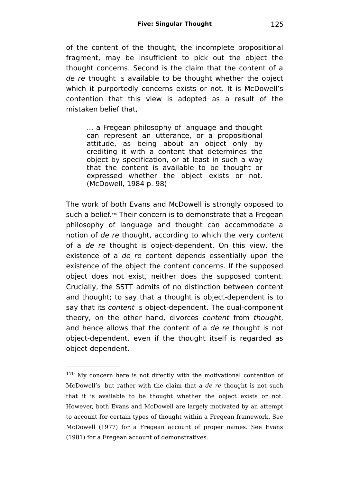of the content of the thought, the incomplete propositional fragment, may be insufficient to pick out the object the thought concerns. Second is the claim that the content of a de re thought is available to be thought whether the object which it purportedly concerns exists or not. It is McDowell's contention that this view is adopted as a result of the mistaken belief that,

... a Fregean philosophy of language and thought can represent an utterance, or a propositional attitude, as being about an object only by crediting it with a content that determines the object by specification, or at least in such a way that the content is available to be thought or expressed whether the object exists or not. (McDowell, 1984 p. 98)

The work of both Evans and McDowell is strongly opposed to such a belief. [170](#page-124-0) Their concern is to demonstrate that a Fregean philosophy of language and thought can accommodate a notion of de re thought, according to which the very content of a de re thought is object-dependent. On this view, the existence of a de re content depends essentially upon the existence of the object the content concerns. If the supposed object does not exist, neither does the supposed content. Crucially, the SSTT admits of no distinction between content and thought; to say that a thought is object-dependent is to say that its content is object-dependent. The dual-component theory, on the other hand, divorces content from thought, and hence allows that the content of a de re thought is not object-dependent, even if the thought itself is regarded as object-dependent.

<span id="page-124-0"></span><sup>&</sup>lt;sup>170</sup> My concern here is not directly with the motivational contention of McDowell's, but rather with the claim that a de re thought is not such that it is available to be thought whether the object exists or not. However, both Evans and McDowell are largely motivated by an attempt to account for certain types of thought within a Fregean framework. See McDowell (1977) for a Fregean account of proper names. See Evans (1981) for a Fregean account of demonstratives.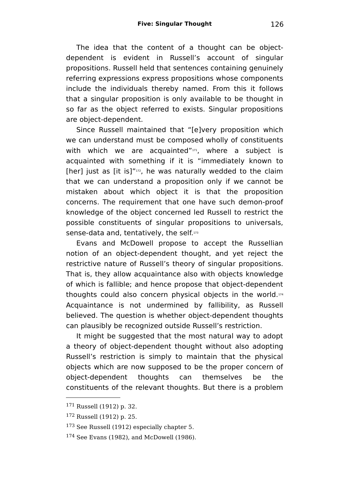The idea that the content of a thought can be objectdependent is evident in Russell's account of singular propositions. Russell held that sentences containing genuinely referring expressions express propositions whose components include the individuals thereby named. From this it follows that a singular proposition is only available to be thought in so far as the object referred to exists. Singular propositions are object-dependent.

Since Russell maintained that "[e]very proposition which we can understand must be composed wholly of constituents with which we are acquainted"<sup>[171](#page-125-0)</sup>, where a subject is acquainted with something if it is "immediately known to [her] just as [it is]"<sup>[172](#page-125-1)</sup>, he was naturally wedded to the claim that we can understand a proposition only if we cannot be mistaken about which object it is that the proposition concerns. The requirement that one have such demon-proof knowledge of the object concerned led Russell to restrict the possible constituents of singular propositions to universals, sense-data and, tentatively, the self.[173](#page-125-2)

Evans and McDowell propose to accept the Russellian notion of an object-dependent thought, and yet reject the restrictive nature of Russell's theory of singular propositions. That is, they allow acquaintance also with objects knowledge of which is fallible; and hence propose that object-dependent thoughts could also concern physical objects in the world.[174](#page-125-3) Acquaintance is not undermined by fallibility, as Russell believed. The question is whether object-dependent thoughts can plausibly be recognized outside Russell's restriction.

It might be suggested that the most natural way to adopt a theory of object-dependent thought without also adopting Russell's restriction is simply to maintain that the physical objects which are now supposed to be the proper concern of object-dependent thoughts can themselves be the constituents of the relevant thoughts. But there is a problem

<span id="page-125-0"></span><sup>171</sup> Russell (1912) p. 32.

<span id="page-125-1"></span><sup>172</sup> Russell (1912) p. 25.

<span id="page-125-2"></span><sup>173</sup> See Russell (1912) especially chapter 5.

<span id="page-125-3"></span><sup>174</sup> See Evans (1982), and McDowell (1986).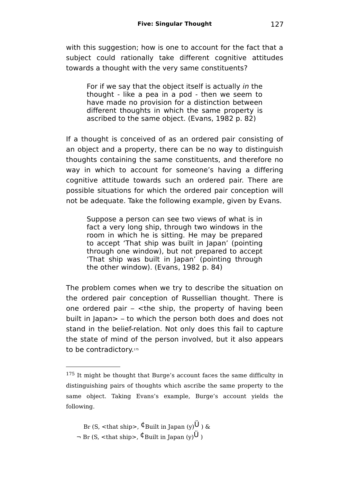with this suggestion; how is one to account for the fact that a subject could rationally take different cognitive attitudes towards a thought with the very same constituents?

For if we say that the object itself is actually in the thought - like a pea in a pod - then we seem to have made no provision for a distinction between different thoughts in which the same property is ascribed to the same object. (Evans, 1982 p. 82)

If a thought is conceived of as an ordered pair consisting of an object and a property, there can be no way to distinguish thoughts containing the same constituents, and therefore no way in which to account for someone's having a differing cognitive attitude towards such an ordered pair. There are possible situations for which the ordered pair conception will not be adequate. Take the following example, given by Evans.

Suppose a person can see two views of what is in fact a very long ship, through two windows in the room in which he is sitting. He may be prepared to accept 'That ship was built in Japan' (pointing through one window), but not prepared to accept 'That ship was built in Japan' (pointing through the other window). (Evans, 1982 p. 84)

The problem comes when we try to describe the situation on the ordered pair conception of Russellian thought. There is one ordered pair  $-$  <the ship, the property of having been built in Japan> – to which the person both does and does not stand in the belief-relation. Not only does this fail to capture the state of mind of the person involved, but it also appears to be contradictory.[175](#page-126-0)

<span id="page-126-0"></span><sup>175</sup> It might be thought that Burge's account faces the same difficulty in distinguishing pairs of thoughts which ascribe the same property to the same object. Taking Evans's example, Burge's account yields the following.

Br (S,  $\lt$ that ship>,  $\oint$ Built in Japan (y)**U**) &  $\neg$  Br (S, <that ship>,  $\oint$ Built in Japan (y) $\hat{U}$ )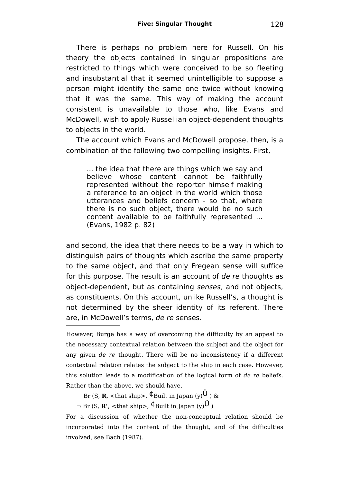There is perhaps no problem here for Russell. On his theory the objects contained in singular propositions are restricted to things which were conceived to be so fleeting and insubstantial that it seemed unintelligible to suppose a person might identify the same one twice without knowing that it was the same. This way of making the account consistent is unavailable to those who, like Evans and McDowell, wish to apply Russellian object-dependent thoughts to objects in the world.

The account which Evans and McDowell propose, then, is a combination of the following two compelling insights. First,

... the idea that there are things which we say and believe whose content cannot be faithfully represented without the reporter himself making a reference to an object in the world which those utterances and beliefs concern - so that, where there is no such object, there would be no such content available to be faithfully represented ... (Evans, 1982 p. 82)

and second, the idea that there needs to be a way in which to distinguish pairs of thoughts which ascribe the same property to the same object, and that only Fregean sense will suffice for this purpose. The result is an account of de re thoughts as object-dependent, but as containing senses, and not objects, as constituents. On this account, unlike Russell's, a thought is not determined by the sheer identity of its referent. There are, in McDowell's terms, de re senses.

However, Burge has a way of overcoming the difficulty by an appeal to the necessary contextual relation between the subject and the object for any given de re thought. There will be no inconsistency if a different contextual relation relates the subject to the ship in each case. However, this solution leads to a modification of the logical form of de re beliefs. Rather than the above, we should have,

Br (S, **R**, <that ship>,  $\Phi$ Built in Japan (y) $\hat{U}$ ) &

 $\neg$  Br (S, **R'**, <that ship>,  $\not\Phi$  Built in Japan (y) $\ddot{\theta}$ )

For a discussion of whether the non-conceptual relation should be incorporated into the content of the thought, and of the difficulties involved, see Bach (1987).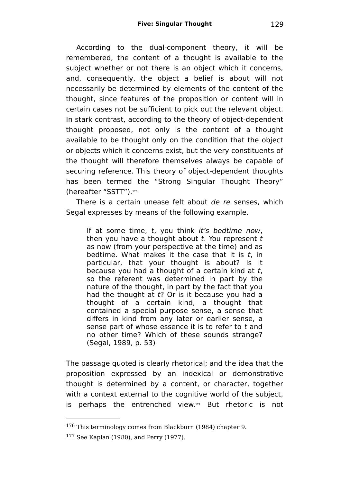According to the dual-component theory, it will be remembered, the content of a thought is available to the subject whether or not there is an object which it concerns. and, consequently, the object a belief is about will not necessarily be determined by elements of the content of the thought, since features of the proposition or content will in certain cases not be sufficient to pick out the relevant object. In stark contrast, according to the theory of object-dependent thought proposed, not only is the content of a thought available to be thought only on the condition that the object or objects which it concerns exist, but the very constituents of the thought will therefore themselves always be capable of securing reference. This theory of object-dependent thoughts has been termed the "Strong Singular Thought Theory" (hereafter "SSTT").[176](#page-128-0)

There is a certain unease felt about de re senses, which Segal expresses by means of the following example.

If at some time, t, you think it's bedtime now, then you have a thought about  $t$ . You represent  $t$ as now (from your perspective at the time) and as bedtime. What makes it the case that it is  $t$ , in particular, that your thought is about? Is it because you had a thought of a certain kind at t, so the referent was determined in part by the nature of the thought, in part by the fact that you had the thought at  $t$ ? Or is it because you had a thought of a certain kind, a thought that contained a special purpose sense, a sense that differs in kind from any later or earlier sense, a sense part of whose essence it is to refer to t and no other time? Which of these sounds strange? (Segal, 1989, p. 53)

The passage quoted is clearly rhetorical; and the idea that the proposition expressed by an indexical or demonstrative thought is determined by a content, or character, together with a context external to the cognitive world of the subject, is perhaps the entrenched view. [177](#page-128-1) But rhetoric is not

<span id="page-128-0"></span><sup>176</sup> This terminology comes from Blackburn (1984) chapter 9.

<span id="page-128-1"></span><sup>177</sup> See Kaplan (1980), and Perry (1977).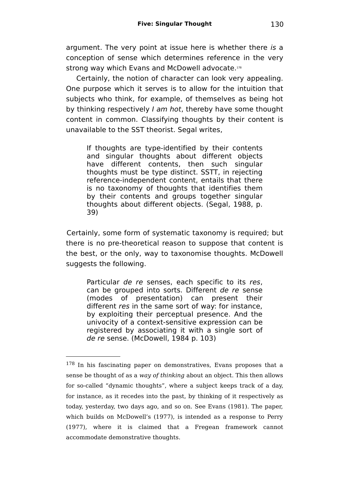argument. The very point at issue here is whether there is a conception of sense which determines reference in the very strong way which Evans and McDowell advocate.<sup>[178](#page-129-0)</sup>

Certainly, the notion of character can look very appealing. One purpose which it serves is to allow for the intuition that subjects who think, for example, of themselves as being hot by thinking respectively I am hot, thereby have some thought content in common. Classifying thoughts by their content is unavailable to the SST theorist. Segal writes,

If thoughts are type-identified by their contents and singular thoughts about different objects have different contents, then such singular thoughts must be type distinct. SSTT, in rejecting reference-independent content, entails that there is no taxonomy of thoughts that identifies them by their contents and groups together singular thoughts about different objects. (Segal, 1988, p. 39)

Certainly, some form of systematic taxonomy is required; but there is no pre-theoretical reason to suppose that content is the best, or the only, way to taxonomise thoughts. McDowell suggests the following.

Particular de re senses, each specific to its res, can be grouped into sorts. Different de re sense (modes of presentation) can present their different res in the same sort of way: for instance, by exploiting their perceptual presence. And the univocity of a context-sensitive expression can be registered by associating it with a single sort of de re sense. (McDowell, 1984 p. 103)

<span id="page-129-0"></span><sup>178</sup> In his fascinating paper on demonstratives, Evans proposes that a sense be thought of as a way of thinking about an object. This then allows for so-called "dynamic thoughts", where a subject keeps track of a day, for instance, as it recedes into the past, by thinking of it respectively as today, yesterday, two days ago, and so on. See Evans (1981). The paper, which builds on McDowell's (1977), is intended as a response to Perry (1977), where it is claimed that a Fregean framework cannot accommodate demonstrative thoughts.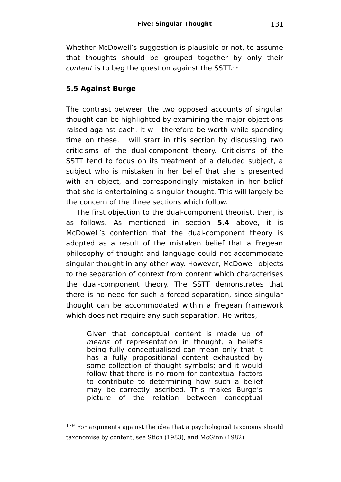Whether McDowell's suggestion is plausible or not, to assume that thoughts should be grouped together by only their *content* is to beg the question against the SSTT.[179](#page-130-0)

## **5.5 Against Burge**

The contrast between the two opposed accounts of singular thought can be highlighted by examining the major objections raised against each. It will therefore be worth while spending time on these. I will start in this section by discussing two criticisms of the dual-component theory. Criticisms of the SSTT tend to focus on its treatment of a deluded subject, a subject who is mistaken in her belief that she is presented with an object, and correspondingly mistaken in her belief that she is entertaining a singular thought. This will largely be the concern of the three sections which follow.

The first objection to the dual-component theorist, then, is as follows. As mentioned in section **5.4** above, it is McDowell's contention that the dual-component theory is adopted as a result of the mistaken belief that a Fregean philosophy of thought and language could not accommodate singular thought in any other way. However, McDowell objects to the separation of context from content which characterises the dual-component theory. The SSTT demonstrates that there is no need for such a forced separation, since singular thought can be accommodated within a Fregean framework which does not require any such separation. He writes,

Given that conceptual content is made up of means of representation in thought, a belief's being fully conceptualised can mean only that it has a fully propositional content exhausted by some collection of thought symbols; and it would follow that there is no room for contextual factors to contribute to determining how such a belief may be correctly ascribed. This makes Burge's picture of the relation between conceptual

<span id="page-130-0"></span><sup>179</sup> For arguments against the idea that a psychological taxonomy should taxonomise by content, see Stich (1983), and McGinn (1982).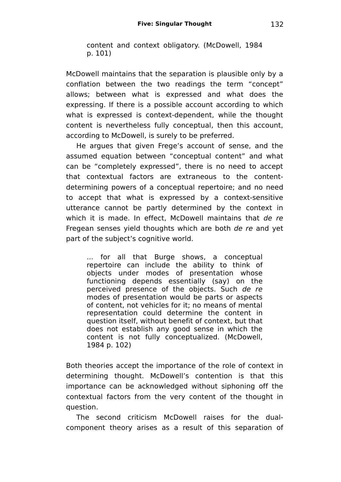content and context obligatory. (McDowell, 1984 p. 101)

McDowell maintains that the separation is plausible only by a conflation between the two readings the term "concept" allows; between what is expressed and what does the expressing. If there is a possible account according to which what is expressed is context-dependent, while the thought content is nevertheless fully conceptual, then this account, according to McDowell, is surely to be preferred.

He argues that given Frege's account of sense, and the assumed equation between "conceptual content" and what can be "completely expressed", there is no need to accept that contextual factors are extraneous to the contentdetermining powers of a conceptual repertoire; and no need to accept that what is expressed by a context-sensitive utterance cannot be partly determined by the context in which it is made. In effect, McDowell maintains that de re-Fregean senses yield thoughts which are both de re and yet part of the subject's cognitive world.

... for all that Burge shows, a conceptual repertoire can include the ability to think of objects under modes of presentation whose functioning depends essentially (say) on the perceived presence of the objects. Such de re modes of presentation would be parts or aspects of content, not vehicles for it; no means of mental representation could determine the content in question itself, without benefit of context, but that does not establish any good sense in which the content is not fully conceptualized. (McDowell, 1984 p. 102)

Both theories accept the importance of the role of context in determining thought. McDowell's contention is that this importance can be acknowledged without siphoning off the contextual factors from the very content of the thought in question.

The second criticism McDowell raises for the dualcomponent theory arises as a result of this separation of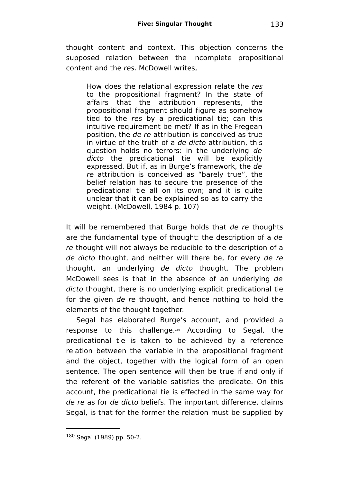thought content and context. This objection concerns the supposed relation between the incomplete propositional content and the res. McDowell writes,

How does the relational expression relate the res to the propositional fragment? In the state of affairs that the attribution represents, the propositional fragment should figure as somehow tied to the res by a predicational tie; can this intuitive requirement be met? If as in the Fregean position, the de re attribution is conceived as true in virtue of the truth of a de dicto attribution, this question holds no terrors: in the underlying de dicto the predicational tie will be explicitly expressed. But if, as in Burge's framework, the de re attribution is conceived as "barely true", the belief relation has to secure the presence of the predicational tie all on its own; and it is quite unclear that it can be explained so as to carry the weight. (McDowell, 1984 p. 107)

It will be remembered that Burge holds that de re thoughts are the fundamental type of thought: the description of a de re thought will not always be reducible to the description of a de dicto thought, and neither will there be, for every de re thought, an underlying de dicto thought. The problem McDowell sees is that in the absence of an underlying de dicto thought, there is no underlying explicit predicational tie for the given de re thought, and hence nothing to hold the elements of the thought together.

Segal has elaborated Burge's account, and provided a response to this challenge.<sup>[180](#page-132-0)</sup> According to Segal, the predicational tie is taken to be achieved by a reference relation between the variable in the propositional fragment and the object, together with the logical form of an open sentence. The open sentence will then be true if and only if the referent of the variable satisfies the predicate. On this account, the predicational tie is effected in the same way for de re as for de dicto beliefs. The important difference, claims Segal, is that for the former the relation must be supplied by

<span id="page-132-0"></span> $180$  Segal (1989) pp. 50-2.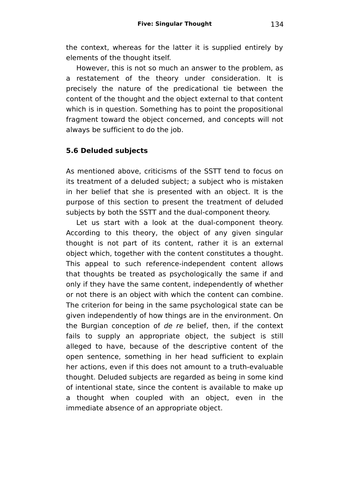the context, whereas for the latter it is supplied entirely by elements of the thought itself.

However, this is not so much an answer to the problem, as a restatement of the theory under consideration. It is precisely the nature of the predicational tie between the content of the thought and the object external to that content which is in question. Something has to point the propositional fragment toward the object concerned, and concepts will not always be sufficient to do the job.

## **5.6 Deluded subjects**

As mentioned above, criticisms of the SSTT tend to focus on its treatment of a deluded subject; a subject who is mistaken in her belief that she is presented with an object. It is the purpose of this section to present the treatment of deluded subjects by both the SSTT and the dual-component theory.

Let us start with a look at the dual-component theory. According to this theory, the object of any given singular thought is not part of its content, rather it is an external object which, together with the content constitutes a thought. This appeal to such reference-independent content allows that thoughts be treated as psychologically the same if and only if they have the same content, independently of whether or not there is an object with which the content can combine. The criterion for being in the same psychological state can be given independently of how things are in the environment. On the Burgian conception of de re belief, then, if the context fails to supply an appropriate object, the subject is still alleged to have, because of the descriptive content of the open sentence, something in her head sufficient to explain her actions, even if this does not amount to a truth-evaluable thought. Deluded subjects are regarded as being in some kind of intentional state, since the content is available to make up a thought when coupled with an object, even in the immediate absence of an appropriate object.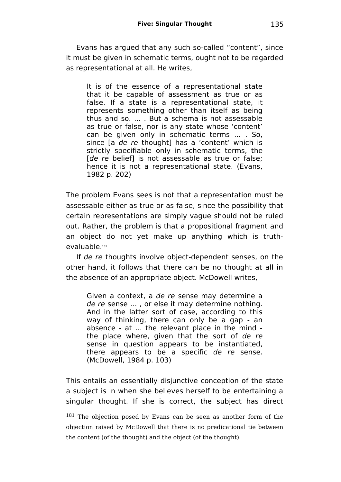Evans has argued that any such so-called "content", since it must be given in schematic terms, ought not to be regarded as representational at all. He writes,

It is of the essence of a representational state that it be capable of assessment as true or as false. If a state is a representational state, it represents something other than itself as being thus and so. ... . But a schema is not assessable as true or false, nor is any state whose 'content' can be given only in schematic terms ... . So, since Ia de re thought] has a 'content' which is strictly specifiable only in schematic terms, the [de re belief] is not assessable as true or false; hence it is not a representational state. (Evans, 1982 p. 202)

The problem Evans sees is not that a representation must be assessable either as true or as false, since the possibility that certain representations are simply vague should not be ruled out. Rather, the problem is that a propositional fragment and an object do not yet make up anything which is truthevaluable.[181](#page-134-0)

If de re thoughts involve object-dependent senses, on the other hand, it follows that there can be no thought at all in the absence of an appropriate object. McDowell writes,

Given a context, a de re sense may determine a de re sense ... , or else it may determine nothing. And in the latter sort of case, according to this way of thinking, there can only be a gap - an absence - at ... the relevant place in the mind the place where, given that the sort of de re sense in question appears to be instantiated, there appears to be a specific de re sense. (McDowell, 1984 p. 103)

This entails an essentially disjunctive conception of the state a subject is in when she believes herself to be entertaining a singular thought. If she is correct, the subject has direct

<span id="page-134-0"></span><sup>181</sup> The objection posed by Evans can be seen as another form of the objection raised by McDowell that there is no predicational tie between the content (of the thought) and the object (of the thought).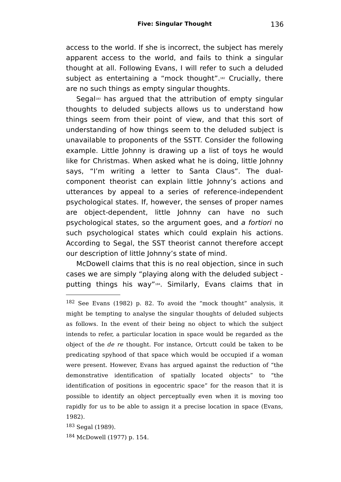access to the world. If she is incorrect, the subject has merely apparent access to the world, and fails to think a singular thought at all. Following Evans, I will refer to such a deluded subject as entertaining a "mock thought".<sup>[182](#page-135-0)</sup> Crucially, there are no such things as empty singular thoughts.

Segal<sup>[183](#page-135-1)</sup> has argued that the attribution of empty singular thoughts to deluded subjects allows us to understand how things seem from their point of view, and that this sort of understanding of how things seem to the deluded subject is unavailable to proponents of the SSTT. Consider the following example. Little Johnny is drawing up a list of toys he would like for Christmas. When asked what he is doing, little Johnny says, "I'm writing a letter to Santa Claus". The dualcomponent theorist can explain little Johnny's actions and utterances by appeal to a series of reference-independent psychological states. If, however, the senses of proper names are object-dependent, little Johnny can have no such psychological states, so the argument goes, and a fortiori no such psychological states which could explain his actions. According to Segal, the SST theorist cannot therefore accept our description of little Johnny's state of mind.

McDowell claims that this is no real objection, since in such cases we are simply "playing along with the deluded subject putting things his way"[184](#page-135-2) . Similarly, Evans claims that in

<span id="page-135-1"></span><sup>183</sup> Segal (1989).

<span id="page-135-2"></span><sup>184</sup> McDowell (1977) p. 154.

<span id="page-135-0"></span><sup>182</sup> See Evans (1982) p. 82. To avoid the "mock thought" analysis, it might be tempting to analyse the singular thoughts of deluded subjects as follows. In the event of their being no object to which the subject intends to refer, a particular location in space would be regarded as the object of the de re thought. For instance, Ortcutt could be taken to be predicating spyhood of that space which would be occupied if a woman were present. However, Evans has argued against the reduction of "the demonstrative identification of spatially located objects" to "the identification of positions in egocentric space" for the reason that it is possible to identify an object perceptually even when it is moving too rapidly for us to be able to assign it a precise location in space (Evans, 1982).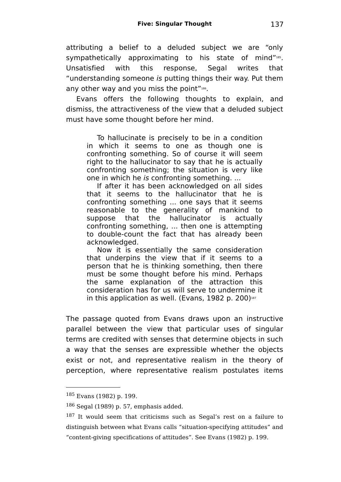attributing a belief to a deluded subject we are "only sympathetically approximating to his state of mind"[185](#page-136-0). Unsatisfied with this response, Segal writes that "understanding someone is putting things their way. Put them any other way and you miss the point"[186](#page-136-1) .

Evans offers the following thoughts to explain, and dismiss, the attractiveness of the view that a deluded subject must have some thought before her mind.

To hallucinate is precisely to be in a condition in which it seems to one as though one is confronting something. So of course it will seem right to the hallucinator to say that he is actually confronting something; the situation is very like one in which he is confronting something. ...

If after it has been acknowledged on all sides that it seems to the hallucinator that he is confronting something ... one says that it seems reasonable to the generality of mankind to suppose that the hallucinator is actually confronting something, ... then one is attempting to double-count the fact that has already been acknowledged.

Now it is essentially the same consideration that underpins the view that if it seems to a person that he is thinking something, then there must be some thought before his mind. Perhaps the same explanation of the attraction this consideration has for us will serve to undermine it in this application as well. (Evans, 1982 p. 200) [187](#page-136-2)

The passage quoted from Evans draws upon an instructive parallel between the view that particular uses of singular terms are credited with senses that determine objects in such a way that the senses are expressible whether the objects exist or not, and representative realism in the theory of perception, where representative realism postulates items

<span id="page-136-0"></span><sup>185</sup> Evans (1982) p. 199.

<span id="page-136-1"></span><sup>186</sup> Segal (1989) p. 57, emphasis added.

<span id="page-136-2"></span><sup>&</sup>lt;sup>187</sup> It would seem that criticisms such as Segal's rest on a failure to distinguish between what Evans calls "situation-specifying attitudes" and "content-giving specifications of attitudes". See Evans (1982) p. 199.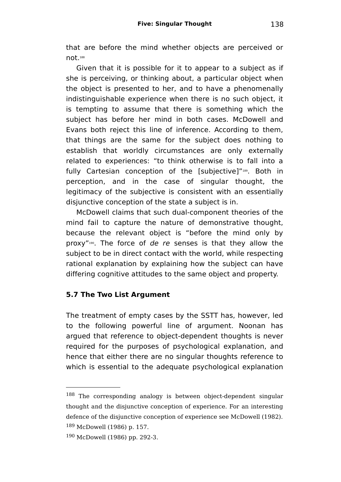that are before the mind whether objects are perceived or not. [188](#page-137-0)

Given that it is possible for it to appear to a subject as if she is perceiving, or thinking about, a particular object when the object is presented to her, and to have a phenomenally indistinguishable experience when there is no such object, it is tempting to assume that there is something which the subject has before her mind in both cases. McDowell and Evans both reject this line of inference. According to them, that things are the same for the subject does nothing to establish that worldly circumstances are only externally related to experiences: "to think otherwise is to fall into a fully Cartesian conception of the [subjective]"[189](#page-137-1) . Both in perception, and in the case of singular thought, the legitimacy of the subjective is consistent with an essentially disjunctive conception of the state a subject is in.

McDowell claims that such dual-component theories of the mind fail to capture the nature of demonstrative thought, because the relevant object is "before the mind only by proxy"<sup>[190](#page-137-2)</sup>. The force of de re senses is that they allow the subject to be in direct contact with the world, while respecting rational explanation by explaining how the subject can have differing cognitive attitudes to the same object and property.

## **5.7 The Two List Argument**

The treatment of empty cases by the SSTT has, however, led to the following powerful line of argument. Noonan has argued that reference to object-dependent thoughts is never required for the purposes of psychological explanation, and hence that either there are no singular thoughts reference to which is essential to the adequate psychological explanation

<span id="page-137-0"></span><sup>188</sup> The corresponding analogy is between object-dependent singular thought and the disjunctive conception of experience. For an interesting defence of the disjunctive conception of experience see McDowell (1982). <sup>189</sup> McDowell (1986) p. 157.

<span id="page-137-2"></span><span id="page-137-1"></span><sup>190</sup> McDowell (1986) pp. 292-3.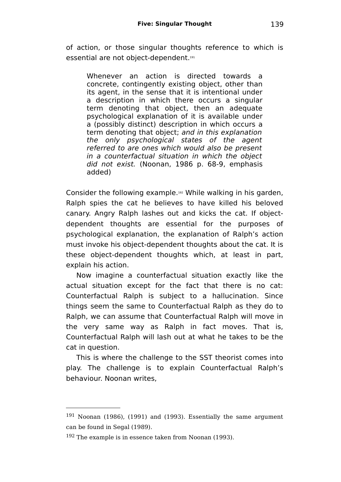of action, or those singular thoughts reference to which is essential are not object-dependent.[191](#page-138-0)

Whenever an action is directed towards a concrete, contingently existing object, other than its agent, in the sense that it is intentional under a description in which there occurs a singular term denoting that object, then an adequate psychological explanation of it is available under a (possibly distinct) description in which occurs a term denoting that object; and in this explanation the only psychological states of the agent referred to are ones which would also be present in a counterfactual situation in which the object did not exist. (Noonan, 1986 p. 68-9, emphasis added)

Consider the following example.[192](#page-138-1) While walking in his garden, Ralph spies the cat he believes to have killed his beloved canary. Angry Ralph lashes out and kicks the cat. If objectdependent thoughts are essential for the purposes of psychological explanation, the explanation of Ralph's action must invoke his object-dependent thoughts about the cat. It is these object-dependent thoughts which, at least in part, explain his action.

Now imagine a counterfactual situation exactly like the actual situation except for the fact that there is no cat: Counterfactual Ralph is subject to a hallucination. Since things seem the same to Counterfactual Ralph as they do to Ralph, we can assume that Counterfactual Ralph will move in the very same way as Ralph in fact moves. That is, Counterfactual Ralph will lash out at what he takes to be the cat in question.

This is where the challenge to the SST theorist comes into play. The challenge is to explain Counterfactual Ralph's behaviour. Noonan writes,

<span id="page-138-0"></span><sup>191</sup> Noonan (1986), (1991) and (1993). Essentially the same argument can be found in Segal (1989).

<span id="page-138-1"></span><sup>192</sup> The example is in essence taken from Noonan (1993).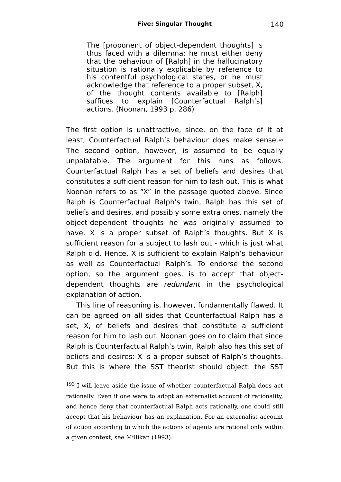The [proponent of object-dependent thoughts] is thus faced with a dilemma: he must either deny that the behaviour of [Ralph] in the hallucinatory situation is rationally explicable by reference to his contentful psychological states, or he must acknowledge that reference to a proper subset, X, of the thought contents available to [Ralph] suffices to explain [Counterfactual Ralph's] actions. (Noonan, 1993 p. 286)

The first option is unattractive, since, on the face of it at least, Counterfactual Ralph's behaviour does make sense.[193](#page-139-0) The second option, however, is assumed to be equally unpalatable. The argument for this runs as follows. Counterfactual Ralph has a set of beliefs and desires that constitutes a sufficient reason for him to lash out. This is what Noonan refers to as "X" in the passage quoted above. Since Ralph is Counterfactual Ralph's twin, Ralph has this set of beliefs and desires, and possibly some extra ones, namely the object-dependent thoughts he was originally assumed to have. X is a proper subset of Ralph's thoughts. But X is sufficient reason for a subject to lash out - which is just what Ralph did. Hence, X is sufficient to explain Ralph's behaviour as well as Counterfactual Ralph's. To endorse the second option, so the argument goes, is to accept that objectdependent thoughts are redundant in the psychological explanation of action.

This line of reasoning is, however, fundamentally flawed. It can be agreed on all sides that Counterfactual Ralph has a set, X, of beliefs and desires that constitute a sufficient reason for him to lash out. Noonan goes on to claim that since Ralph is Counterfactual Ralph's twin, Ralph also has this set of beliefs and desires: X is a proper subset of Ralph's thoughts. But this is where the SST theorist should object: the SST

<span id="page-139-0"></span><sup>&</sup>lt;sup>193</sup> I will leave aside the issue of whether counterfactual Ralph does act rationally. Even if one were to adopt an externalist account of rationality, and hence deny that counterfactual Ralph acts rationally, one could still accept that his behaviour has an explanation. For an externalist account of action according to which the actions of agents are rational only within a given context, see Millikan (1993).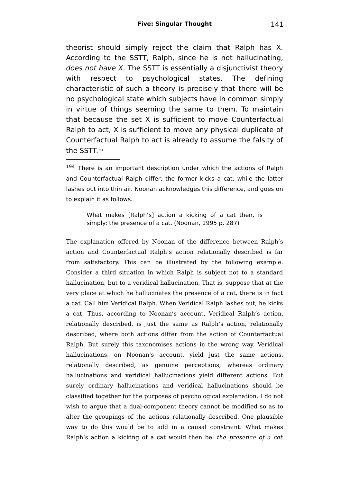theorist should simply reject the claim that Ralph has X. According to the SSTT, Ralph, since he is not hallucinating, does not have  $X$ . The SSTT is essentially a disiunctivist theory with respect to psychological states. The defining characteristic of such a theory is precisely that there will be no psychological state which subjects have in common simply in virtue of things seeming the same to them. To maintain that because the set X is sufficient to move Counterfactual Ralph to act, X is sufficient to move any physical duplicate of Counterfactual Ralph to act is already to assume the falsity of the SSTT. [194](#page-140-0)

<span id="page-140-0"></span><sup>194</sup> There is an important description under which the actions of Ralph and Counterfactual Ralph differ; the former kicks a cat, while the latter lashes out into thin air. Noonan acknowledges this difference, and goes on to explain it as follows.

What makes [Ralph's] action a kicking of a cat then, is simply: the presence of a cat. (Noonan, 1995 p. 287)

The explanation offered by Noonan of the difference between Ralph's action and Counterfactual Ralph's action relationally described is far from satisfactory. This can be illustrated by the following example. Consider a third situation in which Ralph is subject not to a standard hallucination, but to a veridical hallucination. That is, suppose that at the very place at which he hallucinates the presence of a cat, there is in fact a cat. Call him Veridical Ralph. When Veridical Ralph lashes out, he kicks a cat. Thus, according to Noonan's account, Veridical Ralph's action, relationally described, is just the same as Ralph's action, relationally described, where both actions differ from the action of Counterfactual Ralph. But surely this taxonomises actions in the wrong way. Veridical hallucinations, on Noonan's account, yield just the same actions, relationally described, as genuine perceptions; whereas ordinary hallucinations and veridical hallucinations yield different actions. But surely ordinary hallucinations and veridical hallucinations should be classified together for the purposes of psychological explanation. I do not wish to argue that a dual-component theory cannot be modified so as to alter the groupings of the actions relationally described. One plausible way to do this would be to add in a causal constraint. What makes Ralph's action a kicking of a cat would then be: the presence of a cat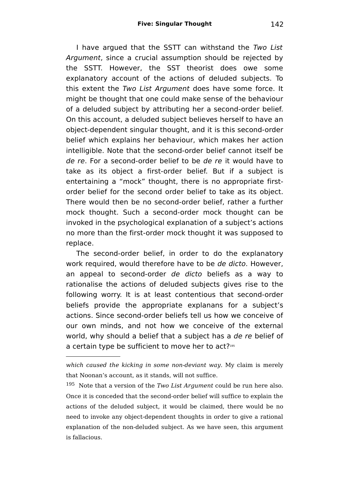I have argued that the SSTT can withstand the Two List Argument, since a crucial assumption should be rejected by the SSTT. However, the SST theorist does owe some explanatory account of the actions of deluded subjects. To this extent the Two List Argument does have some force. It might be thought that one could make sense of the behaviour of a deluded subject by attributing her a second-order belief. On this account, a deluded subject believes herself to have an object-dependent singular thought, and it is this second-order belief which explains her behaviour, which makes her action intelligible. Note that the second-order belief cannot itself be de re. For a second-order belief to be de re it would have to take as its object a first-order belief. But if a subject is entertaining a "mock" thought, there is no appropriate firstorder belief for the second order belief to take as its object. There would then be no second-order belief, rather a further mock thought. Such a second-order mock thought can be invoked in the psychological explanation of a subject's actions no more than the first-order mock thought it was supposed to replace.

The second-order belief, in order to do the explanatory work required, would therefore have to be de dicto. However, an appeal to second-order de dicto beliefs as a way to rationalise the actions of deluded subjects gives rise to the following worry. It is at least contentious that second-order beliefs provide the appropriate explanans for a subject's actions. Since second-order beliefs tell us how we conceive of our own minds, and not how we conceive of the external world, why should a belief that a subject has a de re belief of a certain type be sufficient to move her to act?<sup>[195](#page-141-0)</sup>

which caused the kicking in some non-deviant way. My claim is merely that Noonan's account, as it stands, will not suffice.

<span id="page-141-0"></span> $195$  Note that a version of the Two List Argument could be run here also. Once it is conceded that the second-order belief will suffice to explain the actions of the deluded subject, it would be claimed, there would be no need to invoke any object-dependent thoughts in order to give a rational explanation of the non-deluded subject. As we have seen, this argument is fallacious.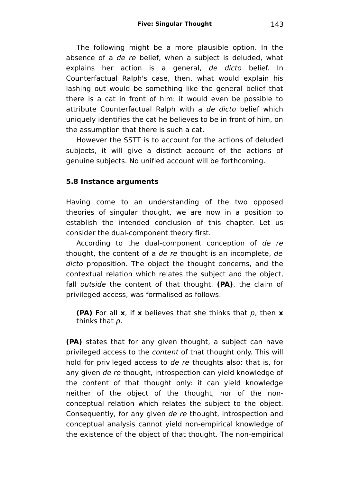The following might be a more plausible option. In the absence of a de re belief, when a subject is deluded, what explains her action is a general, de dicto belief. In Counterfactual Ralph's case, then, what would explain his lashing out would be something like the general belief that there is a cat in front of him: it would even be possible to attribute Counterfactual Ralph with a de dicto belief which uniquely identifies the cat he believes to be in front of him, on the assumption that there is such a cat.

However the SSTT is to account for the actions of deluded subjects, it will give a distinct account of the actions of genuine subjects. No unified account will be forthcoming.

#### **5.8 Instance arguments**

Having come to an understanding of the two opposed theories of singular thought, we are now in a position to establish the intended conclusion of this chapter. Let us consider the dual-component theory first.

According to the dual-component conception of de re thought, the content of a de re thought is an incomplete, de dicto proposition. The object the thought concerns, and the contextual relation which relates the subject and the object, fall outside the content of that thought. **(PA)**, the claim of privileged access, was formalised as follows.

**(PA)** For all **x**, if **x** believes that she thinks that p, then **x** thinks that p.

**(PA)** states that for any given thought, a subject can have privileged access to the content of that thought only. This will hold for privileged access to de re thoughts also: that is, for any given de re thought, introspection can yield knowledge of the content of that thought only: it can yield knowledge neither of the object of the thought, nor of the nonconceptual relation which relates the subject to the object. Consequently, for any given de re thought, introspection and conceptual analysis cannot yield non-empirical knowledge of the existence of the object of that thought. The non-empirical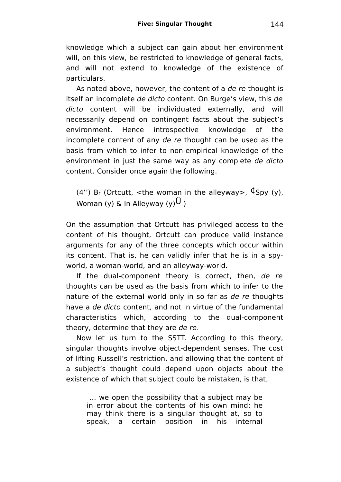knowledge which a subject can gain about her environment will, on this view, be restricted to knowledge of general facts, and will not extend to knowledge of the existence of particulars.

As noted above, however, the content of a de re thought is itself an incomplete de dicto content. On Burge's view, this de dicto content will be individuated externally, and will necessarily depend on contingent facts about the subject's environment. Hence introspective knowledge of the incomplete content of any de re thought can be used as the basis from which to infer to non-empirical knowledge of the environment in just the same way as any complete de dicto content. Consider once again the following.

(4") Br (Ortcutt, <the woman in the alleyway>,  $\oint$ Spy (y), Woman (y) & In Alleyway (y) $U_1$ 

On the assumption that Ortcutt has privileged access to the content of his thought, Ortcutt can produce valid instance arguments for any of the three concepts which occur within its content. That is, he can validly infer that he is in a spyworld, a woman-world, and an alleyway-world.

If the dual-component theory is correct, then, de re thoughts can be used as the basis from which to infer to the nature of the external world only in so far as de re thoughts have a de dicto content, and not in virtue of the fundamental characteristics which, according to the dual-component theory, determine that they are de re.

Now let us turn to the SSTT. According to this theory, singular thoughts involve object-dependent senses. The cost of lifting Russell's restriction, and allowing that the content of a subject's thought could depend upon objects about the existence of which that subject could be mistaken, is that,

... we open the possibility that a subject may be in error about the contents of his own mind: he may think there is a singular thought at, so to speak, a certain position in his internal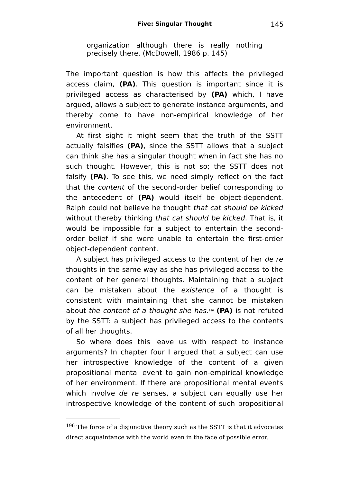organization although there is really nothing precisely there. (McDowell, 1986 p. 145)

The important question is how this affects the privileged access claim, **(PA)**. This question is important since it is privileged access as characterised by **(PA)** which, I have argued, allows a subject to generate instance arguments, and thereby come to have non-empirical knowledge of her environment.

At first sight it might seem that the truth of the SSTT actually falsifies **(PA)**, since the SSTT allows that a subject can think she has a singular thought when in fact she has no such thought. However, this is not so; the SSTT does not falsify **(PA)**. To see this, we need simply reflect on the fact that the content of the second-order belief corresponding to the antecedent of **(PA)** would itself be object-dependent. Ralph could not believe he thought that cat should be kicked without thereby thinking that cat should be kicked. That is, it would be impossible for a subject to entertain the secondorder belief if she were unable to entertain the first-order object-dependent content.

A subject has privileged access to the content of her de re thoughts in the same way as she has privileged access to the content of her general thoughts. Maintaining that a subject can be mistaken about the existence of a thought is consistent with maintaining that she cannot be mistaken about the content of a thought she has. [196](#page-144-0) **(PA)** is not refuted by the SSTT: a subject has privileged access to the contents of all her thoughts.

So where does this leave us with respect to instance arguments? In chapter four I argued that a subject can use her introspective knowledge of the content of a given propositional mental event to gain non-empirical knowledge of her environment. If there are propositional mental events which involve de re senses, a subject can equally use her introspective knowledge of the content of such propositional

<span id="page-144-0"></span><sup>&</sup>lt;sup>196</sup> The force of a disjunctive theory such as the SSTT is that it advocates direct acquaintance with the world even in the face of possible error.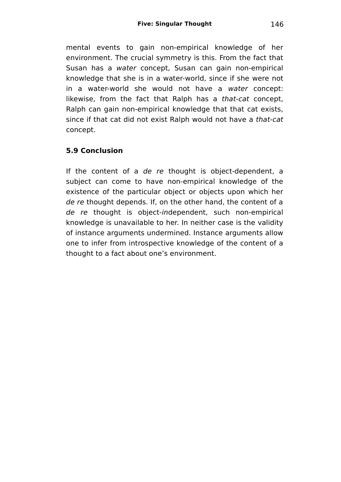mental events to gain non-empirical knowledge of her environment. The crucial symmetry is this. From the fact that Susan has a water concept. Susan can gain non-empirical knowledge that she is in a water-world, since if she were not in a water-world she would not have a water concept: likewise, from the fact that Ralph has a that-cat concept. Ralph can gain non-empirical knowledge that that cat exists, since if that cat did not exist Ralph would not have a that-cat concept.

# **5.9 Conclusion**

If the content of a de re thought is object-dependent, a subject can come to have non-empirical knowledge of the existence of the particular object or objects upon which her de re thought depends. If, on the other hand, the content of a de re thought is object-independent, such non-empirical knowledge is unavailable to her. In neither case is the validity of instance arguments undermined. Instance arguments allow one to infer from introspective knowledge of the content of a thought to a fact about one's environment.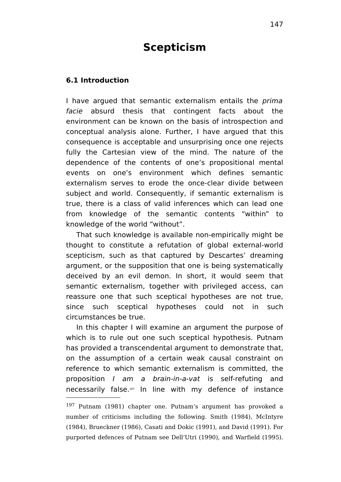# **Scepticism**

#### **6.1 Introduction**

I have argued that semantic externalism entails the *prima* facie absurd thesis that contingent facts about the environment can be known on the basis of introspection and conceptual analysis alone. Further, I have argued that this consequence is acceptable and unsurprising once one rejects fully the Cartesian view of the mind. The nature of the dependence of the contents of one's propositional mental events on one's environment which defines semantic externalism serves to erode the once-clear divide between subject and world. Consequently, if semantic externalism is true, there is a class of valid inferences which can lead one from knowledge of the semantic contents "within" to knowledge of the world "without".

That such knowledge is available non-empirically might be thought to constitute a refutation of global external-world scepticism, such as that captured by Descartes' dreaming argument, or the supposition that one is being systematically deceived by an evil demon. In short, it would seem that semantic externalism, together with privileged access, can reassure one that such sceptical hypotheses are not true, since such sceptical hypotheses could not in such circumstances be true.

In this chapter I will examine an argument the purpose of which is to rule out one such sceptical hypothesis. Putnam has provided a transcendental argument to demonstrate that, on the assumption of a certain weak causal constraint on reference to which semantic externalism is committed, the proposition I am a brain-in-a-vat is self-refuting and necessarily false.[197](#page-146-0) In line with my defence of instance

<span id="page-146-0"></span><sup>197</sup> Putnam (1981) chapter one. Putnam's argument has provoked a number of criticisms including the following. Smith (1984), McIntyre (1984), Brueckner (1986), Casati and Dokic (1991), and David (1991). For purported defences of Putnam see Dell'Utri (1990), and Warfield (1995).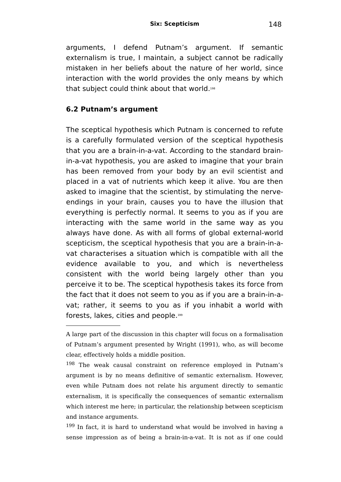arguments, I defend Putnam's argument. If semantic externalism is true, I maintain, a subject cannot be radically mistaken in her beliefs about the nature of her world, since interaction with the world provides the only means by which that subject could think about that world. [198](#page-147-0)

### **6.2 Putnam's argument**

The sceptical hypothesis which Putnam is concerned to refute is a carefully formulated version of the sceptical hypothesis that you are a brain-in-a-vat. According to the standard brainin-a-vat hypothesis, you are asked to imagine that your brain has been removed from your body by an evil scientist and placed in a vat of nutrients which keep it alive. You are then asked to imagine that the scientist, by stimulating the nerveendings in your brain, causes you to have the illusion that everything is perfectly normal. It seems to you as if you are interacting with the same world in the same way as you always have done. As with all forms of global external-world scepticism, the sceptical hypothesis that you are a brain-in-avat characterises a situation which is compatible with all the evidence available to you, and which is nevertheless consistent with the world being largely other than you perceive it to be. The sceptical hypothesis takes its force from the fact that it does not seem to you as if you are a brain-in-avat; rather, it seems to you as if you inhabit a world with forests, lakes, cities and people. [199](#page-147-1)

A large part of the discussion in this chapter will focus on a formalisation of Putnam's argument presented by Wright (1991), who, as will become clear, effectively holds a middle position.

<span id="page-147-0"></span><sup>198</sup> The weak causal constraint on reference employed in Putnam's argument is by no means definitive of semantic externalism. However, even while Putnam does not relate his argument directly to semantic externalism, it is specifically the consequences of semantic externalism which interest me here; in particular, the relationship between scepticism and instance arguments.

<span id="page-147-1"></span><sup>199</sup> In fact, it is hard to understand what would be involved in having a sense impression as of being a brain-in-a-vat. It is not as if one could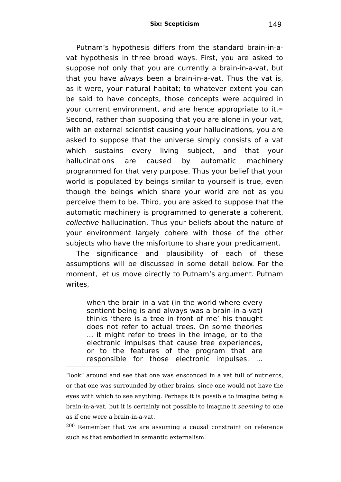Putnam's hypothesis differs from the standard brain-in-avat hypothesis in three broad ways. First, you are asked to suppose not only that you are currently a brain-in-a-vat, but that you have always been a brain-in-a-vat. Thus the vat is, as it were, your natural habitat; to whatever extent you can be said to have concepts, those concepts were acquired in your current environment, and are hence appropriate to it.<sup>[200](#page-148-0)</sup> Second, rather than supposing that you are alone in your vat, with an external scientist causing your hallucinations, you are asked to suppose that the universe simply consists of a vat which sustains every living subject, and that your hallucinations are caused by automatic machinery programmed for that very purpose. Thus your belief that your world is populated by beings similar to yourself is true, even though the beings which share your world are not as you perceive them to be. Third, you are asked to suppose that the automatic machinery is programmed to generate a coherent, collective hallucination. Thus your beliefs about the nature of your environment largely cohere with those of the other subjects who have the misfortune to share your predicament.

The significance and plausibility of each of these assumptions will be discussed in some detail below. For the moment, let us move directly to Putnam's argument. Putnam writes,

when the brain-in-a-vat (in the world where every sentient being is and always was a brain-in-a-vat) thinks 'there is a tree in front of me' his thought does not refer to actual trees. On some theories ... it might refer to trees in the image, or to the electronic impulses that cause tree experiences, or to the features of the program that are responsible for those electronic impulses. ...

<sup>&</sup>quot;look" around and see that one was ensconced in a vat full of nutrients, or that one was surrounded by other brains, since one would not have the eyes with which to see anything. Perhaps it is possible to imagine being a brain-in-a-vat, but it is certainly not possible to imagine it seeming to one as if one were a brain-in-a-vat.

<span id="page-148-0"></span><sup>200</sup> Remember that we are assuming a causal constraint on reference such as that embodied in semantic externalism.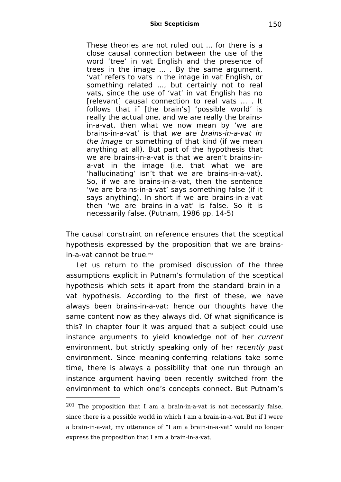These theories are not ruled out ... for there is a close causal connection between the use of the word 'tree' in vat English and the presence of trees in the image ... . By the same argument, 'vat' refers to vats in the image in vat English, or something related ..., but certainly not to real vats, since the use of 'vat' in vat English has no [relevant] causal connection to real vats ... . It follows that if [the brain's] 'possible world' is really the actual one, and we are really the brainsin-a-vat, then what we now mean by 'we are brains-in-a-vat' is that we are brains-in-a-vat in the image or something of that kind (if we mean anything at all). But part of the hypothesis that we are brains-in-a-vat is that we aren't brains-ina-vat in the image (i.e. that what we are 'hallucinating' isn't that we are brains-in-a-vat). So, if we are brains-in-a-vat, then the sentence 'we are brains-in-a-vat' says something false (if it says anything). In short if we are brains-in-a-vat then 'we are brains-in-a-vat' is false. So it is necessarily false. (Putnam, 1986 pp. 14-5)

The causal constraint on reference ensures that the sceptical hypothesis expressed by the proposition that we are brains-in-a-vat cannot be true.<sup>[201](#page-149-0)</sup>

Let us return to the promised discussion of the three assumptions explicit in Putnam's formulation of the sceptical hypothesis which sets it apart from the standard brain-in-avat hypothesis. According to the first of these, we have always been brains-in-a-vat: hence our thoughts have the same content now as they always did. Of what significance is this? In chapter four it was argued that a subject could use instance arguments to yield knowledge not of her current environment, but strictly speaking only of her recently past environment. Since meaning-conferring relations take some time, there is always a possibility that one run through an instance argument having been recently switched from the environment to which one's concepts connect. But Putnam's

<span id="page-149-0"></span><sup>201</sup> The proposition that I am a brain-in-a-vat is not necessarily false, since there is a possible world in which I am a brain-in-a-vat. But if I were a brain-in-a-vat, my utterance of "I am a brain-in-a-vat" would no longer express the proposition that I am a brain-in-a-vat.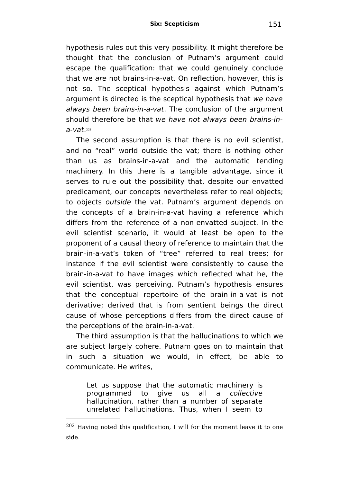hypothesis rules out this very possibility. It might therefore be thought that the conclusion of Putnam's argument could escape the qualification: that we could genuinely conclude that we are not brains-in-a-vat. On reflection, however, this is not so. The sceptical hypothesis against which Putnam's argument is directed is the sceptical hypothesis that we have always been brains-in-a-vat. The conclusion of the argument should therefore be that we have not always been brains-ina-vat. [202](#page-150-0)

The second assumption is that there is no evil scientist, and no "real" world outside the vat; there is nothing other than us as brains-in-a-vat and the automatic tending machinery. In this there is a tangible advantage, since it serves to rule out the possibility that, despite our envatted predicament, our concepts nevertheless refer to real objects; to objects outside the vat. Putnam's argument depends on the concepts of a brain-in-a-vat having a reference which differs from the reference of a non-envatted subject. In the evil scientist scenario, it would at least be open to the proponent of a causal theory of reference to maintain that the brain-in-a-vat's token of "tree" referred to real trees; for instance if the evil scientist were consistently to cause the brain-in-a-vat to have images which reflected what he, the evil scientist, was perceiving. Putnam's hypothesis ensures that the conceptual repertoire of the brain-in-a-vat is not derivative; derived that is from sentient beings the direct cause of whose perceptions differs from the direct cause of the perceptions of the brain-in-a-vat.

The third assumption is that the hallucinations to which we are subject largely cohere. Putnam goes on to maintain that in such a situation we would, in effect, be able to communicate. He writes,

Let us suppose that the automatic machinery is programmed to give us all a collective hallucination, rather than a number of separate unrelated hallucinations. Thus, when I seem to

<span id="page-150-0"></span><sup>202</sup> Having noted this qualification, I will for the moment leave it to one side.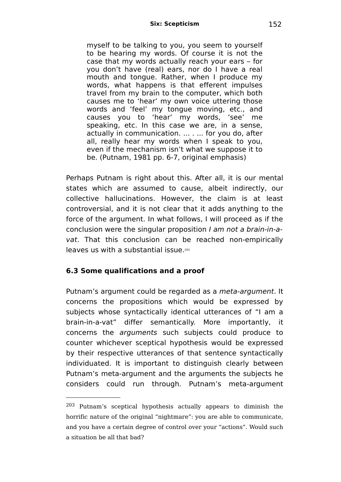myself to be talking to you, you seem to yourself to be hearing my words. Of course it is not the case that my words actually reach your ears – for you don't have (real) ears, nor do I have a real mouth and tongue. Rather, when I produce my words, what happens is that efferent impulses travel from my brain to the computer, which both causes me to 'hear' my own voice uttering those words and 'feel' my tongue moving, etc., and causes you to 'hear' my words, 'see' me speaking, etc. In this case we are, in a sense, actually in communication. ... . ... for you do, after all, really hear my words when I speak to you, even if the mechanism isn't what we suppose it to be. (Putnam, 1981 pp. 6-7, original emphasis)

Perhaps Putnam is right about this. After all, it is our mental states which are assumed to cause, albeit indirectly, our collective hallucinations. However, the claim is at least controversial, and it is not clear that it adds anything to the force of the argument. In what follows, I will proceed as if the conclusion were the singular proposition I am not a brain-in-avat. That this conclusion can be reached non-empirically leaves us with a substantial issue. [203](#page-151-0)

### **6.3 Some qualifications and a proof**

Putnam's argument could be regarded as a meta-argument. It concerns the propositions which would be expressed by subjects whose syntactically identical utterances of "I am a brain-in-a-vat" differ semantically. More importantly, it concerns the arguments such subjects could produce to counter whichever sceptical hypothesis would be expressed by their respective utterances of that sentence syntactically individuated. It is important to distinguish clearly between Putnam's meta-argument and the arguments the subjects he considers could run through. Putnam's meta-argument

<span id="page-151-0"></span><sup>203</sup> Putnam's sceptical hypothesis actually appears to diminish the horrific nature of the original "nightmare": you are able to communicate, and you have a certain degree of control over your "actions". Would such a situation be all that bad?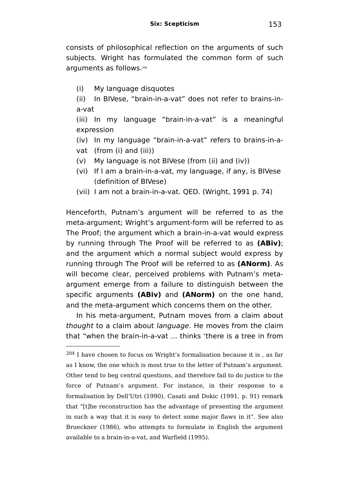consists of philosophical reflection on the arguments of such subjects. Wright has formulated the common form of such arguments as follows.[204](#page-152-0)

(i) My language disquotes

(ii) In BIVese, "brain-in-a-vat" does not refer to brains-ina-vat

(iii) In my language "brain-in-a-vat" is a meaningful expression

(iv) In my language "brain-in-a-vat" refers to brains-in-avat (from (i) and (iii))

- (v) My language is not BIVese (from (ii) and (iv))
- (vi) If I am a brain-in-a-vat, my language, if any, is BIVese (definition of BIVese)
- (vii) I am not a brain-in-a-vat. QED. (Wright, 1991 p. 74)

Henceforth, Putnam's argument will be referred to as the meta-argument; Wright's argument-form will be referred to as The Proof; the argument which a brain-in-a-vat would express by running through The Proof will be referred to as **(ABiv)**; and the argument which a normal subject would express by running through The Proof will be referred to as **(ANorm)**. As will become clear, perceived problems with Putnam's metaargument emerge from a failure to distinguish between the specific arguments **(ABiv)** and **(ANorm)** on the one hand, and the meta-argument which concerns them on the other.

In his meta-argument, Putnam moves from a claim about thought to a claim about *language*. He moves from the claim that "when the brain-in-a-vat ... thinks 'there is a tree in from

<span id="page-152-0"></span> $^{204}$  I have chosen to focus on Wright's formalisation because it is , as far as I know, the one which is most true to the letter of Putnam's argument. Other tend to beg central questions, and therefore fail to do justice to the force of Putnam's argument. For instance, in their response to a formalisation by Dell'Utri (1990), Casati and Dokic (1991, p. 91) remark that "[t]he reconstruction has the advantage of presenting the argument in such a way that it is easy to detect some major flaws in it". See also Brueckner (1986), who attempts to formulate in English the argument available to a brain-in-a-vat, and Warfield (1995).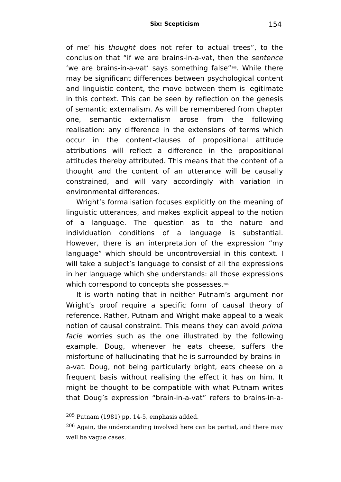of me' his thought does not refer to actual trees", to the conclusion that "if we are brains-in-a-vat, then the sentence 'we are brains-in-a-vat' says something false"[205](#page-153-0) . While there may be significant differences between psychological content and linguistic content, the move between them is legitimate in this context. This can be seen by reflection on the genesis of semantic externalism. As will be remembered from chapter one, semantic externalism arose from the following realisation: any difference in the extensions of terms which occur in the content-clauses of propositional attitude attributions will reflect a difference in the propositional attitudes thereby attributed. This means that the content of a thought and the content of an utterance will be causally constrained, and will vary accordingly with variation in environmental differences.

Wright's formalisation focuses explicitly on the meaning of linguistic utterances, and makes explicit appeal to the notion of a language. The question as to the nature and individuation conditions of a language is substantial. However, there is an interpretation of the expression "my language" which should be uncontroversial in this context. I will take a subject's language to consist of all the expressions in her language which she understands: all those expressions which correspond to concepts she possesses.<sup>[206](#page-153-1)</sup>

It is worth noting that in neither Putnam's argument nor Wright's proof require a specific form of causal theory of reference. Rather, Putnam and Wright make appeal to a weak notion of causal constraint. This means they can avoid prima facie worries such as the one illustrated by the following example. Doug, whenever he eats cheese, suffers the misfortune of hallucinating that he is surrounded by brains-ina-vat. Doug, not being particularly bright, eats cheese on a frequent basis without realising the effect it has on him. It might be thought to be compatible with what Putnam writes that Doug's expression "brain-in-a-vat" refers to brains-in-a-

<span id="page-153-0"></span> $205$  Putnam (1981) pp. 14-5, emphasis added.

<span id="page-153-1"></span><sup>206</sup> Again, the understanding involved here can be partial, and there may well be vague cases.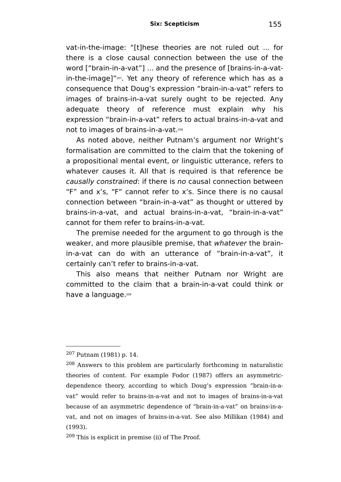vat-in-the-image: "[t]hese theories are not ruled out ... for there is a close causal connection between the use of the word ["brain-in-a-vat"] ... and the presence of [brains-in-a-vatin-the-image]"[207](#page-154-0) . Yet any theory of reference which has as a consequence that Doug's expression "brain-in-a-vat" refers to images of brains-in-a-vat surely ought to be rejected. Any adequate theory of reference must explain why his expression "brain-in-a-vat" refers to actual brains-in-a-vat and not to images of brains-in-a-vat. [208](#page-154-1)

As noted above, neither Putnam's argument nor Wright's formalisation are committed to the claim that the tokening of a propositional mental event, or linguistic utterance, refers to whatever causes it. All that is required is that reference be causally constrained: if there is no causal connection between "F" and x's, "F" cannot refer to x's. Since there is no causal connection between "brain-in-a-vat" as thought or uttered by brains-in-a-vat, and actual brains-in-a-vat, "brain-in-a-vat" cannot for them refer to brains-in-a-vat.

The premise needed for the argument to go through is the weaker, and more plausible premise, that whatever the brainin-a-vat can do with an utterance of "brain-in-a-vat", it certainly can't refer to brains-in-a-vat.

This also means that neither Putnam nor Wright are committed to the claim that a brain-in-a-vat could think or have a language. [209](#page-154-2)

<span id="page-154-0"></span><sup>207</sup> Putnam (1981) p. 14.

<span id="page-154-1"></span><sup>208</sup> Answers to this problem are particularly forthcoming in naturalistic theories of content. For example Fodor (1987) offers an asymmetricdependence theory, according to which Doug's expression "brain-in-avat" would refer to brains-in-a-vat and not to images of brains-in-a-vat because of an asymmetric dependence of "brain-in-a-vat" on brains-in-avat, and not on images of brains-in-a-vat. See also Millikan (1984) and (1993).

<span id="page-154-2"></span><sup>209</sup> This is explicit in premise (ii) of The Proof.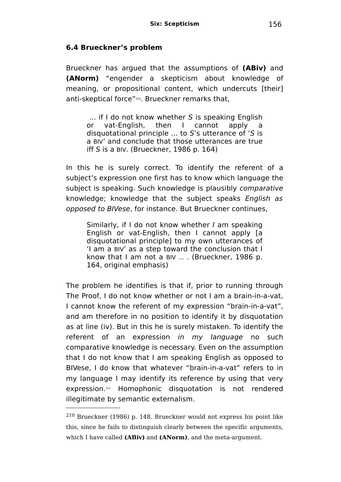#### **6.4 Brueckner's problem**

Brueckner has argued that the assumptions of **(ABiv)** and **(ANorm)** "engender a skepticism about knowledge of meaning, or propositional content, which undercuts [their] anti-skeptical force"[210](#page-155-0) . Brueckner remarks that,

... if I do not know whether S is speaking English or vat-English, then I cannot apply a disquotational principle ... to S's utterance of 'S is a BIV' and conclude that those utterances are true iff S is a BIV. (Brueckner, 1986 p. 164)

In this he is surely correct. To identify the referent of a subject's expression one first has to know which language the subject is speaking. Such knowledge is plausibly *comparative* knowledge; knowledge that the subject speaks English as opposed to BIVese, for instance. But Brueckner continues,

Similarly, if I do not know whether I am speaking English or vat-English, then I cannot apply [a disquotational principle] to my own utterances of 'I am a BIV' as a step toward the conclusion that I know that I am not a BIV ... . (Brueckner, 1986 p. 164, original emphasis)

The problem he identifies is that if, prior to running through The Proof, I do not know whether or not I am a brain-in-a-vat, I cannot know the referent of my expression "brain-in-a-vat", and am therefore in no position to identify it by disquotation as at line (iv). But in this he is surely mistaken. To identify the referent of an expression in my language no such comparative knowledge is necessary. Even on the assumption that I do not know that I am speaking English as opposed to BIVese, I do know that whatever "brain-in-a-vat" refers to in my language I may identify its reference by using that very expression. [211](#page-156-0) Homophonic disquotation is not rendered illegitimate by semantic externalism.

<span id="page-155-0"></span><sup>210</sup> Brueckner (1986) p. 148. Brueckner would not express his point like this, since he fails to distinguish clearly between the specific arguments, which I have called **(ABiv)** and **(ANorm)**, and the meta-argument.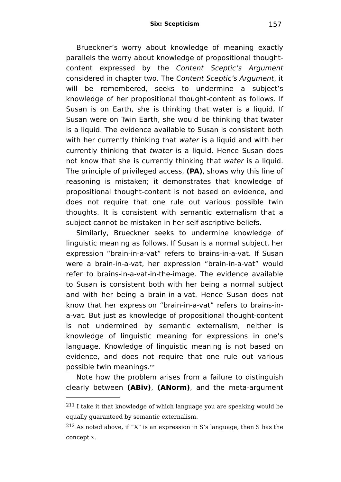Brueckner's worry about knowledge of meaning exactly parallels the worry about knowledge of propositional thoughtcontent expressed by the Content Sceptic's Argument considered in chapter two. The Content Sceptic's Argument, it will be remembered, seeks to undermine a subject's knowledge of her propositional thought-content as follows. If Susan is on Earth, she is thinking that water is a liquid. If Susan were on Twin Earth, she would be thinking that twater is a liquid. The evidence available to Susan is consistent both with her currently thinking that water is a liquid and with her currently thinking that twater is a liquid. Hence Susan does not know that she is currently thinking that water is a liquid. The principle of privileged access, **(PA)**, shows why this line of reasoning is mistaken; it demonstrates that knowledge of propositional thought-content is not based on evidence, and does not require that one rule out various possible twin thoughts. It is consistent with semantic externalism that a subject cannot be mistaken in her self-ascriptive beliefs.

Similarly, Brueckner seeks to undermine knowledge of linguistic meaning as follows. If Susan is a normal subject, her expression "brain-in-a-vat" refers to brains-in-a-vat. If Susan were a brain-in-a-vat, her expression "brain-in-a-vat" would refer to brains-in-a-vat-in-the-image. The evidence available to Susan is consistent both with her being a normal subject and with her being a brain-in-a-vat. Hence Susan does not know that her expression "brain-in-a-vat" refers to brains-ina-vat. But just as knowledge of propositional thought-content is not undermined by semantic externalism, neither is knowledge of linguistic meaning for expressions in one's language. Knowledge of linguistic meaning is not based on evidence, and does not require that one rule out various possible twin meanings.[212](#page-156-1)

Note how the problem arises from a failure to distinguish clearly between **(ABiv)**, **(ANorm)**, and the meta-argument

<span id="page-156-0"></span><sup>211</sup> I take it that knowledge of which language you are speaking would be equally guaranteed by semantic externalism.

<span id="page-156-1"></span><sup>212</sup> As noted above, if "X" is an expression in S's language, then S has the concept x.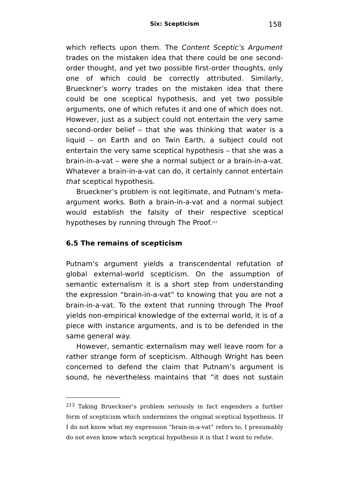which reflects upon them. The Content Sceptic's Argument trades on the mistaken idea that there could be one secondorder thought, and yet two possible first-order thoughts, only one of which could be correctly attributed. Similarly, Brueckner's worry trades on the mistaken idea that there could be one sceptical hypothesis, and yet two possible arguments, one of which refutes it and one of which does not. However, just as a subject could not entertain the very same second-order belief – that she was thinking that water is a liquid – on Earth and on Twin Earth, a subject could not entertain the very same sceptical hypothesis – that she was a brain-in-a-vat – were she a normal subject or a brain-in-a-vat. Whatever a brain-in-a-vat can do, it certainly cannot entertain that sceptical hypothesis.

Brueckner's problem is not legitimate, and Putnam's metaargument works. Both a brain-in-a-vat and a normal subject would establish the falsity of their respective sceptical hypotheses by running through The Proof.<sup>[213](#page-157-0)</sup>

#### **6.5 The remains of scepticism**

Putnam's argument yields a transcendental refutation of global external-world scepticism. On the assumption of semantic externalism it is a short step from understanding the expression "brain-in-a-vat" to knowing that you are not a brain-in-a-vat. To the extent that running through The Proof yields non-empirical knowledge of the external world, it is of a piece with instance arguments, and is to be defended in the same general way.

However, semantic externalism may well leave room for a rather strange form of scepticism. Although Wright has been concerned to defend the claim that Putnam's argument is sound, he nevertheless maintains that "it does not sustain

<span id="page-157-0"></span><sup>213</sup> Taking Brueckner's problem seriously in fact engenders a further form of scepticism which undermines the original sceptical hypothesis. If I do not know what my expression "brain-in-a-vat" refers to, I presumably do not even know which sceptical hypothesis it is that I want to refute.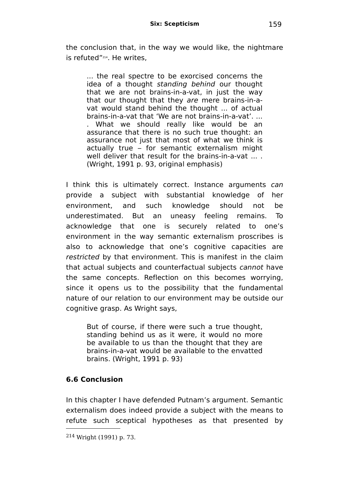the conclusion that, in the way we would like, the nightmare is refuted"[214](#page-158-0) . He writes,

... the real spectre to be exorcised concerns the idea of a thought standing behind our thought that we are not brains-in-a-vat, in just the way that our thought that they are mere brains-in-avat would stand behind the thought ... of actual brains-in-a-vat that 'We are not brains-in-a-vat'. ... . What we should really like would be an assurance that there is no such true thought: an assurance not just that most of what we think is actually true – for semantic externalism might well deliver that result for the brains-in-a-vat ... . (Wright, 1991 p. 93, original emphasis)

I think this is ultimately correct. Instance arguments can provide a subject with substantial knowledge of her environment, and such knowledge should not be underestimated. But an uneasy feeling remains. To acknowledge that one is securely related to one's environment in the way semantic externalism proscribes is also to acknowledge that one's cognitive capacities are restricted by that environment. This is manifest in the claim that actual subjects and counterfactual subjects cannot have the same concepts. Reflection on this becomes worrying, since it opens us to the possibility that the fundamental nature of our relation to our environment may be outside our cognitive grasp. As Wright says,

But of course, if there were such a true thought, standing behind us as it were, it would no more be available to us than the thought that they are brains-in-a-vat would be available to the envatted brains. (Wright, 1991 p. 93)

# **6.6 Conclusion**

In this chapter I have defended Putnam's argument. Semantic externalism does indeed provide a subject with the means to refute such sceptical hypotheses as that presented by

<span id="page-158-0"></span><sup>214</sup> Wright (1991) p. 73.